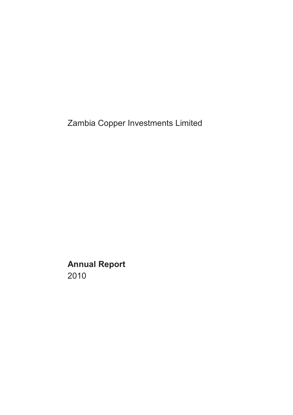Zambia Copper Investments Limited

**Annual Report** 2010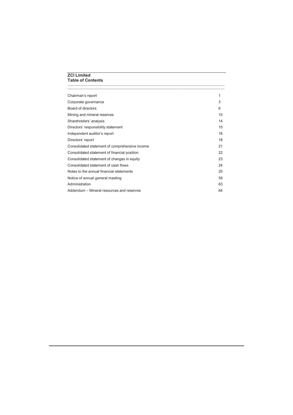# **ZCI Limited Table of Contents**

| Chairman's report                              | 1  |
|------------------------------------------------|----|
| Corporate governance                           | 3  |
| Board of directors                             | 6  |
| Mining and mineral reserves                    | 10 |
| Shareholders' analysis                         | 14 |
| Directors' responsibility statement            | 15 |
| Independent auditor's report                   | 16 |
| Directors' report                              | 18 |
| Consolidated statement of comprehensive income | 21 |
| Consolidated statement of financial position   | 22 |
| Consolidated statement of changes in equity    | 23 |
| Consolidated statement of cash flows           | 24 |
| Notes to the annual financial statements       | 25 |
| Notice of annual general meeting               | 59 |
| Administration                                 | 63 |
| Addendum – Mineral resources and reserves      | 64 |

\_\_\_\_\_\_\_\_\_\_\_\_\_\_\_\_\_\_\_\_\_\_\_\_\_\_\_\_\_\_\_\_\_\_\_\_\_\_\_\_\_\_\_\_\_\_\_\_\_\_\_\_\_\_\_\_\_\_\_\_\_\_\_\_\_\_\_\_\_\_\_\_\_\_\_\_\_\_\_\_\_\_\_\_\_\_\_\_\_\_\_\_\_\_\_\_\_\_\_\_\_ \_\_\_\_\_\_\_\_\_\_\_\_\_\_\_\_\_\_\_\_\_\_\_\_\_\_\_\_\_\_\_\_\_\_\_\_\_\_\_\_\_\_\_\_\_\_\_\_\_\_\_\_\_\_\_\_\_\_\_\_\_\_\_\_\_\_\_\_\_\_\_\_\_\_\_\_\_\_\_\_\_\_\_\_\_\_\_\_\_\_\_\_\_\_\_\_\_\_\_\_\_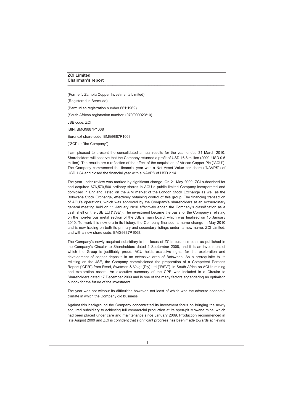# **ZCI Limited Chairman's report**

(Formerly Zambia Copper Investments Limited) (Registered in Bermuda) (Bermudian registration number 661:1969) (South African registration number 1970/000023/10) JSE code: ZCI ISIN: BMG9887P1068 Euronext share code: BMG9887P1068

("ZCI" or "the Company")

I am pleased to present the consolidated annual results for the year ended 31 March 2010. Shareholders will observe that the Company returned a profit of USD 16.8 million (2009: USD 0.5 million). The results are a reflection of the effect of the acquisition of African Copper Plc ("ACU"). The Company commenced the financial year with a Net Asset Value per share ("NAVPS") of USD 1.84 and closed the financial year with a NAVPS of USD 2.14.

\_\_\_\_\_\_\_\_\_\_\_\_\_\_\_\_\_\_\_\_\_\_\_\_\_\_\_\_\_\_\_\_\_\_\_\_\_\_\_\_\_\_\_\_\_\_\_\_\_\_\_\_\_\_\_\_\_\_\_\_\_\_\_\_\_\_\_\_\_\_\_\_\_\_\_\_\_\_\_\_\_\_\_\_\_\_\_\_\_\_\_\_\_\_\_\_\_\_\_\_\_ **\_\_\_\_\_\_\_\_\_\_\_\_\_\_\_\_\_\_\_\_\_\_\_\_\_\_\_\_\_\_\_\_\_\_\_\_\_\_\_\_\_\_\_\_\_\_\_\_\_\_\_\_\_\_\_\_\_\_\_\_\_\_\_\_\_\_\_\_\_\_\_\_\_\_\_\_\_\_\_\_\_\_\_\_\_\_\_\_\_\_\_\_\_\_\_\_\_\_\_\_\_**

The year under review was marked by significant change. On 21 May 2009, ZCI subscribed for and acquired 676,570,500 ordinary shares in ACU a public limited Company incorporated and domiciled in England, listed on the AIM market of the London Stock Exchange as well as the Botswana Stock Exchange, effectively obtaining control of this group. The financing transaction of ACU's operations, which was approved by the Company's shareholders at an extraordinary general meeting held on 11 January 2010 effectively ended the Company's classification as a cash shell on the JSE Ltd ("JSE"). The investment became the basis for the Company's relisting on the non-ferrous metal section of the JSE's main board, which was finalised on 15 January 2010. To mark this new era in its history, the Company finalised its name change in May 2010 and is now trading on both its primary and secondary listings under its new name, ZCI Limited, and with a new share code, BMG9887P1068.

The Company's newly acquired subsidiary is the focus of ZCI's business plan, as published in the Company's Circular to Shareholders dated 2 September 2008, and it is an investment of which the Group is justifiably proud. ACU holds exclusive rights for the exploration and development of copper deposits in an extensive area of Botswana. As a prerequisite to its relisting on the JSE, the Company commissioned the preparation of a Competent Persons Report ("CPR") from Read, Swatman & Voigt (Pty) Ltd ("RSV"), in South Africa on ACU's mining and exploration assets. An executive summary of the CPR was included in a Circular to Shareholders dated 17 December 2009 and is one of the many factors engendering an optimistic outlook for the future of the investment.

The year was not without its difficulties however, not least of which was the adverse economic climate in which the Company did business.

Against this background the Company concentrated its investment focus on bringing the newly acquired subsidiary to achieving full commercial production at its open-pit Mowana mine, which had been placed under care and maintenance since January 2009. Production recommenced in late August 2009 and ZCI is confident that significant progress has been made towards achieving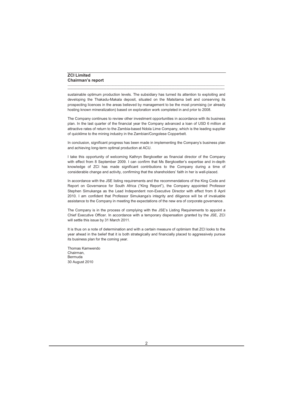# **ZCI Limited Chairman's report**

sustainable optimum production levels. The subsidiary has turned its attention to exploiting and developing the Thakadu-Makala deposit, situated on the Matsitama belt and conserving its prospecting licences in the areas believed by management to be the most promising (or already hosting known mineralization) based on exploration work completed in and prior to 2008.

\_\_\_\_\_\_\_\_\_\_\_\_\_\_\_\_\_\_\_\_\_\_\_\_\_\_\_\_\_\_\_\_\_\_\_\_\_\_\_\_\_\_\_\_\_\_\_\_\_\_\_\_\_\_\_\_\_\_\_\_\_\_\_\_\_\_\_\_\_\_\_\_\_\_\_\_\_\_\_\_\_\_\_\_\_\_\_\_\_\_\_\_\_\_\_\_\_\_\_\_\_ **\_\_\_\_\_\_\_\_\_\_\_\_\_\_\_\_\_\_\_\_\_\_\_\_\_\_\_\_\_\_\_\_\_\_\_\_\_\_\_\_\_\_\_\_\_\_\_\_\_\_\_\_\_\_\_\_\_\_\_\_\_\_\_\_\_\_\_\_\_\_\_\_\_\_\_\_\_\_\_\_\_\_\_\_\_\_\_\_\_\_\_\_\_\_\_\_\_\_\_\_\_**

The Company continues to review other investment opportunities in accordance with its business plan. In the last quarter of the financial year the Company advanced a loan of USD 6 million at attractive rates of return to the Zambia-based Ndola Lime Company, which is the leading supplier of quicklime to the mining industry in the Zambian/Congolese Copperbelt.

In conclusion, significant progress has been made in implementing the Company's business plan and achieving long-term optimal production at ACU.

I take this opportunity of welcoming Kathryn Bergkoetter as financial director of the Company with effect from 8 September 2009. I can confirm that Ms Bergkoetter's expertise and in-depth knowledge of ZCI has made significant contributions to the Company during a time of considerable change and activity, confirming that the shareholders' faith in her is well-placed.

In accordance with the JSE listing requirements and the recommendations of the King Code and Report on Governance for South Africa ("King Report"), the Company appointed Professor Stephen Simukanga as the Lead Independent non-Executive Director with effect from 8 April 2010. I am confident that Professor Simukanga's integrity and diligence will be of invaluable assistance to the Company in meeting the expectations of the new era of corporate governance.

The Company is in the process of complying with the JSE's Listing Requirements to appoint a Chief Executive Officer. In accordance with a temporary dispensation granted by the JSE, ZCI will settle this issue by 31 March 2011.

It is thus on a note of determination and with a certain measure of optimism that ZCI looks to the year ahead in the belief that it is both strategically and financially placed to aggressively pursue its business plan for the coming year.

Thomas Kamwendo Chairman, Bermuda 30 August 2010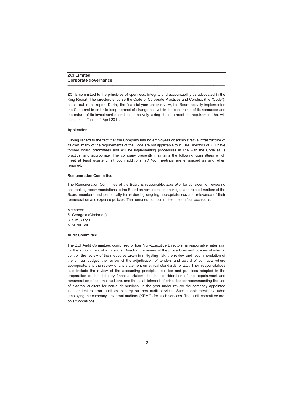# **ZCI Limited Corporate governance**

ZCI is committed to the principles of openness, integrity and accountability as advocated in the King Report. The directors endorse the Code of Corporate Practices and Conduct (the "Code"), as set out in the report. During the financial year under review, the Board actively implemented the Code and in order to keep abreast of change and within the constraints of its resources and the nature of its investment operations is actively taking steps to meet the requirement that will come into effect on 1 April 2011.

\_\_\_\_\_\_\_\_\_\_\_\_\_\_\_\_\_\_\_\_\_\_\_\_\_\_\_\_\_\_\_\_\_\_\_\_\_\_\_\_\_\_\_\_\_\_\_\_\_\_\_\_\_\_\_\_\_\_\_\_\_\_\_\_\_\_\_\_\_\_\_\_\_\_\_\_\_\_\_\_\_\_\_\_\_\_\_\_\_\_\_\_\_\_\_\_\_\_\_\_\_ **\_\_\_\_\_\_\_\_\_\_\_\_\_\_\_\_\_\_\_\_\_\_\_\_\_\_\_\_\_\_\_\_\_\_\_\_\_\_\_\_\_\_\_\_\_\_\_\_\_\_\_\_\_\_\_\_\_\_\_\_\_\_\_\_\_\_\_\_\_\_\_\_\_\_\_\_\_\_\_\_\_\_\_\_\_\_\_\_\_\_\_\_\_\_\_\_\_\_\_\_\_**

# **Application**

Having regard to the fact that the Company has no employees or administrative infrastructure of its own, many of the requirements of the Code are not applicable to it. The Directors of ZCI have formed board committees and will be implementing procedures in line with the Code as is practical and appropriate. The company presently maintains the following committees which meet at least quarterly, although additional *ad hoc* meetings are envisaged as and when required.

# **Remuneration Committee**

The Remuneration Committee of the Board is responsible, *inter alia*, for considering, reviewing and making recommendations to the Board on remuneration packages and related matters of the Board members and periodically for reviewing ongoing appropriateness and relevance of their remuneration and expense policies. The remuneration committee met on four occasions.

Members: S. Georgala (Chairman) S. Simukanga M.M. du Toit

# **Audit Committee**

The ZCI Audit Committee, comprised of four Non-Executive Directors, is responsible, inter alia, for the appointment of a Financial Director, the review of the procedures and policies of internal control, the review of the measures taken in mitigating risk, the review and recommendation of the annual budget, the review of the adjudication of tenders and award of contracts where appropriate, and the review of any statement on ethical standards for ZCI. Their responsibilities also include the review of the accounting principles, policies and practices adopted in the preparation of the statutory financial statements, the consideration of the appointment and remuneration of external auditors, and the establishment of principles for recommending the use of external auditors for non-audit services. In the year under review the company appointed independent external auditors to carry out non audit services. Such appointments excluded employing the company's external auditors (KPMG) for such services. The audit committee met on six occasions.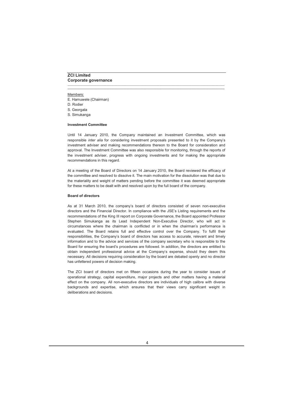# **ZCI Limited Corporate governance**

## Members:

- E. Hamuwele (Chairman)
- D. Rodier
- S. Georgala
- S. Simukanga

## **Investment Committee**

Until 14 January 2010, the Company maintained an Investment Committee, which was responsible *inter alia* for considering investment proposals presented to it by the Company's investment adviser and making recommendations thereon to the Board for consideration and approval. The Investment Committee was also responsible for monitoring, through the reports of the investment adviser, progress with ongoing investments and for making the appropriate recommendations in this regard.

\_\_\_\_\_\_\_\_\_\_\_\_\_\_\_\_\_\_\_\_\_\_\_\_\_\_\_\_\_\_\_\_\_\_\_\_\_\_\_\_\_\_\_\_\_\_\_\_\_\_\_\_\_\_\_\_\_\_\_\_\_\_\_\_\_\_\_\_\_\_\_\_\_\_\_\_\_\_\_\_\_\_\_\_\_\_\_\_\_\_\_\_\_\_\_\_\_\_\_\_\_ **\_\_\_\_\_\_\_\_\_\_\_\_\_\_\_\_\_\_\_\_\_\_\_\_\_\_\_\_\_\_\_\_\_\_\_\_\_\_\_\_\_\_\_\_\_\_\_\_\_\_\_\_\_\_\_\_\_\_\_\_\_\_\_\_\_\_\_\_\_\_\_\_\_\_\_\_\_\_\_\_\_\_\_\_\_\_\_\_\_\_\_\_\_\_\_\_\_\_\_\_\_**

At a meeting of the Board of Directors on 14 January 2010, the Board reviewed the efficacy of the committee and resolved to dissolve it. The main motivation for the dissolution was that due to the materiality and weight of matters pending before the committee it was deemed appropriate for these matters to be dealt with and resolved upon by the full board of the company.

# **Board of directors**

As at 31 March 2010, the company's board of directors consisted of seven non-executive directors and the Financial Director. In compliance with the JSE's Listing requirements and the recommendations of the King III report on Corporate Governance, the Board appointed Professor Stephen Simukanga as its Lead Independent Non-Executive Director, who will act in circumstances where the chairman is conflicted or in when the chairman's performance is evaluated. The Board retains full and effective control over the Company. To fulfil their responsibilities, the Company's board of directors has access to accurate, relevant and timely information and to the advice and services of the company secretary who is responsible to the Board for ensuring the board's procedures are followed. In addition, the directors are entitled to obtain independent professional advice at the Company's expense, should they deem this necessary. All decisions requiring consideration by the board are debated openly and no director has unfettered powers of decision making.

The ZCI board of directors met on fifteen occasions during the year to consider issues of operational strategy, capital expenditure, major projects and other matters having a material effect on the company. All non-executive directors are individuals of high calibre with diverse backgrounds and expertise, which ensures that their views carry significant weight in deliberations and decisions.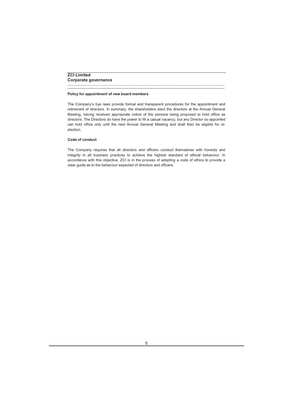# **ZCI Limited Corporate governance**

## **Policy for appointment of new board members**

The Company's bye laws provide formal and transparent procedures for the appointment and retirement of directors. In summary, the shareholders elect the directors at the Annual General Meeting, having received appropriate notice of the persons being proposed to hold office as directors. The Directors do have the power to fill a casual vacancy, but any Director so appointed can hold office only until the next Annual General Meeting and shall then be eligible for reelection.

\_\_\_\_\_\_\_\_\_\_\_\_\_\_\_\_\_\_\_\_\_\_\_\_\_\_\_\_\_\_\_\_\_\_\_\_\_\_\_\_\_\_\_\_\_\_\_\_\_\_\_\_\_\_\_\_\_\_\_\_\_\_\_\_\_\_\_\_\_\_\_\_\_\_\_\_\_\_\_\_\_\_\_\_\_\_\_\_\_\_\_\_\_\_\_\_\_\_\_\_\_ **\_\_\_\_\_\_\_\_\_\_\_\_\_\_\_\_\_\_\_\_\_\_\_\_\_\_\_\_\_\_\_\_\_\_\_\_\_\_\_\_\_\_\_\_\_\_\_\_\_\_\_\_\_\_\_\_\_\_\_\_\_\_\_\_\_\_\_\_\_\_\_\_\_\_\_\_\_\_\_\_\_\_\_\_\_\_\_\_\_\_\_\_\_\_\_\_\_\_\_\_\_**

## **Code of conduct**

The Company requires that all directors and officers conduct themselves with honesty and integrity in all business practices to achieve the highest standard of ethical behaviour. In accordance with this objective, ZCI is in the process of adopting a code of ethics to provide a clear guide as to the behaviour expected of directors and officers.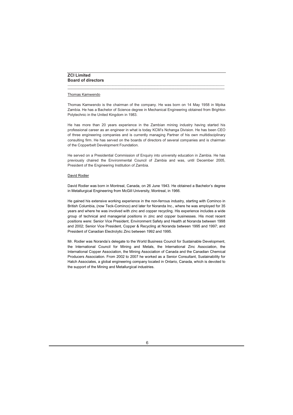# **ZCI Limited Board of directors**

# Thomas Kamwendo

Thomas Kamwendo is the chairman of the company. He was born on 14 May 1958 in Mpika Zambia. He has a Bachelor of Science degree in Mechanical Engineering obtained from Brighton Polytechnic in the United Kingdom in 1983.

\_\_\_\_\_\_\_\_\_\_\_\_\_\_\_\_\_\_\_\_\_\_\_\_\_\_\_\_\_\_\_\_\_\_\_\_\_\_\_\_\_\_\_\_\_\_\_\_\_\_\_\_\_\_\_\_\_\_\_\_\_\_\_\_\_\_\_\_\_\_\_\_\_\_\_\_\_\_\_\_\_\_\_\_\_\_\_\_\_\_\_\_\_\_\_\_\_\_\_\_\_ **\_\_\_\_\_\_\_\_\_\_\_\_\_\_\_\_\_\_\_\_\_\_\_\_\_\_\_\_\_\_\_\_\_\_\_\_\_\_\_\_\_\_\_\_\_\_\_\_\_\_\_\_\_\_\_\_\_\_\_\_\_\_\_\_\_\_\_\_\_\_\_\_\_\_\_\_\_\_\_\_\_\_\_\_\_\_\_\_\_\_\_\_\_\_\_\_\_\_\_\_\_**

He has more than 20 years experience in the Zambian mining industry having started his professional career as an engineer in what is today KCM's Nchanga Division. He has been CEO of three engineering companies and is currently managing Partner of his own multidisciplinary consulting firm. He has served on the boards of directors of several companies and is chairman of the Copperbelt Development Foundation.

He served on a Presidential Commission of Enquiry into university education in Zambia. He has previously chaired the Environmental Council of Zambia and was, until December 2005, President of the Engineering Institution of Zambia.

# David Rodier

David Rodier was born in Montreal, Canada, on 26 June 1943. He obtained a Bachelor's degree in Metallurgical Engineering from McGill University, Montreal, in 1966.

He gained his extensive working experience in the non-ferrous industry, starting with Cominco in British Columbia, (now Teck-Cominco) and later for Noranda Inc., where he was employed for 35 years and where he was involved with zinc and copper recycling. His experience includes a wide group of technical and managerial positions in zinc and copper businesses. His most recent positions were: Senior Vice President, Environment Safety and Health at Noranda between 1998 and 2002; Senior Vice President, Copper & Recycling at Noranda between 1995 and 1997; and President of Canadian Electrolytic Zinc between 1992 and 1995.

Mr. Rodier was Noranda's delegate to the World Business Council for Sustainable Development, the International Council for Mining and Metals, the International Zinc Association, the International Copper Association, the Mining Association of Canada and the Canadian Chemical Producers Association. From 2002 to 2007 he worked as a Senior Consultant, Sustainability for Hatch Associates, a global engineering company located in Ontario, Canada, which is devoted to the support of the Mining and Metallurgical industries.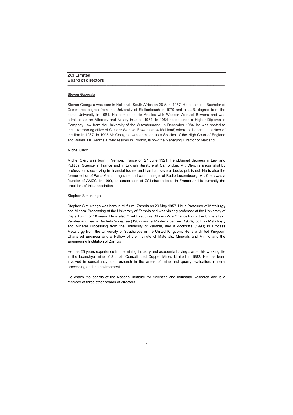# **ZCI Limited Board of directors**

# Steven Georgala

Steven Georgala was born in Nelspruit, South Africa on 26 April 1957. He obtained a Bachelor of Commerce degree from the University of Stellenbosch in 1979 and a LL.B. degree from the same University in 1981. He completed his Articles with Webber Wentzel Bowens and was admitted as an Attorney and Notary in June 1984. In 1984 he obtained a Higher Diploma in Company Law from the University of the Witwatersrand. In December 1984, he was posted to the Luxembourg office of Webber Wentzel Bowens (now Maitland) where he became a partner of the firm in 1987. In 1995 Mr Georgala was admitted as a Solicitor of the High Court of England and Wales. Mr Georgala, who resides in London, is now the Managing Director of Maitland.

\_\_\_\_\_\_\_\_\_\_\_\_\_\_\_\_\_\_\_\_\_\_\_\_\_\_\_\_\_\_\_\_\_\_\_\_\_\_\_\_\_\_\_\_\_\_\_\_\_\_\_\_\_\_\_\_\_\_\_\_\_\_\_\_\_\_\_\_\_\_\_\_\_\_\_\_\_\_\_\_\_\_\_\_\_\_\_\_\_\_\_\_\_\_\_\_\_\_\_\_\_ **\_\_\_\_\_\_\_\_\_\_\_\_\_\_\_\_\_\_\_\_\_\_\_\_\_\_\_\_\_\_\_\_\_\_\_\_\_\_\_\_\_\_\_\_\_\_\_\_\_\_\_\_\_\_\_\_\_\_\_\_\_\_\_\_\_\_\_\_\_\_\_\_\_\_\_\_\_\_\_\_\_\_\_\_\_\_\_\_\_\_\_\_\_\_\_\_\_\_\_\_\_**

# Michel Clerc

Michel Clerc was born in Vernon, France on 27 June 1921. He obtained degrees in Law and Political Science in France and in English literature at Cambridge. Mr. Clerc is a journalist by profession, specializing in financial issues and has had several books published. He is also the former editor of Paris-Match magazine and was manager of Radio Luxembourg. Mr. Clerc was a founder of AMZCI in 1999, an association of ZCI shareholders in France and is currently the president of this association.

# Stephen Simukanga

Stephen Simukanga was born in Mufulira, Zambia on 20 May 1957. He is Professor of Metallurgy and Mineral Processing at the University of Zambia and was visiting professor at the University of Cape Town for 10 years. He is also Chief Executive Officer (Vice Chancellor) of the University of Zambia and has a Bachelor's degree (1982) and a Master's degree (1986), both in Metallurgy and Mineral Processing from the University of Zambia, and a doctorate (1990) in Process Metallurgy from the University of Strathclyde in the United Kingdom. He is a United Kingdom Chartered Engineer and a Fellow of the Institute of Materials, Minerals and Mining and the Engineering Institution of Zambia.

He has 26 years experience in the mining industry and academia having started his working life in the Luanshya mine of Zambia Consolidated Copper Mines Limited in 1982. He has been involved in consultancy and research in the areas of mine and quarry evaluation, mineral processing and the environment.

He chairs the boards of the National Institute for Scientific and Industrial Research and is a member of three other boards of directors.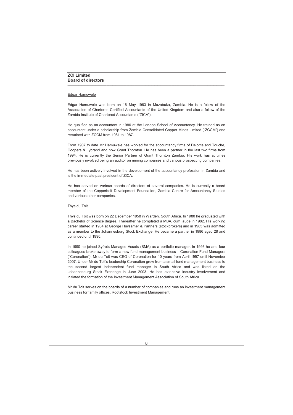# **ZCI Limited Board of directors**

# Edgar Hamuwele

Edgar Hamuwele was born on 16 May 1963 in Mazabuka, Zambia. He is a fellow of the Association of Chartered Certified Accountants of the United Kingdom and also a fellow of the Zambia Institute of Chartered Accountants ("ZICA").

\_\_\_\_\_\_\_\_\_\_\_\_\_\_\_\_\_\_\_\_\_\_\_\_\_\_\_\_\_\_\_\_\_\_\_\_\_\_\_\_\_\_\_\_\_\_\_\_\_\_\_\_\_\_\_\_\_\_\_\_\_\_\_\_\_\_\_\_\_\_\_\_\_\_\_\_\_\_\_\_\_\_\_\_\_\_\_\_\_\_\_\_\_\_\_\_\_\_\_\_\_ **\_\_\_\_\_\_\_\_\_\_\_\_\_\_\_\_\_\_\_\_\_\_\_\_\_\_\_\_\_\_\_\_\_\_\_\_\_\_\_\_\_\_\_\_\_\_\_\_\_\_\_\_\_\_\_\_\_\_\_\_\_\_\_\_\_\_\_\_\_\_\_\_\_\_\_\_\_\_\_\_\_\_\_\_\_\_\_\_\_\_\_\_\_\_\_\_\_\_\_\_\_**

He qualified as an accountant in 1986 at the London School of Accountancy. He trained as an accountant under a scholarship from Zambia Consolidated Copper Mines Limited ("ZCCM") and remained with ZCCM from 1981 to 1987.

From 1987 to date Mr Hamuwele has worked for the accountancy firms of Deloitte and Touche, Coopers & Lybrand and now Grant Thornton. He has been a partner in the last two firms from 1994. He is currently the Senior Partner of Grant Thornton Zambia. His work has at times previously involved being an auditor on mining companies and various prospecting companies.

He has been actively involved in the development of the accountancy profession in Zambia and is the immediate past president of ZICA.

He has served on various boards of directors of several companies. He is currently a board member of the Copperbelt Development Foundation, Zambia Centre for Accountancy Studies and various other companies.

# Thys du Toit

Thys du Toit was born on 22 December 1958 in Warden, South Africa. In 1980 he graduated with a Bachelor of Science degree. Thereafter he completed a MBA, cum laude in 1982. His working career started in 1984 at George Huysamer & Partners (stockbrokers) and in 1985 was admitted as a member to the Johannesburg Stock Exchange. He became a partner in 1986 aged 28 and continued until 1990.

In 1990 he joined Syfrets Managed Assets (SMA) as a portfolio manager. In 1993 he and four colleagues broke away to form a new fund management business – Coronation Fund Managers ("Coronation"). Mr du Toit was CEO of Coronation for 10 years from April 1997 until November 2007. Under Mr du Toit's leadership Coronation grew from a small fund management business to the second largest independent fund manager in South Africa and was listed on the Johannesburg Stock Exchange in June 2003. He has extensive industry involvement and initiated the formation of the Investment Management Association of South Africa.

Mr du Toit serves on the boards of a number of companies and runs an investment management business for family offices, Rootstock Investment Management.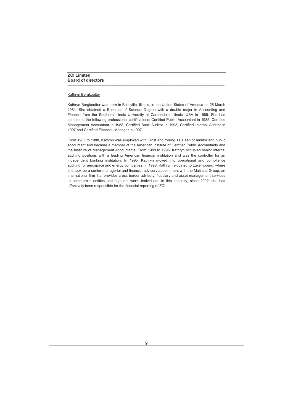# Kathryn Bergkoetter

Kathryn Bergkoetter was born in Belleville, Illinois, in the United States of America on 25 March 1964. She obtained a Bachelor of Science Degree with a double major in Accounting and Finance from the Southern Illinois University at Carbondale, Illinois, USA in 1985. She has completed the following professional certifications: Certified Public Accountant in 1985, Certified Management Accountant in 1988, Certified Bank Auditor in 1993, Certified Internal Auditor in 1997 and Certified Financial Manager in 1997.

\_\_\_\_\_\_\_\_\_\_\_\_\_\_\_\_\_\_\_\_\_\_\_\_\_\_\_\_\_\_\_\_\_\_\_\_\_\_\_\_\_\_\_\_\_\_\_\_\_\_\_\_\_\_\_\_\_\_\_\_\_\_\_\_\_\_\_\_\_\_\_\_\_\_\_\_\_\_\_\_\_\_\_\_\_\_\_\_\_\_\_\_\_\_\_\_\_\_\_\_\_ **\_\_\_\_\_\_\_\_\_\_\_\_\_\_\_\_\_\_\_\_\_\_\_\_\_\_\_\_\_\_\_\_\_\_\_\_\_\_\_\_\_\_\_\_\_\_\_\_\_\_\_\_\_\_\_\_\_\_\_\_\_\_\_\_\_\_\_\_\_\_\_\_\_\_\_\_\_\_\_\_\_\_\_\_\_\_\_\_\_\_\_\_\_\_\_\_\_\_\_\_\_**

From 1985 to 1988, Kathryn was employed with Ernst and Young as a senior auditor and public accountant and became a member of the American Institute of Certified Public Accountants and the Institute of Management Accountants. From 1988 to 1995, Kathryn occupied senior internal auditing positions with a leading American financial institution and was the controller for an independent banking institution. In 1995, Kathryn moved into operational and compliance auditing for aerospace and energy companies. In 1998, Kathryn relocated to Luxembourg, where she took up a senior managerial and financial advisory appointment with the Maitland Group, an international firm that provides cross-border advisory, fiduciary and asset management services to commercial entities and high net worth individuals. In this capacity, since 2002, she has effectively been responsible for the financial reporting of ZCI.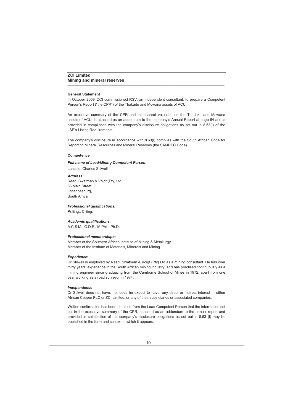# **ZCI Limited Mining and mineral reserves**

## **General Statement**

In October 2009, ZCI commissioned RSV, an independent consultant, to prepare a Competent Person's Report ("the CPR") of the Thakadu and Mowana assets of ACU.

\_\_\_\_\_\_\_\_\_\_\_\_\_\_\_\_\_\_\_\_\_\_\_\_\_\_\_\_\_\_\_\_\_\_\_\_\_\_\_\_\_\_\_\_\_\_\_\_\_\_\_\_\_\_\_\_\_\_\_\_\_\_\_\_\_\_\_\_\_\_\_\_\_\_\_\_\_\_\_\_\_\_\_\_\_\_\_\_\_\_\_\_\_\_\_\_\_\_\_\_\_ **\_\_\_\_\_\_\_\_\_\_\_\_\_\_\_\_\_\_\_\_\_\_\_\_\_\_\_\_\_\_\_\_\_\_\_\_\_\_\_\_\_\_\_\_\_\_\_\_\_\_\_\_\_\_\_\_\_\_\_\_\_\_\_\_\_\_\_\_\_\_\_\_\_\_\_\_\_\_\_\_\_\_\_\_\_\_\_\_\_\_\_\_\_\_\_\_\_\_\_\_\_**

An executive summary of the CPR and mine asset valuation on the Thadaku and Mowana assets of ACU, is attached as an addendum to the company's Annual Report at page 64 and is provided in compliance with the company's disclosure obligations as set out in 8.63(l) of the JSE's Listing Requirements.

The company's disclosure in accordance with 8.63(l) complies with the South African Code for Reporting Mineral Resources and Mineral Reserves (the SAMREC Code).

## **Competence**

## *Full name of Lead/Mining Competent Person:*

Lancelot Charles Stilwell

## *Address:*

Read, Swatman & Voigt (Pty) Ltd, 86 Main Street, Johannesburg, South Africa

*Professional qualifications:*

Pr.Eng., C.Eng.

# *Academic qualifications:*

A.C.S.M., G.D.E., M.Phil., Ph.D.

# *Professional memberships:*

Member of the Southern African Institute of Mining & Metallurgy. Member of the Institute of Materials, Minerals and Mining.

# *Experience***:**

Dr Stilwell is employed by Read, Swatman & Voigt (Pty) Ltd as a mining consultant. He has over thirty years' experience in the South African mining industry, and has practised continuously as a mining engineer since graduating from the Camborne School of Mines in 1972, apart from one year working as a road surveyor in 1974.

## *Independence*

Dr Stilwell does not have, nor does he expect to have, any direct or indirect interest in either African Copper PLC or ZCI Limited, or any of their subsidiaries or associated companies.

Written confirmation has been obtained from the Lead Competent Person that the information set out in the executive summary of the CPR, attached as an addendum to the annual report and provided in satisfaction of the company's disclosure obligations as set out in 8.63 (l) may be published in the form and context in which it appears.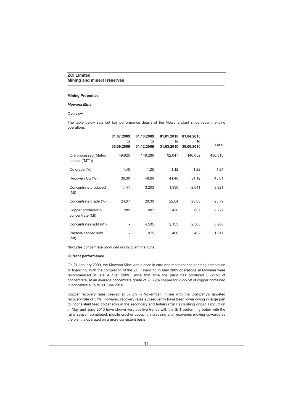# **ZCI Limited Mining and mineral reserves**

## **Mining Properties**

## *Mowana Mine*

## **Overview**

The table below sets out key performance details of the Mowana plant since recommencing operations:

\_\_\_\_\_\_\_\_\_\_\_\_\_\_\_\_\_\_\_\_\_\_\_\_\_\_\_\_\_\_\_\_\_\_\_\_\_\_\_\_\_\_\_\_\_\_\_\_\_\_\_\_\_\_\_\_\_\_\_\_\_\_\_\_\_\_\_\_\_\_\_\_\_\_\_\_\_\_\_\_\_\_\_\_\_\_\_\_\_\_\_\_\_\_\_\_\_\_\_\_\_ **\_\_\_\_\_\_\_\_\_\_\_\_\_\_\_\_\_\_\_\_\_\_\_\_\_\_\_\_\_\_\_\_\_\_\_\_\_\_\_\_\_\_\_\_\_\_\_\_\_\_\_\_\_\_\_\_\_\_\_\_\_\_\_\_\_\_\_\_\_\_\_\_\_\_\_\_\_\_\_\_\_\_\_\_\_\_\_\_\_\_\_\_\_\_\_\_\_\_\_\_\_**

|                                         | 01.07.2009<br>to<br>30.09.2009 | 01.10.2009<br>to<br>31.12.2009 | 01.01.2010<br>to<br>31.03.2010 | 01.04.2010<br>to<br>30.06.2010 | Total   |
|-----------------------------------------|--------------------------------|--------------------------------|--------------------------------|--------------------------------|---------|
| Ore processed (Metric<br>tonnes ("MT")) | 49,925                         | 148,286                        | 92,047                         | 146,052                        | 436,310 |
| Cu grade (%)                            | 1.45                           | 1.25                           | 1.12                           | 1.22                           | 1.24    |
| Recovery Cu (%)                         | 39.30                          | 48.90                          | 41.48                          | 34.12                          | 45.01   |
| Concentrate produced<br>(Mt)            | 1,141                          | 3,203                          | 1,936                          | 2,641                          | 8,921   |
| Concentrate grade (%)                   | 24.97                          | 28.30                          | 22.04                          | 23.00                          | 25.79   |
| Copper produced in<br>concentrate (Mt)  | 285                            | 907                            | 428                            | 607                            | 2,227   |
| Concentrates sold (Mt)                  |                                | 4,535                          | 2,133                          | 2,300                          | 8,968   |
| Payable copper sold<br>(Mt)             |                                | 975                            | 460                            | 482                            | 1,917   |

\*Includes concentrate produced during plant trial runs

# **Current performance**

On 21 January 2009, the Mowana Mine was placed in care and maintenance pending completion of financing. With the completion of the ZCI Financing in May 2009 operations at Mowana were recommenced in late August 2009. Since that time the plant has produced 8,921Mt of concentrate, at an average concentrate grade of 25.79% copper for 2,227Mt of copper contained in concentrate up to 30 June 2010.

Copper recovery rates peaked at 57.3% in November, in line with the Company's targeted recovery rate of 57%. However, recovery rates subsequently have been lower owing in large part to inconsistent feed bottlenecks in the secondary and tertiary ("SnT") crushing circuit. Production in May and June 2010 have shown very positive trends with the SnT performing better with the rainy season completed, mobile crusher capacity increasing and recoveries moving upwards as the plant is operated on a more consistent basis.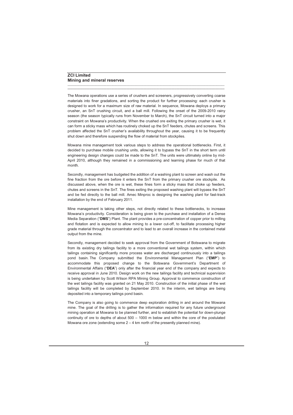The Mowana operations use a series of crushers and screeners, progressively converting coarse materials into finer gradations, and sorting the product for further processing: each crusher is designed to work for a maximum size of raw material. In sequence, Mowana deploys a primary crusher, an SnT crushing circuit, and a ball mill. Following the onset of the 2009-2010 rainy season (the season typically runs from November to March), the SnT circuit turned into a major constraint on Mowana's productivity. When the crushed ore exiting the primary crusher is wet, it can form a sticky mass which has routinely choked up the SnT feeders, chutes and screens. This problem affected the SnT crusher's availability throughout the year, causing it to be frequently shut down and therefore suspending the flow of material from stockpiles.

\_\_\_\_\_\_\_\_\_\_\_\_\_\_\_\_\_\_\_\_\_\_\_\_\_\_\_\_\_\_\_\_\_\_\_\_\_\_\_\_\_\_\_\_\_\_\_\_\_\_\_\_\_\_\_\_\_\_\_\_\_\_\_\_\_\_\_\_\_\_\_\_\_\_\_\_\_\_\_\_\_\_\_\_\_\_\_\_\_\_\_\_\_\_\_\_\_\_\_\_\_ **\_\_\_\_\_\_\_\_\_\_\_\_\_\_\_\_\_\_\_\_\_\_\_\_\_\_\_\_\_\_\_\_\_\_\_\_\_\_\_\_\_\_\_\_\_\_\_\_\_\_\_\_\_\_\_\_\_\_\_\_\_\_\_\_\_\_\_\_\_\_\_\_\_\_\_\_\_\_\_\_\_\_\_\_\_\_\_\_\_\_\_\_\_\_\_\_\_\_\_\_\_**

Mowana mine management took various steps to address the operational bottlenecks. First, it decided to purchase mobile crushing units, allowing it to bypass the SnT in the short term until engineering design changes could be made to the SnT. The units were ultimately online by mid-April 2010, although they remained in a commissioning and learning phase for much of that month*.*

Secondly, management has budgeted the addition of a washing plant to screen and wash out the fine fraction from the ore before it enters the SnT from the primary crusher ore stockpile. As discussed above, when the ore is wet, these fines form a sticky mass that choke up feeders, chutes and screens in the SnT. The fines exiting the proposed washing plant will bypass the SnT and be fed directly to the ball mill. Amec Minproc is designing the washing plant for fast-track installation by the end of February 2011.

Mine management is taking other steps, not directly related to these bottlenecks, to increase Mowana's productivity. Consideration is being given to the purchase and installation of a Dense Media Separation ("**DMS**") Plant. The plant provides a pre-concentration of copper prior to milling and flotation and is expected to allow mining to a lower cut-off, to facilitate processing higher grade material through the concentrator and to lead to an overall increase in the contained metal output from the mine.

Secondly, management decided to seek approval from the Government of Botswana to migrate from its existing dry tailings facility to a more conventional wet tailings system, within which tailings containing significantly more process water are discharged continuously into a tailings pond basin. The Company submitted the Environmental Management Plan ("**EMP**") to accommodate this proposed change to the Botswana Government's Department of Environmental Affairs ("**DEA**") only after the financial year end of the company and expects to receive approval in June 2010. Design work on the new tailings facility and technical supervision is being undertaken by Scott Wilson RPA Mining Group. Approval to commence construction of the wet tailings facility was granted on 21 May 2010. Construction of the initial phase of the wet tailings facility will be completed by September 2010. In the interim, wet tailings are being deposited into a temporary tailings pond basin*.*

The Company is also going to commence deep exploration drilling in and around the Mowana mine. The goal of the drilling is to gather the information required for any future underground mining operation at Mowana to be planned further, and to establish the potential for down-plunge continuity of ore to depths of about 500 – 1000 m below and within the core of the postulated Mowana ore zone (extending some  $2 - 4$  km north of the presently planned mine).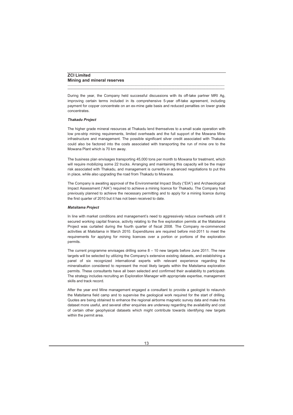# **ZCI Limited Mining and mineral reserves**

During the year, the Company held successful discussions with its off-take partner MRI Ag, improving certain terms included in its comprehensive 5-year off-take agreement, including payment for copper concentrate on an ex-mine gate basis and reduced penalties on lower grade concentrates.

\_\_\_\_\_\_\_\_\_\_\_\_\_\_\_\_\_\_\_\_\_\_\_\_\_\_\_\_\_\_\_\_\_\_\_\_\_\_\_\_\_\_\_\_\_\_\_\_\_\_\_\_\_\_\_\_\_\_\_\_\_\_\_\_\_\_\_\_\_\_\_\_\_\_\_\_\_\_\_\_\_\_\_\_\_\_\_\_\_\_\_\_\_\_\_\_\_\_\_\_\_ **\_\_\_\_\_\_\_\_\_\_\_\_\_\_\_\_\_\_\_\_\_\_\_\_\_\_\_\_\_\_\_\_\_\_\_\_\_\_\_\_\_\_\_\_\_\_\_\_\_\_\_\_\_\_\_\_\_\_\_\_\_\_\_\_\_\_\_\_\_\_\_\_\_\_\_\_\_\_\_\_\_\_\_\_\_\_\_\_\_\_\_\_\_\_\_\_\_\_\_\_\_**

# *Thakadu Project*

The higher grade mineral resources at Thakadu lend themselves to a small scale operation with low pre-strip mining requirements, limited overheads and the full support of the Mowana Mine infrastructure and management. The possible significant silver credit associated with Thakadu could also be factored into the costs associated with transporting the run of mine ore to the Mowana Plant which is 70 km away.

The business plan envisages transporting 45,000 tons per month to Mowana for treatment, which will require mobilizing some 22 trucks. Arranging and maintaining this capacity will be the major risk associated with Thakadu, and management is currently in advanced negotiations to put this in place, while also upgrading the road from Thakadu to Mowana.

The Company is awaiting approval of the Environmental Impact Study ("EIA") and Archaeological Impact Assessment ("AIA") required to achieve a mining licence for Thakadu. The Company had previously planned to achieve the necessary permitting and to apply for a mining licence during the first quarter of 2010 but it has not been received to date.

# *Matsitama Project*

In line with market conditions and management's need to aggressively reduce overheads until it secured working capital finance, activity relating to the five exploration permits at the Matsitama Project was curtailed during the fourth quarter of fiscal 2008. The Company re-commenced activities at Matsitama in March 2010. Expenditures are required before mid-2011 to meet the requirements for applying for mining licences over a portion or portions of the exploration permits.

The current programme envisages drilling some 8 – 10 new targets before June 2011. The new targets will be selected by utilizing the Company's extensive existing datasets, and establishing a panel of six recognized international experts with relevant experience regarding the mineralisation considered to represent the most likely targets within the Matsitama exploration permits. These consultants have all been selected and confirmed their availability to participate. The strategy includes recruiting an Exploration Manager with appropriate expertise, management skills and track record.

After the year end Mine management engaged a consultant to provide a geologist to relaunch the Matsitama field camp and to supervise the geological work required for the start of drilling. Quotes are being obtained to enhance the regional airborne magnetic survey data and make this dataset more useful, and several other enquiries are underway regarding the availability and cost of certain other geophysical datasets which might contribute towards identifying new targets within the permit area.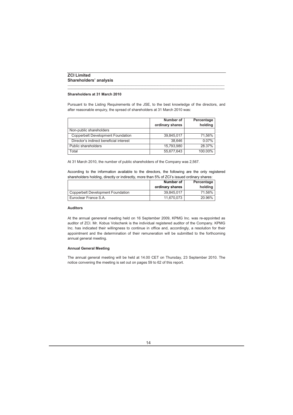# **Shareholders at 31 March 2010**

Pursuant to the Listing Requirements of the JSE, to the best knowledge of the directors, and after reasonable enquiry, the spread of shareholders at 31 March 2010 was:

\_\_\_\_\_\_\_\_\_\_\_\_\_\_\_\_\_\_\_\_\_\_\_\_\_\_\_\_\_\_\_\_\_\_\_\_\_\_\_\_\_\_\_\_\_\_\_\_\_\_\_\_\_\_\_\_\_\_\_\_\_\_\_\_\_\_\_\_\_\_\_\_\_\_\_\_\_\_\_\_\_\_\_\_\_\_\_\_\_\_\_\_\_\_\_\_\_\_\_\_\_ **\_\_\_\_\_\_\_\_\_\_\_\_\_\_\_\_\_\_\_\_\_\_\_\_\_\_\_\_\_\_\_\_\_\_\_\_\_\_\_\_\_\_\_\_\_\_\_\_\_\_\_\_\_\_\_\_\_\_\_\_\_\_\_\_\_\_\_\_\_\_\_\_\_\_\_\_\_\_\_\_\_\_\_\_\_\_\_\_\_\_\_\_\_\_\_\_\_\_\_\_\_**

|                                          | Number of<br>ordinary shares | Percentage<br>holding |
|------------------------------------------|------------------------------|-----------------------|
| Non-public shareholders                  |                              |                       |
| <b>Copperbelt Development Foundation</b> | 39.845.017                   | 71.56%                |
| Director's indirect beneficial interest  | 38.646                       | 0.07%                 |
| Public shareholders                      | 15.793.980                   | 28.37%                |
| Total                                    | 55,677,643                   | 100.00%               |

At 31 March 2010, the number of public shareholders of the Company was 2,567.

According to the information available to the directors, the following are the only registered shareholders holding, directly or indirectly, more than 5% of ZCI's issued ordinary shares:

|                                   | Number of<br>ordinary shares | Percentage<br>holding |
|-----------------------------------|------------------------------|-----------------------|
| Copperbelt Development Foundation | 39.845.017                   | 71.56%                |
| Euroclear France S.A.             | 11.670.073                   | 20.96%                |

# **Auditors**

At the annual genereral meeting held on 16 September 2009, KPMG Inc. was re-appointed as auditor of ZCI. Mr. Kobus Volschenk is the individual registered auditor of the Company. KPMG Inc. has indicated their willingness to continue in office and, accordingly, a resolution for their appointment and the determination of their remuneration will be submitted to the forthcoming annual general meeting.

# **Annual General Meeting**

The annual general meeting will be held at 14.00 CET on Thursday, 23 September 2010. The notice convening the meeting is set out on pages 59 to 62 of this report.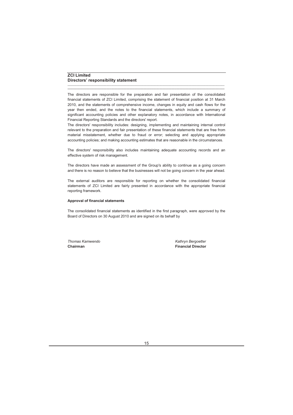# **ZCI Limited Directors' responsibility statement**

The directors are responsible for the preparation and fair presentation of the consolidated financial statements of ZCI Limited, comprising the statement of financial position at 31 March 2010, and the statements of comprehensive income, changes in equity and cash flows for the year then ended, and the notes to the financial statements, which include a summary of significant accounting policies and other explanatory notes, in accordance with International Financial Reporting Standards and the directors' report.

\_\_\_\_\_\_\_\_\_\_\_\_\_\_\_\_\_\_\_\_\_\_\_\_\_\_\_\_\_\_\_\_\_\_\_\_\_\_\_\_\_\_\_\_\_\_\_\_\_\_\_\_\_\_\_\_\_\_\_\_\_\_\_\_\_\_\_\_\_\_\_\_\_\_\_\_\_\_\_\_\_\_\_\_\_\_\_\_\_\_\_\_\_\_\_\_\_\_\_\_\_ **\_\_\_\_\_\_\_\_\_\_\_\_\_\_\_\_\_\_\_\_\_\_\_\_\_\_\_\_\_\_\_\_\_\_\_\_\_\_\_\_\_\_\_\_\_\_\_\_\_\_\_\_\_\_\_\_\_\_\_\_\_\_\_\_\_\_\_\_\_\_\_\_\_\_\_\_\_\_\_\_\_\_\_\_\_\_\_\_\_\_\_\_\_\_\_\_\_\_\_\_\_**

The directors' responsibility includes: designing, implementing and maintaining internal control relevant to the preparation and fair presentation of these financial statements that are free from material misstatement, whether due to fraud or error; selecting and applying appropriate accounting policies; and making accounting estimates that are reasonable in the circumstances.

The directors' responsibility also includes maintaining adequate accounting records and an effective system of risk management.

The directors have made an assessment of the Group's ability to continue as a going concern and there is no reason to believe that the businesses will not be going concern in the year ahead.

The external auditors are responsible for reporting on whether the consolidated financial statements of ZCI Limited are fairly presented in accordance with the appropriate financial reporting framework.

# **Approval of financial statements**

The consolidated financial statements as identified in the first paragraph, were approved by the Board of Directors on 30 August 2010 and are signed on its behalf by

*Thomas Kamwendo Kathryn Bergoetter* **Chairman Financial Director**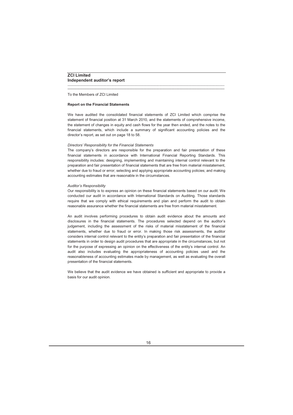To the Members of ZCI Limited

## **Report on the Financial Statements**

We have audited the consolidated financial statements of ZCI Limited which comprise the statement of financial position at 31 March 2010, and the statements of comprehensive income, the statement of changes in equity and cash flows for the year then ended, and the notes to the financial statements, which include a summary of significant accounting policies and the director's report, as set out on page 18 to 58.

\_\_\_\_\_\_\_\_\_\_\_\_\_\_\_\_\_\_\_\_\_\_\_\_\_\_\_\_\_\_\_\_\_\_\_\_\_\_\_\_\_\_\_\_\_\_\_\_\_\_\_\_\_\_\_\_\_\_\_\_\_\_\_\_\_\_\_\_\_\_\_\_\_\_\_\_\_\_\_\_\_\_\_\_\_\_\_\_\_\_\_\_\_\_\_\_\_\_\_\_\_ **\_\_\_\_\_\_\_\_\_\_\_\_\_\_\_\_\_\_\_\_\_\_\_\_\_\_\_\_\_\_\_\_\_\_\_\_\_\_\_\_\_\_\_\_\_\_\_\_\_\_\_\_\_\_\_\_\_\_\_\_\_\_\_\_\_\_\_\_\_\_\_\_\_\_\_\_\_\_\_\_\_\_\_\_\_\_\_\_\_\_\_\_\_\_\_\_\_\_\_\_\_**

# *Directors' Responsibility for the Financial Statements*

The company's directors are responsible for the preparation and fair presentation of these financial statements in accordance with International Financial Reporting Standards. This responsibility includes: designing, implementing and maintaining internal control relevant to the preparation and fair presentation of financial statements that are free from material misstatement, whether due to fraud or error; selecting and applying appropriate accounting policies; and making accounting estimates that are reasonable in the circumstances.

## *Auditor's Responsibility*

Our responsibility is to express an opinion on these financial statements based on our audit. We conducted our audit in accordance with International Standards on Auditing. Those standards require that we comply with ethical requirements and plan and perform the audit to obtain reasonable assurance whether the financial statements are free from material misstatement.

An audit involves performing procedures to obtain audit evidence about the amounts and disclosures in the financial statements. The procedures selected depend on the auditor's judgement, including the assessment of the risks of material misstatement of the financial statements, whether due to fraud or error. In making those risk assessments, the auditor considers internal control relevant to the entity's preparation and fair presentation of the financial statements in order to design audit procedures that are appropriate in the circumstances, but not for the purpose of expressing an opinion on the effectiveness of the entity's internal control. An audit also includes evaluating the appropriateness of accounting policies used and the reasonableness of accounting estimates made by management, as well as evaluating the overall presentation of the financial statements.

We believe that the audit evidence we have obtained is sufficient and appropriate to provide a basis for our audit opinion.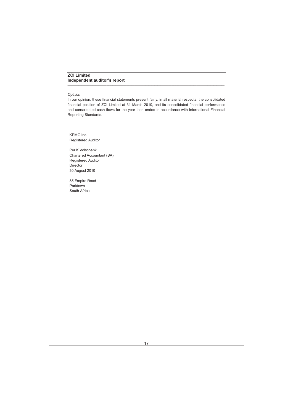# **ZCI Limited Independent auditor's report**

## *Opinion*

In our opinion, these financial statements present fairly, in all material respects, the consolidated financial position of ZCI Limited at 31 March 2010, and its consolidated financial performance and consolidated cash flows for the year then ended in accordance with International Financial Reporting Standards.

\_\_\_\_\_\_\_\_\_\_\_\_\_\_\_\_\_\_\_\_\_\_\_\_\_\_\_\_\_\_\_\_\_\_\_\_\_\_\_\_\_\_\_\_\_\_\_\_\_\_\_\_\_\_\_\_\_\_\_\_\_\_\_\_\_\_\_\_\_\_\_\_\_\_\_\_\_\_\_\_\_\_\_\_\_\_\_\_\_\_\_\_\_\_\_\_\_\_\_\_\_ **\_\_\_\_\_\_\_\_\_\_\_\_\_\_\_\_\_\_\_\_\_\_\_\_\_\_\_\_\_\_\_\_\_\_\_\_\_\_\_\_\_\_\_\_\_\_\_\_\_\_\_\_\_\_\_\_\_\_\_\_\_\_\_\_\_\_\_\_\_\_\_\_\_\_\_\_\_\_\_\_\_\_\_\_\_\_\_\_\_\_\_\_\_\_\_\_\_\_\_\_\_**

KPMG Inc. Registered Auditor

Per K Volschenk Chartered Accountant (SA) Registered Auditor Director 30 August 2010

85 Empire Road Parktown South Africa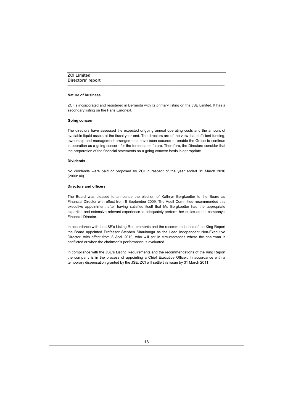# **ZCI Limited Directors' report**

# **Nature of business**

ZCI is incorporated and registered in Bermuda with its primary listing on the JSE Limited. It has a secondary listing on the Paris Euronext.

\_\_\_\_\_\_\_\_\_\_\_\_\_\_\_\_\_\_\_\_\_\_\_\_\_\_\_\_\_\_\_\_\_\_\_\_\_\_\_\_\_\_\_\_\_\_\_\_\_\_\_\_\_\_\_\_\_\_\_\_\_\_\_\_\_\_\_\_\_\_\_\_\_\_\_\_\_\_\_\_\_\_\_\_\_\_\_\_\_\_\_\_\_\_\_\_\_\_\_\_\_ **\_\_\_\_\_\_\_\_\_\_\_\_\_\_\_\_\_\_\_\_\_\_\_\_\_\_\_\_\_\_\_\_\_\_\_\_\_\_\_\_\_\_\_\_\_\_\_\_\_\_\_\_\_\_\_\_\_\_\_\_\_\_\_\_\_\_\_\_\_\_\_\_\_\_\_\_\_\_\_\_\_\_\_\_\_\_\_\_\_\_\_\_\_\_\_\_\_\_\_\_\_**

## **Going concern**

The directors have assessed the expected ongoing annual operating costs and the amount of available liquid assets at the fiscal year end. The directors are of the view that sufficient funding, ownership and management arrangements have been secured to enable the Group to continue in operation as a going concern for the foreseeable future. Therefore, the Directors consider that the preparation of the financial statements on a going concern basis is appropriate.

# **Dividends**

No dividends were paid or proposed by ZCI in respect of the year ended 31 March 2010 (2009: nil)*.*

# **Directors and officers**

The Board was pleased to announce the election of Kathryn Bergkoetter to the Board as Financial Director with effect from 8 September 2009. The Audit Committee recommended this executive appointment after having satisfied itself that Ms Bergkoetter had the appropriate expertise and extensive relevant experience to adequately perform her duties as the company's Financial Director.

In accordance with the JSE's Listing Requirements and the recommendations of the King Report the Board appointed Professor Stephen Simukanga as the Lead Independent Non-Executive Director, with effect from 8 April 2010, who will act in circumstances where the chairman is conflicted or when the chairman's performance is evaluated.

In compliance with the JSE's Listing Requirements and the recommendations of the King Report the company is in the process of appointing a Chief Executive Officer. In accordance with a temporary dispensation granted by the JSE, ZCI will settle this issue by 31 March 2011.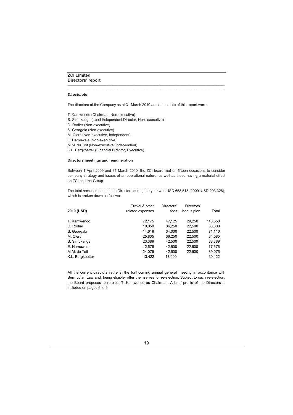# **ZCI Limited Directors' report**

# *Directorate*

The directors of the Company as at 31 March 2010 and at the date of this report were:

\_\_\_\_\_\_\_\_\_\_\_\_\_\_\_\_\_\_\_\_\_\_\_\_\_\_\_\_\_\_\_\_\_\_\_\_\_\_\_\_\_\_\_\_\_\_\_\_\_\_\_\_\_\_\_\_\_\_\_\_\_\_\_\_\_\_\_\_\_\_\_\_\_\_\_\_\_\_\_\_\_\_\_\_\_\_\_\_\_\_\_\_\_\_\_\_\_\_\_\_\_ **\_\_\_\_\_\_\_\_\_\_\_\_\_\_\_\_\_\_\_\_\_\_\_\_\_\_\_\_\_\_\_\_\_\_\_\_\_\_\_\_\_\_\_\_\_\_\_\_\_\_\_\_\_\_\_\_\_\_\_\_\_\_\_\_\_\_\_\_\_\_\_\_\_\_\_\_\_\_\_\_\_\_\_\_\_\_\_\_\_\_\_\_\_\_\_\_\_\_\_\_\_**

- T. Kamwendo (Chairman, Non-executive)
- S. Simukanga (Lead Independent Director, Non- executive)
- D. Rodier (Non-executive)
- S. Georgala (Non-executive)
- M. Clerc (Non-executive, Independent)
- E. Hamuwele (Non-executive)
- M.M. du Toit (Non-executive, Independent)
- K.L. Bergkoetter (Financial Director, Executive)

# **Directors meetings and remuneration**

Between 1 April 2009 and 31 March 2010, the ZCI board met on fifteen occasions to consider company strategy and issues of an operational nature, as well as those having a material effect on ZCI and the Group.

The total remuneration paid to Directors during the year was USD 658,513 (2009: USD 293,328), which is broken down as follows:

| Travel & other<br>related expenses | Directors'<br>fees | Directors'<br>bonus plan | Total   |
|------------------------------------|--------------------|--------------------------|---------|
| 72,175                             | 47,125             | 29,250                   | 148,550 |
| 10,050                             | 36,250             | 22,500                   | 68,800  |
| 14,616                             | 34,000             | 22,500                   | 71,116  |
| 25,835                             | 36,250             | 22,500                   | 84,585  |
| 23.389                             | 42,500             | 22,500                   | 88,389  |
| 12,576                             | 42,500             | 22,500                   | 77,576  |
| 24.075                             | 42,500             | 22,500                   | 89,075  |
| 13,422                             | 17,000             |                          | 30,422  |
|                                    |                    |                          |         |

All the current directors retire at the forthcoming annual general meeting in accordance with Bermudian Law and, being eligible, offer themselves for re-election. Subject to such re-election, the Board proposes to re-elect T. Kamwendo as Chairman. A brief profile of the Directors is included on pages 6 to 9.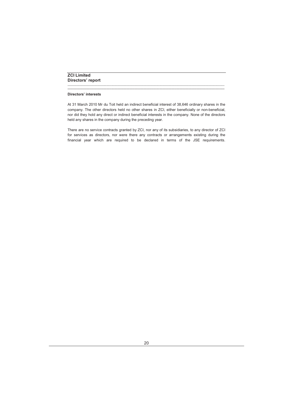# **Directors' interests**

At 31 March 2010 Mr du Toit held an indirect beneficial interest of 38,646 ordinary shares in the company. The other directors held no other shares in ZCI, either beneficially or non-beneficial, nor did they hold any direct or indirect beneficial interests in the company. None of the directors held any shares in the company during the preceding year.

\_\_\_\_\_\_\_\_\_\_\_\_\_\_\_\_\_\_\_\_\_\_\_\_\_\_\_\_\_\_\_\_\_\_\_\_\_\_\_\_\_\_\_\_\_\_\_\_\_\_\_\_\_\_\_\_\_\_\_\_\_\_\_\_\_\_\_\_\_\_\_\_\_\_\_\_\_\_\_\_\_\_\_\_\_\_\_\_\_\_\_\_\_\_\_\_\_\_\_\_\_ **\_\_\_\_\_\_\_\_\_\_\_\_\_\_\_\_\_\_\_\_\_\_\_\_\_\_\_\_\_\_\_\_\_\_\_\_\_\_\_\_\_\_\_\_\_\_\_\_\_\_\_\_\_\_\_\_\_\_\_\_\_\_\_\_\_\_\_\_\_\_\_\_\_\_\_\_\_\_\_\_\_\_\_\_\_\_\_\_\_\_\_\_\_\_\_\_\_\_\_\_\_**

There are no service contracts granted by ZCI, nor any of its subsidiaries, to any director of ZCI for services as directors, nor were there any contracts or arrangements existing during the financial year which are required to be declared in terms of the JSE requirements.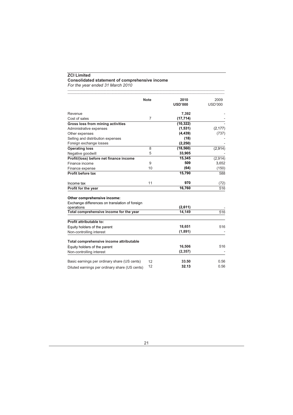# **ZCI Limited Consolidated statement of comprehensive income**

*For the year ended 31 March 2010*

|                                                | <b>Note</b>    | 2010<br><b>USD'000</b> | 2009<br><b>USD'000</b> |
|------------------------------------------------|----------------|------------------------|------------------------|
|                                                |                |                        |                        |
| Revenue                                        | $\overline{7}$ | 7,392                  |                        |
| Cost of sales                                  |                | (17, 714)              |                        |
| Gross loss from mining activities              |                | (10, 322)<br>(1, 531)  | (2, 177)               |
| Administrative expenses                        |                | (4, 439)               |                        |
| Other expenses                                 |                | (18)                   | (737)                  |
| Selling and distribution expenses              |                | (2, 250)               |                        |
| Foreign exchange losses                        | 8              | (18, 560)              |                        |
| <b>Operating loss</b>                          | 5              | 33,905                 | (2,914)                |
| Negative goodwill                              |                |                        |                        |
| Profit/(loss) before net finance income        | 9              | 15,345<br>509          | (2,914)<br>3,652       |
| Finance income                                 | 10             |                        |                        |
| Finance expense                                |                | (64)                   | (150)                  |
| Profit before tax                              |                | 15,790                 | 588                    |
| Income tax                                     | 11             | 970                    | (72)                   |
| Profit for the year                            |                | 16,760                 | 516                    |
| Other comprehensive income:                    |                |                        |                        |
| Exchange differences on translation of foreign |                |                        |                        |
| operations                                     |                | (2,611)                |                        |
| Total comprehensive income for the year        |                | 14,149                 | 516                    |
| Profit attributable to:                        |                |                        |                        |
| Equity holders of the parent                   |                | 18,651                 | 516                    |
| Non-controlling interest                       |                | (1,891)                |                        |
| Total comprehensive income attributable        |                |                        |                        |
| Equity holders of the parent                   |                | 16,506                 | 516                    |
| Non-controlling interest                       |                | (2, 357)               |                        |
|                                                |                |                        |                        |
| Basic earnings per ordinary share (US cents)   | 12             | 33.50                  | 0.56                   |
| Diluted earnings per ordinary share (US cents) | 12             | 32.13                  | 0.56                   |

\_\_\_\_\_\_\_\_\_\_\_\_\_\_\_\_\_\_\_\_\_\_\_\_\_\_\_\_\_\_\_\_\_\_\_\_\_\_\_\_\_\_\_\_\_\_\_\_\_\_\_\_\_\_\_\_\_\_\_\_\_\_\_\_\_\_\_\_\_\_\_\_\_\_\_\_\_\_\_\_\_\_\_\_\_\_\_\_\_\_\_\_\_\_\_\_\_\_\_\_\_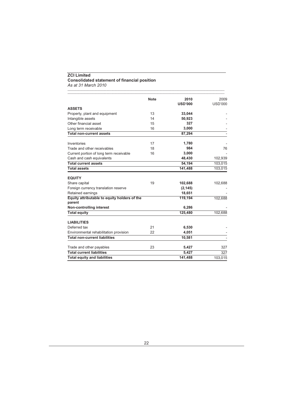# **ZCI Limited Consolidated statement of financial position**

*As at 31 March 2010*

|                                                        | <b>Note</b> | 2010           | 2009           |
|--------------------------------------------------------|-------------|----------------|----------------|
| <b>ASSETS</b>                                          |             | <b>USD'000</b> | <b>USD'000</b> |
| Property, plant and equipment                          | 13          | 33,044         |                |
| Intangible assets                                      | 14          | 50,923         |                |
| Other financial asset                                  | 15          | 327            |                |
| Long term receivable                                   | 16          | 3,000          |                |
| <b>Total non-current assets</b>                        |             | 87,294         |                |
| Inventories                                            | 17          | 1,780          |                |
| Trade and other receivables                            | 18          | 984            | 76             |
| Current portion of long term receivable                | 16          | 3.000          |                |
| Cash and cash equivalents                              |             | 48,430         | 102,939        |
| <b>Total current assets</b>                            |             | 54,194         | 103,015        |
| <b>Total assets</b>                                    |             | 141,488        | 103,015        |
| <b>EQUITY</b>                                          |             |                |                |
| Share capital                                          | 19          | 102,688        | 102,688        |
| Foreign currency translation reserve                   |             | (2, 145)       |                |
| Retained earnings                                      |             | 18,651         |                |
| Equity attributable to equity holders of the<br>parent |             | 119.194        | 102,688        |
| Non-controlling interest                               |             | 6,286          |                |
| <b>Total equity</b>                                    |             | 125,480        | 102,688        |
| <b>LIABILITIES</b>                                     |             |                |                |
| Deferred tax                                           | 21          | 6,530          |                |
| Environmental rehabilitation provision                 | 22          | 4,051          |                |
| <b>Total non-current liabilities</b>                   |             | 10,581         |                |
| Trade and other payables                               | 23          | 5,427          | 327            |
| <b>Total current liabilities</b>                       |             | 5.427          | 327            |
| <b>Total equity and liabilities</b>                    |             | 141,488        | 103.015        |

\_\_\_\_\_\_\_\_\_\_\_\_\_\_\_\_\_\_\_\_\_\_\_\_\_\_\_\_\_\_\_\_\_\_\_\_\_\_\_\_\_\_\_\_\_\_\_\_\_\_\_\_\_\_\_\_\_\_\_\_\_\_\_\_\_\_\_\_\_\_\_\_\_\_\_\_\_\_\_\_\_\_\_\_\_\_\_\_\_\_\_\_\_\_\_\_\_\_\_\_\_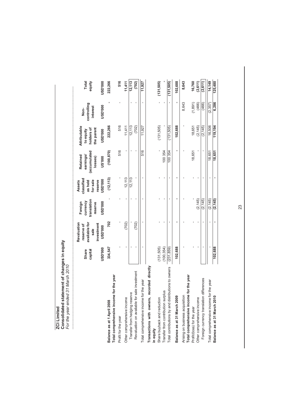| Consolidated statement of changes in equity<br>For the year ended 31 March 2010<br><b>ZCI Limited</b> |                  |                                                                  |                                               |                                                        |                                                 |                                                       |                                 |                 |
|-------------------------------------------------------------------------------------------------------|------------------|------------------------------------------------------------------|-----------------------------------------------|--------------------------------------------------------|-------------------------------------------------|-------------------------------------------------------|---------------------------------|-----------------|
|                                                                                                       | Share<br>capital | available for<br>Revaluation<br>investment<br>reserve of<br>sale | translation<br>currency<br>Foreign<br>reserve | classified<br>for sale<br>reserve<br>as held<br>Assets | accumulated<br>earnings/<br>Retained<br>losses) | Attributable<br>holders of<br>the parent<br>to equity | controlling<br>interest<br>Non- | Total<br>equity |
|                                                                                                       | <b>000.GSN</b>   | 000.GSN                                                          | <b>000.dSN</b>                                | 000.GSN                                                | 000.SN                                          | <b>000.GSN</b>                                        | <b>000.GSN</b>                  | 000.GSN         |
| Total comprehensive income for the year<br>Balance as at 1 April 2008                                 | 334,547          | 702                                                              |                                               | (12, 113)                                              | (100, 870)                                      | 222,266                                               |                                 | 222,266         |
| Profit for the year                                                                                   |                  |                                                                  |                                               |                                                        | 516                                             | 516                                                   |                                 | 516             |
| Other comprehensive income                                                                            |                  | (702)                                                            |                                               | 12,113                                                 |                                                 | 11,411                                                |                                 | 11,411          |
| Transfer from hedging reserve                                                                         |                  |                                                                  |                                               | 12,113                                                 |                                                 | 12, 113                                               |                                 | 12, 113         |
| Revaluation on available for sale investment                                                          |                  | (702)                                                            |                                               |                                                        |                                                 | (702)                                                 |                                 | (702)           |
| Total comprehensive income for the year                                                               |                  |                                                                  |                                               |                                                        | 516                                             | 11,927                                                |                                 | 11,927          |
| Transactions with owners, recorded directly<br>in equity                                              |                  |                                                                  |                                               |                                                        |                                                 |                                                       |                                 |                 |
| Share buyback and reduction                                                                           | (131, 505)       |                                                                  |                                               |                                                        |                                                 | (131, 505)                                            |                                 | (131, 505)      |
| Transfer from contribution surplus                                                                    | (100, 354)       |                                                                  |                                               |                                                        | 100354                                          |                                                       |                                 |                 |
| Total contributions by and distributions to owners                                                    | (231, 859)       |                                                                  |                                               |                                                        | 100354                                          | (131,505)                                             |                                 | (131, 505)      |
| eo<br>Balance as at 31 March 20                                                                       | 102,688          |                                                                  |                                               |                                                        |                                                 | 102,688                                               |                                 | 102,688         |
| Total comprehensive income for the year<br>Arising on business acquisition                            |                  |                                                                  |                                               |                                                        |                                                 |                                                       | 8,643                           | 8,643           |
| Profit/(loss) for the year                                                                            |                  |                                                                  |                                               |                                                        | 18,651                                          | 18,651                                                | (1, 891)                        | 16,760          |
| Other comprehensive income                                                                            |                  |                                                                  | (2, 145)                                      |                                                        |                                                 | (2, 145)                                              | (466)                           | (2, 611)        |
| Foreign currency translation differences                                                              |                  |                                                                  | (2, 145)                                      |                                                        |                                                 | (2, 145)                                              | (466)                           | (2, 611)        |
| Total comprehensive income for the year                                                               |                  |                                                                  | (2, 145)                                      |                                                        | 18,651                                          | 16,506                                                | (2, 357)                        | 14,149          |
| Balance as at 31 March 2010                                                                           | 102.688          |                                                                  | (2, 145)                                      |                                                        | 18,651                                          | 119,194                                               | 6,286                           | 125,480         |

23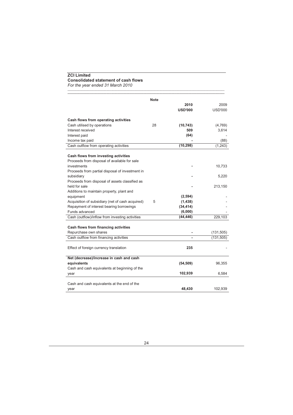# **ZCI Limited Consolidated statement of cash flows**

*For the year ended 31 March 2010*

|                                                  | <b>Note</b> |                |                |
|--------------------------------------------------|-------------|----------------|----------------|
|                                                  |             | 2010           | 2009           |
|                                                  |             | <b>USD'000</b> | <b>USD'000</b> |
| Cash flows from operating activities             |             |                |                |
| Cash utilised by operations                      | 28          | (10, 743)      | (4,769)        |
| Interest received                                |             | 509            | 3,614          |
| Interest paid                                    |             | (64)           |                |
| Income tax paid                                  |             |                | (88)           |
| Cash outflow from operating activities           |             | (10, 298)      | (1, 243)       |
| Cash flows from investing activities             |             |                |                |
| Proceeds from disposal of available for sale     |             |                |                |
| investments                                      |             |                | 10,733         |
| Proceeds from partial disposal of investment in  |             |                |                |
| subsidiary                                       |             |                | 5,220          |
| Proceeds from disposal of assets classified as   |             |                |                |
| held for sale                                    |             |                | 213,150        |
| Additions to maintain property, plant and        |             |                |                |
| equipment                                        |             | (2, 594)       |                |
| Acquisition of subsidiary (net of cash acquired) | 5           | (1, 438)       |                |
| Repayment of interest bearing borrowings         |             | (34, 414)      |                |
| Funds advanced                                   |             | (6,000)        |                |
| Cash (outflow)/inflow from investing activities  |             | (44, 446)      | 229,103        |
| Cash flows from financing activities             |             |                |                |
| Repurchase own shares                            |             |                | (131, 505)     |
| Cash outflow from financing activities           |             |                | (131, 505)     |
| Effect of foreign currency translation           |             | 235            |                |
|                                                  |             |                |                |
| Net (decrease)/increase in cash and cash         |             |                |                |
| equivalents                                      |             | (54, 509)      | 96,355         |
| Cash and cash equivalents at beginning of the    |             |                |                |
| year                                             |             | 102,939        | 6,584          |
| Cash and cash equivalents at the end of the      |             |                |                |
| year                                             |             | 48.430         | 102,939        |

\_\_\_\_\_\_\_\_\_\_\_\_\_\_\_\_\_\_\_\_\_\_\_\_\_\_\_\_\_\_\_\_\_\_\_\_\_\_\_\_\_\_\_\_\_\_\_\_\_\_\_\_\_\_\_\_\_\_\_\_\_\_\_\_\_\_\_\_\_\_\_\_\_\_\_\_\_\_\_\_\_\_\_\_\_\_\_\_\_\_\_\_\_\_\_\_\_\_\_\_\_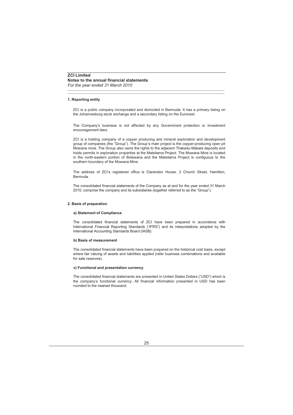# **1. Reporting entity**

ZCI is a public company incorporated and domiciled in Bermuda. It has a primary listing on the Johannesburg stock exchange and a secondary listing on the Euronext.

\_\_\_\_\_\_\_\_\_\_\_\_\_\_\_\_\_\_\_\_\_\_\_\_\_\_\_\_\_\_\_\_\_\_\_\_\_\_\_\_\_\_\_\_\_\_\_\_\_\_\_\_\_\_\_\_\_\_\_\_\_\_\_\_\_\_\_\_\_\_\_\_\_\_\_\_\_\_\_\_\_\_\_\_\_\_\_\_\_\_\_\_\_\_\_\_\_\_\_\_\_ \_\_\_\_\_\_\_\_\_\_\_\_\_\_\_\_\_\_\_\_\_\_\_\_\_\_\_\_\_\_\_\_\_\_\_\_\_\_\_\_\_\_\_\_\_\_\_\_\_\_\_\_\_\_\_\_\_\_\_\_\_\_\_\_\_\_\_\_\_\_\_\_\_\_\_\_\_\_\_\_\_\_\_\_\_\_\_\_\_\_\_\_\_\_\_\_\_\_\_\_\_

The Company's business is not affected by any Government protection or investment encouragement laws.

ZCI is a holding company of a copper producing and mineral exploration and development group of companies (the "Group"). The Group's main project is the copper-producing open pit Mowana mine. The Group also owns the rights to the adjacent Thakadu-Makala deposits and holds permits in exploration properties at the Matsitama Project. The Mowana Mine is located in the north-eastern portion of Botswana and the Matsitama Project is contiguous to the southern boundary of the Mowana Mine.

The address of ZCI's registered office is Clarendon House, 2 Church Street, Hamilton, Bermuda.

The consolidated financial statements of the Company as at and for the year ended 31 March 2010, comprise the company and its subsidiaries (together referred to as the "Group").

## **2. Basis of preparation**

## **a) Statement of Compliance**

The consolidated financial statements of ZCI have been prepared in accordance with International Financial Reporting Standards ("IFRS") and its interpretations adopted by the International Accounting Standards Board (IASB).

## **b) Basis of measurement**

The consolidated financial statements have been prepared on the historical cost basis, except where fair valuing of assets and liabilities applied (refer business combinations and available for sale reserves).

## **c) Functional and presentation currency**

The consolidated financial statements are presented in United States Dollars ("USD") which is the company's functional currency. All financial information presented in USD has been rounded to the nearest thousand.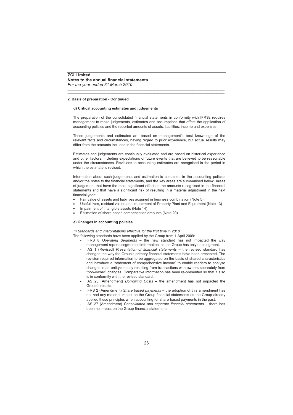# **ZCI Limited Notes to the annual financial statements**

*For the year ended 31 March 2010*

# **2. Basis of preparation - Continued**

## **d) Critical accounting estimates and judgements**

The preparation of the consolidated financial statements in conformity with IFRSs requires management to make judgements, estimates and assumptions that affect the application of accounting policies and the reported amounts of assets, liabilities, income and expenses.

\_\_\_\_\_\_\_\_\_\_\_\_\_\_\_\_\_\_\_\_\_\_\_\_\_\_\_\_\_\_\_\_\_\_\_\_\_\_\_\_\_\_\_\_\_\_\_\_\_\_\_\_\_\_\_\_\_\_\_\_\_\_\_\_\_\_\_\_\_\_\_\_\_\_\_\_\_\_\_\_\_\_\_\_\_\_\_\_\_\_\_\_\_\_\_\_\_\_\_\_\_ \_\_\_\_\_\_\_\_\_\_\_\_\_\_\_\_\_\_\_\_\_\_\_\_\_\_\_\_\_\_\_\_\_\_\_\_\_\_\_\_\_\_\_\_\_\_\_\_\_\_\_\_\_\_\_\_\_\_\_\_\_\_\_\_\_\_\_\_\_\_\_\_\_\_\_\_\_\_\_\_\_\_\_\_\_\_\_\_\_\_\_\_\_\_\_\_\_\_\_\_\_

These judgements and estimates are based on management's best knowledge of the relevant facts and circumstances, having regard to prior experience, but actual results may differ from the amounts included in the financial statements.

Estimates and judgements are continually evaluated and are based on historical experience and other factors, including expectations of future events that are believed to be reasonable under the circumstances. Revisions to accounting estimates are recognised in the period in which the estimate is revised.

Information about such judgements and estimation is contained in the accounting policies and/or the notes to the financial statements, and the key areas are summarised below. Areas of judgement that have the most significant effect on the amounts recognised in the financial statements and that have a significant risk of resulting in a material adjustment in the next financial year:

- Fair value of assets and liabilities acquired in business combination (Note 5)
- Useful lives, residual values and impairment of Property Plant and Equipment (Note 13)
- Impairment of intangible assets (Note 14)
- Estimation of share based compensation amounts (Note 20)

## **e) Changes in accounting policies**

*(i) Standards and interpretations effective for the first time in 2010*

The following standards have been applied by the Group from 1 April 2009:

- IFRS 8 *Operating Segments* the new standard has not impacted the way management reports segmented information, as the Group has only one segment.
- IAS 1 (Revised) *Presentation of financial statements* the revised standard has changed the way the Group's primary financial statements have been presented. The revision required information to be aggregated on the basis of shared characteristics and introduce a "statement of comprehensive income" to enable readers to analyse changes in an entity's equity resulting from transactions with owners separately from "non-owner" changes. Comparative information has been re-presented so that it also is in conformity with the revised standard.
- IAS 23 (Amendment) *Borrowing Costs* the amendment has not impacted the Group's results.
- IFRS 2 (Amendment) *Share based payments* the adoption of this amendment has not had any material impact on the Group financial statements as the Group already applied these principles when accounting for share-based payments in the past.
- IAS 27 (Amendment) *Consolidated and separate financial statements* there has been no impact on the Group financial statements.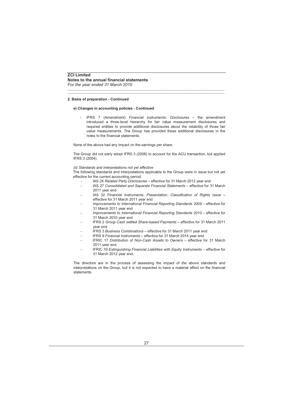# **2. Basis of preparation - Continued**

## **e) Changes in accounting policies - Continued**

- IFRS 7 (Amendment) *Financial instruments: Disclosures* – the amendment introduced a three-level hierarchy for fair value measurement disclosures and required entities to provide additional disclosures about the reliability of those fair value measurements. The Group has provided these additional disclosures in the notes to the financial statements.

\_\_\_\_\_\_\_\_\_\_\_\_\_\_\_\_\_\_\_\_\_\_\_\_\_\_\_\_\_\_\_\_\_\_\_\_\_\_\_\_\_\_\_\_\_\_\_\_\_\_\_\_\_\_\_\_\_\_\_\_\_\_\_\_\_\_\_\_\_\_\_\_\_\_\_\_\_\_\_\_\_\_\_\_\_\_\_\_\_\_\_\_\_\_\_\_\_\_\_\_\_ \_\_\_\_\_\_\_\_\_\_\_\_\_\_\_\_\_\_\_\_\_\_\_\_\_\_\_\_\_\_\_\_\_\_\_\_\_\_\_\_\_\_\_\_\_\_\_\_\_\_\_\_\_\_\_\_\_\_\_\_\_\_\_\_\_\_\_\_\_\_\_\_\_\_\_\_\_\_\_\_\_\_\_\_\_\_\_\_\_\_\_\_\_\_\_\_\_\_\_\_\_

None of the above had any impact on the earnings per share.

The Group did not early adopt IFRS 3 (2008) to account for the ACU transaction, but applied IFRS 3 (2004).

## *(ii) Standards and interpretations not yet effective*

The following standards and interpretations applicable to the Group were in issue but not yet effective for the current accounting period:

- IAS 24 *Related Party Disclosures* effective for 31 March 2012 year end
- IAS 27 *Consolidated and Separate Financial Statements –* effective for 31 March 2011 year end
- IAS 32 *Financial Instruments: Presentation: Classification of Rights Issue –* effective for 31 March 2011 year end
- *Improvements to International Financial Reporting Standards 2009 –* effective for 31 March 2011 year end
- *Improvements to International Financial Reporting Standards 2010 –* effective for 31 March 2010 year end
- IFRS 2 *Group Cash settled Share-based Payments –* effective for 31 March 2011 year end
- IFRS 3 *Business Combinations –* effective for 31 March 2011 year end
- IFRS 9 *Financial Instruments –* effective for 31 March 2014 year end
- IFRIC 17 *Distribution of Non-Cash Assets to Owners –* effective for 31 March 2011 year end
- IFRIC 19 Extinguishing Financial Liabilities with Equity Instruments effective for 31 March 2012 year end.

The directors are in the process of assessing the impact of the above standards and interpretations on the Group, but it is not expected to have a material effect on the financial statements.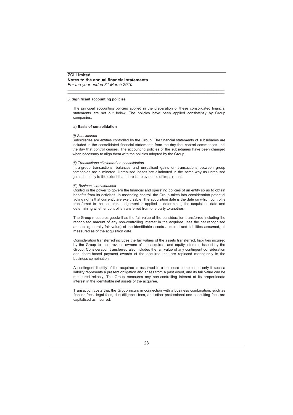## **3. Significant accounting policies**

The principal accounting policies applied in the preparation of these consolidated financial statements are set out below. The policies have been applied consistently by Group companies.

\_\_\_\_\_\_\_\_\_\_\_\_\_\_\_\_\_\_\_\_\_\_\_\_\_\_\_\_\_\_\_\_\_\_\_\_\_\_\_\_\_\_\_\_\_\_\_\_\_\_\_\_\_\_\_\_\_\_\_\_\_\_\_\_\_\_\_\_\_\_\_\_\_\_\_\_\_\_\_\_\_\_\_\_\_\_\_\_\_\_\_\_\_\_\_\_\_\_\_\_\_ \_\_\_\_\_\_\_\_\_\_\_\_\_\_\_\_\_\_\_\_\_\_\_\_\_\_\_\_\_\_\_\_\_\_\_\_\_\_\_\_\_\_\_\_\_\_\_\_\_\_\_\_\_\_\_\_\_\_\_\_\_\_\_\_\_\_\_\_\_\_\_\_\_\_\_\_\_\_\_\_\_\_\_\_\_\_\_\_\_\_\_\_\_\_\_\_\_\_\_\_\_

## **a) Basis of consolidation**

## *(i) Subsidiaries*

Subsidiaries are entities controlled by the Group. The financial statements of subsidiaries are included in the consolidated financial statements from the day that control commences until the day that control ceases. The accounting policies of the subsidiaries have been changed when necessary to align them with the policies adopted by the Group.

## *(ii) Transactions eliminated on consolidation*

Intra-group transactions, balances and unrealised gains on transactions between group companies are eliminated. Unrealised losses are eliminated in the same way as unrealised gains, but only to the extent that there is no evidence of impairment.

## *(iii) Business combinations*

Control is the power to govern the financial and operating policies of an entity so as to obtain benefits from its activities. In assessing control, the Group takes into consideration potential voting rights that currently are exercisable. The acquisition date is the date on which control is transferred to the acquirer. Judgement is applied in determining the acquisition date and determining whether control is transferred from one party to another.

The Group measures goodwill as the fair value of the consideration transferred including the recognised amount of any non-controlling interest in the acquiree, less the net recognised amount (generally fair value) of the identifiable assets acquired and liabilities assumed, all measured as of the acquisition date.

Consideration transferred includes the fair values of the assets transferred, liabilities incurred by the Group to the previous owners of the acquiree, and equity interests issued by the Group. Consideration transferred also includes the fair value of any contingent consideration and share-based payment awards of the acquiree that are replaced mandatorily in the business combination.

A contingent liability of the acquiree is assumed in a business combination only if such a liability represents a present obligation and arises from a past event, and its fair value can be measured reliably. The Group measures any non-controlling interest at its proportionate interest in the identifiable net assets of the acquiree.

Transaction costs that the Group incurs in connection with a business combination, such as finder's fees, legal fees, due diligence fees, and other professional and consulting fees are capitalised as incurred.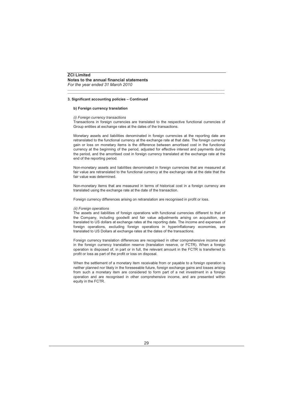## **b) Foreign currency translation**

#### *(i) Foreign currency transactions*

Transactions in foreign currencies are translated to the respective functional currencies of Group entities at exchange rates at the dates of the transactions.

\_\_\_\_\_\_\_\_\_\_\_\_\_\_\_\_\_\_\_\_\_\_\_\_\_\_\_\_\_\_\_\_\_\_\_\_\_\_\_\_\_\_\_\_\_\_\_\_\_\_\_\_\_\_\_\_\_\_\_\_\_\_\_\_\_\_\_\_\_\_\_\_\_\_\_\_\_\_\_\_\_\_\_\_\_\_\_\_\_\_\_\_\_\_\_\_\_\_\_\_\_ \_\_\_\_\_\_\_\_\_\_\_\_\_\_\_\_\_\_\_\_\_\_\_\_\_\_\_\_\_\_\_\_\_\_\_\_\_\_\_\_\_\_\_\_\_\_\_\_\_\_\_\_\_\_\_\_\_\_\_\_\_\_\_\_\_\_\_\_\_\_\_\_\_\_\_\_\_\_\_\_\_\_\_\_\_\_\_\_\_\_\_\_\_\_\_\_\_\_\_\_\_

Monetary assets and liabilities denominated in foreign currencies at the reporting date are retranslated to the functional currency at the exchange rate at that date. The foreign currency gain or loss on monetary items is the difference between amortised cost in the functional currency at the beginning of the period, adjusted for effective interest and payments during the period, and the amortised cost in foreign currency translated at the exchange rate at the end of the reporting period.

Non-monetary assets and liabilities denominated in foreign currencies that are measured at fair value are retranslated to the functional currency at the exchange rate at the date that the fair value was determined.

Non-monetary items that are measured in terms of historical cost in a foreign currency are translated using the exchange rate at the date of the transaction.

Foreign currency differences arising on retranslation are recognised in profit or loss.

#### *(ii) Foreign operations*

The assets and liabilities of foreign operations with functional currencies different to that of the Company, including goodwill and fair value adjustments arising on acquisition, are translated to US dollars at exchange rates at the reporting date. The income and expenses of foreign operations, excluding foreign operations in hyperinflationary economies, are translated to US Dollars at exchange rates at the dates of the transactions.

Foreign currency translation differences are recognised in other comprehensive income and in the foreign currency translation reserve (translation reserve, or FCTR). When a foreign operation is disposed of, in part or in full, the relevant amount in the FCTR is transferred to profit or loss as part of the profit or loss on disposal.

When the settlement of a monetary item receivable from or payable to a foreign operation is neither planned nor likely in the foreseeable future, foreign exchange gains and losses arising from such a monetary item are considered to form part of a net investment in a foreign operation and are recognised in other comprehensive income, and are presented within equity in the FCTR.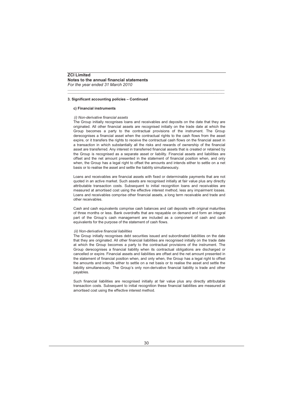# **ZCI Limited Notes to the annual financial statements**

*For the year ended 31 March 2010*

# **3. Significant accounting policies – Continued**

## **c) Financial instruments**

## *(i) Non-derivative financial assets*

The Group initially recognises loans and receivables and deposits on the date that they are originated. All other financial assets are recognised initially on the trade date at which the Group becomes a party to the contractual provisions of the instrument. The Group derecognises a financial asset when the contractual rights to the cash flows from the asset expire, or it transfers the rights to receive the contractual cash flows on the financial asset in a transaction in which substantially all the risks and rewards of ownership of the financial asset are transferred. Any interest in transferred financial assets that is created or retained by the Group is recognised as a separate asset or liability. Financial assets and liabilities are offset and the net amount presented in the statement of financial position when, and only when, the Group has a legal right to offset the amounts and intends either to settle on a net basis or to realise the asset and settle the liability simultaneously.

\_\_\_\_\_\_\_\_\_\_\_\_\_\_\_\_\_\_\_\_\_\_\_\_\_\_\_\_\_\_\_\_\_\_\_\_\_\_\_\_\_\_\_\_\_\_\_\_\_\_\_\_\_\_\_\_\_\_\_\_\_\_\_\_\_\_\_\_\_\_\_\_\_\_\_\_\_\_\_\_\_\_\_\_\_\_\_\_\_\_\_\_\_\_\_\_\_\_\_\_\_ \_\_\_\_\_\_\_\_\_\_\_\_\_\_\_\_\_\_\_\_\_\_\_\_\_\_\_\_\_\_\_\_\_\_\_\_\_\_\_\_\_\_\_\_\_\_\_\_\_\_\_\_\_\_\_\_\_\_\_\_\_\_\_\_\_\_\_\_\_\_\_\_\_\_\_\_\_\_\_\_\_\_\_\_\_\_\_\_\_\_\_\_\_\_\_\_\_\_\_\_\_

Loans and receivables are financial assets with fixed or determinable payments that are not quoted in an active market. Such assets are recognised initially at fair value plus any directly attributable transaction costs. Subsequent to initial recognition loans and receivables are measured at amortised cost using the effective interest method, less any impairment losses. Loans and receivables comprise other financial assets, a long term receivable and trade and other receivables.

Cash and cash equivalents comprise cash balances and call deposits with original maturities of three months or less. Bank overdrafts that are repayable on demand and form an integral part of the Group's cash management are included as a component of cash and cash equivalents for the purpose of the statement of cash flows.

## *(ii) Non-derivative financial liabilities*

The Group initially recognises debt securities issued and subordinated liabilities on the date that they are originated. All other financial liabilities are recognised initially on the trade date at which the Group becomes a party to the contractual provisions of the instrument. The Group derecognises a financial liability when its contractual obligations are discharged or cancelled or expire. Financial assets and liabilities are offset and the net amount presented in the statement of financial position when, and only when, the Group has a legal right to offset the amounts and intends either to settle on a net basis or to realise the asset and settle the liability simultaneously. The Group's only non-derivative financial liability is trade and other payables.

Such financial liabilities are recognised initially at fair value plus any directly attributable transaction costs. Subsequent to initial recognition these financial liabilities are measured at amortised cost using the effective interest method.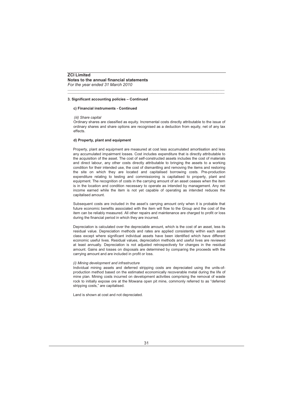## **c) Financial instruments - Continued**

#### *(iii) Share capital*

Ordinary shares are classified as equity. Incremental costs directly attributable to the issue of ordinary shares and share options are recognised as a deduction from equity, net of any tax effects.

\_\_\_\_\_\_\_\_\_\_\_\_\_\_\_\_\_\_\_\_\_\_\_\_\_\_\_\_\_\_\_\_\_\_\_\_\_\_\_\_\_\_\_\_\_\_\_\_\_\_\_\_\_\_\_\_\_\_\_\_\_\_\_\_\_\_\_\_\_\_\_\_\_\_\_\_\_\_\_\_\_\_\_\_\_\_\_\_\_\_\_\_\_\_\_\_\_\_\_\_\_ \_\_\_\_\_\_\_\_\_\_\_\_\_\_\_\_\_\_\_\_\_\_\_\_\_\_\_\_\_\_\_\_\_\_\_\_\_\_\_\_\_\_\_\_\_\_\_\_\_\_\_\_\_\_\_\_\_\_\_\_\_\_\_\_\_\_\_\_\_\_\_\_\_\_\_\_\_\_\_\_\_\_\_\_\_\_\_\_\_\_\_\_\_\_\_\_\_\_\_\_\_

# **d) Property, plant and equipment**

Property, plant and equipment are measured at cost less accumulated amortisation and less any accumulated impairment losses. Cost includes expenditure that is directly attributable to the acquisition of the asset. The cost of self-constructed assets includes the cost of materials and direct labour, any other costs directly attributable to bringing the assets to a working condition for their intended use, the cost of dismantling and removing the items and restoring the site on which they are located and capitalised borrowing costs. Pre-production expenditure relating to testing and commissioning is capitalised to property, plant and equipment. The recognition of costs in the carrying amount of an asset ceases when the item is in the location and condition necessary to operate as intended by management. Any net income earned while the item is not yet capable of operating as intended reduces the capitalised amount.

Subsequent costs are included in the asset's carrying amount only when it is probable that future economic benefits associated with the item will flow to the Group and the cost of the item can be reliably measured. All other repairs and maintenance are charged to profit or loss during the financial period in which they are incurred.

Depreciation is calculated over the depreciable amount, which is the cost of an asset, less its residual value. Depreciation methods and rates are applied consistently within each asset class except where significant individual assets have been identified which have different economic useful lives. Residual values, depreciation methods and useful lives are reviewed at least annually. Depreciation is not adjusted retrospectively for changes in the residual amount. Gains and losses on disposals are determined by comparing the proceeds with the carrying amount and are included in profit or loss.

## *(i) Mining development and infrastructure*

Individual mining assets and deferred stripping costs are depreciated using the units-ofproduction method based on the estimated economically recoverable metal during the life of mine plan. Mining costs incurred on development activities comprising the removal of waste rock to initially expose ore at the Mowana open pit mine, commonly referred to as "deferred stripping costs," are capitalised.

Land is shown at cost and not depreciated.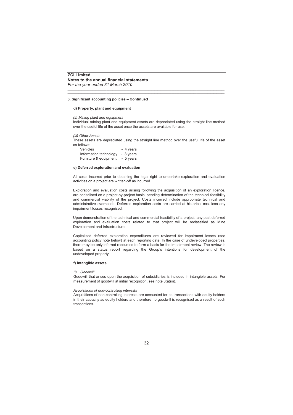## **d) Property, plant and equipment**

#### *(ii) Mining plant and equipment*

Individual mining plant and equipment assets are depreciated using the straight line method over the useful life of the asset once the assets are available for use.

\_\_\_\_\_\_\_\_\_\_\_\_\_\_\_\_\_\_\_\_\_\_\_\_\_\_\_\_\_\_\_\_\_\_\_\_\_\_\_\_\_\_\_\_\_\_\_\_\_\_\_\_\_\_\_\_\_\_\_\_\_\_\_\_\_\_\_\_\_\_\_\_\_\_\_\_\_\_\_\_\_\_\_\_\_\_\_\_\_\_\_\_\_\_\_\_\_\_\_\_\_ \_\_\_\_\_\_\_\_\_\_\_\_\_\_\_\_\_\_\_\_\_\_\_\_\_\_\_\_\_\_\_\_\_\_\_\_\_\_\_\_\_\_\_\_\_\_\_\_\_\_\_\_\_\_\_\_\_\_\_\_\_\_\_\_\_\_\_\_\_\_\_\_\_\_\_\_\_\_\_\_\_\_\_\_\_\_\_\_\_\_\_\_\_\_\_\_\_\_\_\_\_

#### *(iii) Other Assets*

These assets are depreciated using the straight line method over the useful life of the asset as follows:

| <b>Vehicles</b>        | - 4 years |
|------------------------|-----------|
| Information technology | - 3 vears |
| Furniture & equipment  | - 5 years |

## **e) Deferred exploration and evaluation**

All costs incurred prior to obtaining the legal right to undertake exploration and evaluation activities on a project are written-off as incurred.

Exploration and evaluation costs arising following the acquisition of an exploration licence, are capitalised on a project-by-project basis, pending determination of the technical feasibility and commercial viability of the project. Costs incurred include appropriate technical and administrative overheads. Deferred exploration costs are carried at historical cost less any impairment losses recognised.

Upon demonstration of the technical and commercial feasibility of a project, any past deferred exploration and evaluation costs related to that project will be reclassified as Mine Development and Infrastructure.

Capitalised deferred exploration expenditures are reviewed for impairment losses (see accounting policy note below) at each reporting date. In the case of undeveloped properties, there may be only inferred resources to form a basis for the impairment review. The review is based on a status report regarding the Group's intentions for development of the undeveloped property.

## **f) Intangible assets**

## *(i) Goodwill*

Goodwill that arises upon the acquisition of subsidiaries is included in intangible assets. For measurement of goodwill at initial recognition, see note 3(a)(iii).

#### *Acquisitions of non-controlling interests*

Acquisitions of non-controlling interests are accounted for as transactions with equity holders in their capacity as equity holders and therefore no goodwill is recognised as a result of such transactions.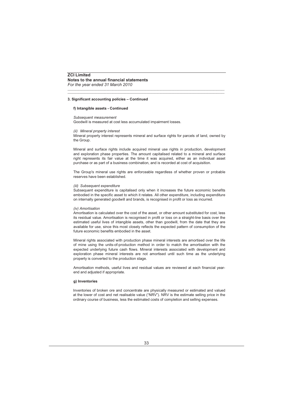## **f) Intangible assets - Continued**

#### *Subsequent measurement*

Goodwill is measured at cost less accumulated impairment losses.

## *(ii) Mineral property interest*

Mineral property interest represents mineral and surface rights for parcels of land, owned by the Group.

\_\_\_\_\_\_\_\_\_\_\_\_\_\_\_\_\_\_\_\_\_\_\_\_\_\_\_\_\_\_\_\_\_\_\_\_\_\_\_\_\_\_\_\_\_\_\_\_\_\_\_\_\_\_\_\_\_\_\_\_\_\_\_\_\_\_\_\_\_\_\_\_\_\_\_\_\_\_\_\_\_\_\_\_\_\_\_\_\_\_\_\_\_\_\_\_\_\_\_\_\_ \_\_\_\_\_\_\_\_\_\_\_\_\_\_\_\_\_\_\_\_\_\_\_\_\_\_\_\_\_\_\_\_\_\_\_\_\_\_\_\_\_\_\_\_\_\_\_\_\_\_\_\_\_\_\_\_\_\_\_\_\_\_\_\_\_\_\_\_\_\_\_\_\_\_\_\_\_\_\_\_\_\_\_\_\_\_\_\_\_\_\_\_\_\_\_\_\_\_\_\_\_

Mineral and surface rights include acquired mineral use rights in production, development and exploration phase properties. The amount capitalised related to a mineral and surface right represents its fair value at the time it was acquired, either as an individual asset purchase or as part of a business combination, and is recorded at cost of acquisition.

The Group's mineral use rights are enforceable regardless of whether proven or probable reserves have been established.

#### *(iii) Subsequent expenditure*

Subsequent expenditure is capitalised only when it increases the future economic benefits embodied in the specific asset to which it relates. All other expenditure, including expenditure on internally generated goodwill and brands, is recognised in profit or loss as incurred.

#### *(iv) Amortisation*

Amortisation is calculated over the cost of the asset, or other amount substituted for cost, less its residual value. Amortisation is recognised in profit or loss on a straight-line basis over the estimated useful lives of intangible assets, other than goodwill, from the date that they are available for use, since this most closely reflects the expected pattern of consumption of the future economic benefits embodied in the asset

Mineral rights associated with production phase mineral interests are amortised over the life of mine using the units-of-production method in order to match the amortisation with the expected underlying future cash flows. Mineral interests associated with development and exploration phase mineral interests are not amortised until such time as the underlying property is converted to the production stage.

Amortisation methods, useful lives and residual values are reviewed at each financial yearend and adjusted if appropriate.

## **g) Inventories**

Inventories of broken ore and concentrate are physically measured or estimated and valued at the lower of cost and net realisable value ("NRV"). NRV is the estimate selling price in the ordinary course of business, less the estimated costs of completion and selling expenses.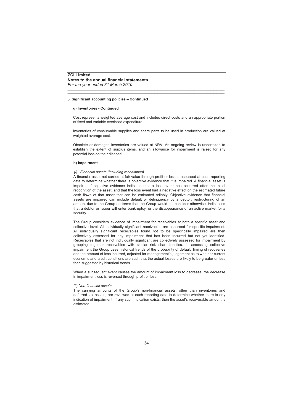#### **g) Inventories - Continued**

Cost represents weighted average cost and includes direct costs and an appropriate portion of fixed and variable overhead expenditure.

\_\_\_\_\_\_\_\_\_\_\_\_\_\_\_\_\_\_\_\_\_\_\_\_\_\_\_\_\_\_\_\_\_\_\_\_\_\_\_\_\_\_\_\_\_\_\_\_\_\_\_\_\_\_\_\_\_\_\_\_\_\_\_\_\_\_\_\_\_\_\_\_\_\_\_\_\_\_\_\_\_\_\_\_\_\_\_\_\_\_\_\_\_\_\_\_\_\_\_\_\_ \_\_\_\_\_\_\_\_\_\_\_\_\_\_\_\_\_\_\_\_\_\_\_\_\_\_\_\_\_\_\_\_\_\_\_\_\_\_\_\_\_\_\_\_\_\_\_\_\_\_\_\_\_\_\_\_\_\_\_\_\_\_\_\_\_\_\_\_\_\_\_\_\_\_\_\_\_\_\_\_\_\_\_\_\_\_\_\_\_\_\_\_\_\_\_\_\_\_\_\_\_

Inventories of consumable supplies and spare parts to be used in production are valued at weighted average cost.

Obsolete or damaged inventories are valued at NRV. An ongoing review is undertaken to establish the extent of surplus items, and an allowance for impairment is raised for any potential loss on their disposal.

#### **h) Impairment**

#### *(i) Financial assets (including receivables)*

A financial asset not carried at fair value through profit or loss is assessed at each reporting date to determine whether there is objective evidence that it is impaired. A financial asset is impaired if objective evidence indicates that a loss event has occurred after the initial recognition of the asset, and that the loss event had a negative effect on the estimated future cash flows of that asset that can be estimated reliably. Objective evidence that financial assets are impaired can include default or delinquency by a debtor, restructuring of an amount due to the Group on terms that the Group would not consider otherwise, indications that a debtor or issuer will enter bankruptcy, or the disappearance of an active market for a security.

The Group considers evidence of impairment for receivables at both a specific asset and collective level. All individually significant receivables are assessed for specific impairment. All individually significant receivables found not to be specifically impaired are then collectively assessed for any impairment that has been incurred but not yet identified. Receivables that are not individually significant are collectively assessed for impairment by grouping together receivables with similar risk characteristics. In assessing collective impairment the Group uses historical trends of the probability of default, timing of recoveries and the amount of loss incurred, adjusted for management's judgement as to whether current economic and credit conditions are such that the actual losses are likely to be greater or less than suggested by historical trends.

When a subsequent event causes the amount of impairment loss to decrease, the decrease in impairment loss is reversed through profit or loss.

#### *(ii) Non-financial assets*

The carrying amounts of the Group's non-financial assets, other than inventories and deferred tax assets, are reviewed at each reporting date to determine whether there is any indication of impairment. If any such indication exists, then the asset's recoverable amount is estimated.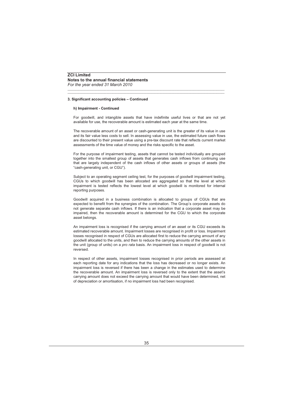#### **h) Impairment - Continued**

For goodwill, and intangible assets that have indefinite useful lives or that are not yet available for use, the recoverable amount is estimated each year at the same time.

\_\_\_\_\_\_\_\_\_\_\_\_\_\_\_\_\_\_\_\_\_\_\_\_\_\_\_\_\_\_\_\_\_\_\_\_\_\_\_\_\_\_\_\_\_\_\_\_\_\_\_\_\_\_\_\_\_\_\_\_\_\_\_\_\_\_\_\_\_\_\_\_\_\_\_\_\_\_\_\_\_\_\_\_\_\_\_\_\_\_\_\_\_\_\_\_\_\_\_\_\_ \_\_\_\_\_\_\_\_\_\_\_\_\_\_\_\_\_\_\_\_\_\_\_\_\_\_\_\_\_\_\_\_\_\_\_\_\_\_\_\_\_\_\_\_\_\_\_\_\_\_\_\_\_\_\_\_\_\_\_\_\_\_\_\_\_\_\_\_\_\_\_\_\_\_\_\_\_\_\_\_\_\_\_\_\_\_\_\_\_\_\_\_\_\_\_\_\_\_\_\_\_

The recoverable amount of an asset or cash-generating unit is the greater of its value in use and its fair value less costs to sell. In assessing value in use, the estimated future cash flows are discounted to their present value using a pre-tax discount rate that reflects current market assessments of the time value of money and the risks specific to the asset.

For the purpose of impairment testing, assets that cannot be tested individually are grouped together into the smallest group of assets that generates cash inflows from continuing use that are largely independent of the cash inflows of other assets or groups of assets (the "cash-generating unit, or CGU").

Subject to an operating segment ceiling test, for the purposes of goodwill impairment testing, CGUs to which goodwill has been allocated are aggregated so that the level at which impairment is tested reflects the lowest level at which goodwill is monitored for internal reporting purposes.

Goodwill acquired in a business combination is allocated to groups of CGUs that are expected to benefit from the synergies of the combination. The Group's corporate assets do not generate separate cash inflows. If there is an indication that a corporate asset may be impaired, then the recoverable amount is determined for the CGU to which the corporate asset belongs.

An impairment loss is recognised if the carrying amount of an asset or its CGU exceeds its estimated recoverable amount. Impairment losses are recognised in profit or loss. Impairment losses recognised in respect of CGUs are allocated first to reduce the carrying amount of any goodwill allocated to the units, and then to reduce the carrying amounts of the other assets in the unit (group of units) on a *pro rata* basis. An impairment loss in respect of goodwill is not reversed.

In respect of other assets, impairment losses recognised in prior periods are assessed at each reporting date for any indications that the loss has decreased or no longer exists. An impairment loss is reversed if there has been a change in the estimates used to determine the recoverable amount. An impairment loss is reversed only to the extent that the asset's carrying amount does not exceed the carrying amount that would have been determined, net of depreciation or amortisation, if no impairment loss had been recognised.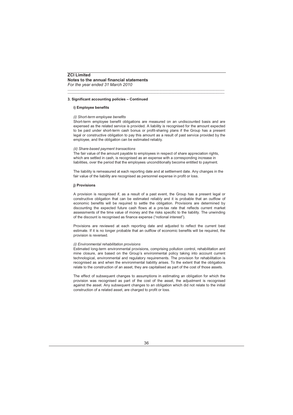#### **i) Employee benefits**

#### *(i) Short-term employee benefits*

Short-term employee benefit obligations are measured on an undiscounted basis and are expensed as the related service is provided. A liability is recognised for the amount expected to be paid under short-term cash bonus or profit-sharing plans if the Group has a present legal or constructive obligation to pay this amount as a result of past service provided by the employee, and the obligation can be estimated reliably.

\_\_\_\_\_\_\_\_\_\_\_\_\_\_\_\_\_\_\_\_\_\_\_\_\_\_\_\_\_\_\_\_\_\_\_\_\_\_\_\_\_\_\_\_\_\_\_\_\_\_\_\_\_\_\_\_\_\_\_\_\_\_\_\_\_\_\_\_\_\_\_\_\_\_\_\_\_\_\_\_\_\_\_\_\_\_\_\_\_\_\_\_\_\_\_\_\_\_\_\_\_ \_\_\_\_\_\_\_\_\_\_\_\_\_\_\_\_\_\_\_\_\_\_\_\_\_\_\_\_\_\_\_\_\_\_\_\_\_\_\_\_\_\_\_\_\_\_\_\_\_\_\_\_\_\_\_\_\_\_\_\_\_\_\_\_\_\_\_\_\_\_\_\_\_\_\_\_\_\_\_\_\_\_\_\_\_\_\_\_\_\_\_\_\_\_\_\_\_\_\_\_\_

#### *(ii) Share-based payment transactions*

The fair value of the amount payable to employees in respect of share appreciation rights, which are settled in cash, is recognised as an expense with a corresponding increase in liabilities, over the period that the employees unconditionally become entitled to payment.

The liability is remeasured at each reporting date and at settlement date. Any changes in the fair value of the liability are recognised as personnel expense in profit or loss.

#### **j) Provisions**

A provision is recognised if, as a result of a past event, the Group has a present legal or constructive obligation that can be estimated reliably and it is probable that an outflow of economic benefits will be required to settle the obligation. Provisions are determined by discounting the expected future cash flows at a pre-tax rate that reflects current market assessments of the time value of money and the risks specific to the liability. The unwinding of the discount is recognised as finance expense ("notional interest").

Provisions are reviewed at each reporting date and adjusted to reflect the current best estimate. If it is no longer probable that an outflow of economic benefits will be required, the provision is reversed.

#### *(i) Environmental rehabilitation provisions*

Estimated long-term environmental provisions, comprising pollution control, rehabilitation and mine closure, are based on the Group's environmental policy taking into account current technological, environmental and regulatory requirements. The provision for rehabilitation is recognised as and when the environmental liability arises. To the extent that the obligations relate to the construction of an asset, they are capitalised as part of the cost of those assets.

The effect of subsequent changes to assumptions in estimating an obligation for which the provision was recognised as part of the cost of the asset, the adjustment is recognised against the asset. Any subsequent changes to an obligation which did not relate to the initial construction of a related asset, are charged to profit or loss.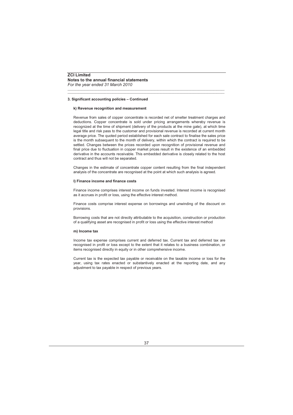#### **k) Revenue recognition and measurement**

Revenue from sales of copper concentrate is recorded net of smelter treatment charges and deductions. Copper concentrate is sold under pricing arrangements whereby revenue is recognized at the time of shipment (delivery of the products at the mine gate), at which time legal title and risk pass to the customer and provisional revenue is recorded at current month average price. The quoted period established for each sale contract to finalise the sales price is the month subsequent to the month of delivery, within which the contract is required to be settled. Changes between the prices recorded upon recognition of provisional revenue and final price due to fluctuation in copper market prices result in the existence of an embedded derivative in the accounts receivable. This embedded derivative is closely related to the host contract and thus will not be separated.

\_\_\_\_\_\_\_\_\_\_\_\_\_\_\_\_\_\_\_\_\_\_\_\_\_\_\_\_\_\_\_\_\_\_\_\_\_\_\_\_\_\_\_\_\_\_\_\_\_\_\_\_\_\_\_\_\_\_\_\_\_\_\_\_\_\_\_\_\_\_\_\_\_\_\_\_\_\_\_\_\_\_\_\_\_\_\_\_\_\_\_\_\_\_\_\_\_\_\_\_\_ \_\_\_\_\_\_\_\_\_\_\_\_\_\_\_\_\_\_\_\_\_\_\_\_\_\_\_\_\_\_\_\_\_\_\_\_\_\_\_\_\_\_\_\_\_\_\_\_\_\_\_\_\_\_\_\_\_\_\_\_\_\_\_\_\_\_\_\_\_\_\_\_\_\_\_\_\_\_\_\_\_\_\_\_\_\_\_\_\_\_\_\_\_\_\_\_\_\_\_\_\_

Changes in the estimate of concentrate copper content resulting from the final independent analysis of the concentrate are recognised at the point at which such analysis is agreed.

#### **l) Finance income and finance costs**

Finance income comprises interest income on funds invested. Interest income is recognised as it accrues in profit or loss, using the effective interest method.

Finance costs comprise interest expense on borrowings and unwinding of the discount on provisions.

Borrowing costs that are not directly attributable to the acquisition, construction or production of a qualifying asset are recognised in profit or loss using the effective interest method

#### **m) Income tax**

Income tax expense comprises current and deferred tax. Current tax and deferred tax are recognised in profit or loss except to the extent that it relates to a business combination, or items recognised directly in equity or in other comprehensive income.

Current tax is the expected tax payable or receivable on the taxable income or loss for the year, using tax rates enacted or substantively enacted at the reporting date, and any adjustment to tax payable in respect of previous years.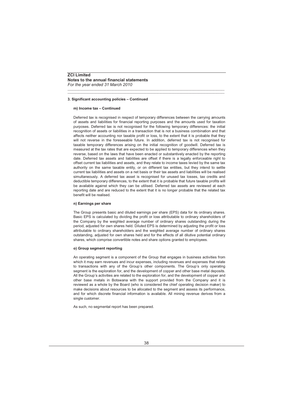*For the year ended 31 March 2010*

## **3. Significant accounting policies – Continued**

#### **m) Income tax – Continued**

Deferred tax is recognised in respect of temporary differences between the carrying amounts of assets and liabilities for financial reporting purposes and the amounts used for taxation purposes. Deferred tax is not recognised for the following temporary differences: the initial recognition of assets or liabilities in a transaction that is not a business combination and that affects neither accounting nor taxable profit or loss, to the extent that it is probable that they will not reverse in the foreseeable future. In addition, deferred tax is not recognised for taxable temporary differences arising on the initial recognition of goodwill. Deferred tax is measured at the tax rates that are expected to be applied to temporary differences when they reverse, based on the laws that have been enacted or substantively enacted by the reporting date. Deferred tax assets and liabilities are offset if there is a legally enforceable right to offset current tax liabilities and assets, and they relate to income taxes levied by the same tax authority on the same taxable entity, or on different tax entities, but they intend to settle current tax liabilities and assets on a net basis or their tax assets and liabilities will be realised simultaneously. A deferred tax asset is recognised for unused tax losses, tax credits and deductible temporary differences, to the extent that it is probable that future taxable profits will be available against which they can be utilised. Deferred tax assets are reviewed at each reporting date and are reduced to the extent that it is no longer probable that the related tax benefit will be realised.

\_\_\_\_\_\_\_\_\_\_\_\_\_\_\_\_\_\_\_\_\_\_\_\_\_\_\_\_\_\_\_\_\_\_\_\_\_\_\_\_\_\_\_\_\_\_\_\_\_\_\_\_\_\_\_\_\_\_\_\_\_\_\_\_\_\_\_\_\_\_\_\_\_\_\_\_\_\_\_\_\_\_\_\_\_\_\_\_\_\_\_\_\_\_\_\_\_\_\_\_\_ \_\_\_\_\_\_\_\_\_\_\_\_\_\_\_\_\_\_\_\_\_\_\_\_\_\_\_\_\_\_\_\_\_\_\_\_\_\_\_\_\_\_\_\_\_\_\_\_\_\_\_\_\_\_\_\_\_\_\_\_\_\_\_\_\_\_\_\_\_\_\_\_\_\_\_\_\_\_\_\_\_\_\_\_\_\_\_\_\_\_\_\_\_\_\_\_\_\_\_\_\_

#### **n) Earnings per share**

The Group presents basic and diluted earnings per share (EPS) data for its ordinary shares. Basic EPS is calculated by dividing the profit or loss attributable to ordinary shareholders of the Company by the weighted average number of ordinary shares outstanding during the period, adjusted for own shares held. Diluted EPS is determined by adjusting the profit or loss attributable to ordinary shareholders and the weighted average number of ordinary shares outstanding, adjusted for own shares held and for the effects of all dilutive potential ordinary shares, which comprise convertible notes and share options granted to employees.

#### **o) Group segment reporting**

An operating segment is a component of the Group that engages in business activities from which it may earn revenues and incur expenses, including revenues and expenses that relate to transactions with any of the Group's other components. The Group's only operating segment is the exploration for, and the development of copper and other base metal deposits. All the Group's activities are related to the exploration for, and the development of copper and other base metals in Botswana with the support provided from the Company and it is reviewed as a whole by the Board (who is considered the chief operating decision maker) to make decisions about resources to be allocated to the segment and assess its performance, and for which discrete financial information is available. All mining revenue derives from a single customer.

As such, no segmental report has been prepared.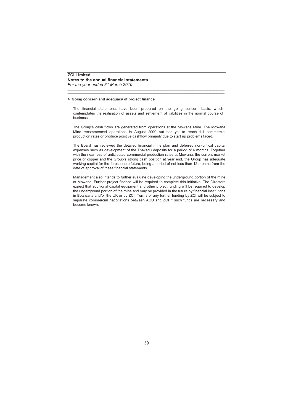#### **4. Going concern and adequacy of project finance**

The financial statements have been prepared on the going concern basis, which contemplates the realisation of assets and settlement of liabilities in the normal course of business.

\_\_\_\_\_\_\_\_\_\_\_\_\_\_\_\_\_\_\_\_\_\_\_\_\_\_\_\_\_\_\_\_\_\_\_\_\_\_\_\_\_\_\_\_\_\_\_\_\_\_\_\_\_\_\_\_\_\_\_\_\_\_\_\_\_\_\_\_\_\_\_\_\_\_\_\_\_\_\_\_\_\_\_\_\_\_\_\_\_\_\_\_\_\_\_\_\_\_\_\_\_ \_\_\_\_\_\_\_\_\_\_\_\_\_\_\_\_\_\_\_\_\_\_\_\_\_\_\_\_\_\_\_\_\_\_\_\_\_\_\_\_\_\_\_\_\_\_\_\_\_\_\_\_\_\_\_\_\_\_\_\_\_\_\_\_\_\_\_\_\_\_\_\_\_\_\_\_\_\_\_\_\_\_\_\_\_\_\_\_\_\_\_\_\_\_\_\_\_\_\_\_\_

The Group's cash flows are generated from operations at the Mowana Mine. The Mowana Mine recommenced operations in August 2009 but has yet to reach full commercial production rates or produce positive cashflow primarily due to start up problems faced.

The Board has reviewed the detailed financial mine plan and deferred non-critical capital expenses such as development of the Thakadu deposits for a period of 6 months. Together with the nearness of anticipated commercial production rates at Mowana, the current market price of copper and the Group's strong cash position at year end, the Group has adequate working capital for the foreseeable future, being a period of not less than 12 months from the date of approval of these financial statements.

Management also intends to further evaluate developing the underground portion of the mine at Mowana. Further project finance will be required to complete this initiative. The Directors expect that additional capital equipment and other project funding will be required to develop the underground portion of the mine and may be provided in the future by financial institutions in Botswana and/or the UK or by ZCI. Terms of any further funding by ZCI will be subject to separate commercial negotiations between ACU and ZCI if such funds are necessary and become known.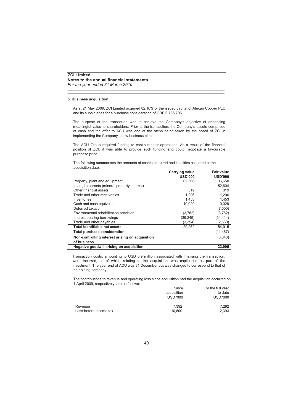#### **5. Business acquisition**

As at 21 May 2009, ZCI Limited acquired 82.16% of the issued capital of African Copper PLC and its subsidiaries for a purchase consideration of GBP 6,765,705.

\_\_\_\_\_\_\_\_\_\_\_\_\_\_\_\_\_\_\_\_\_\_\_\_\_\_\_\_\_\_\_\_\_\_\_\_\_\_\_\_\_\_\_\_\_\_\_\_\_\_\_\_\_\_\_\_\_\_\_\_\_\_\_\_\_\_\_\_\_\_\_\_\_\_\_\_\_\_\_\_\_\_\_\_\_\_\_\_\_\_\_\_\_\_\_\_\_\_\_\_\_ \_\_\_\_\_\_\_\_\_\_\_\_\_\_\_\_\_\_\_\_\_\_\_\_\_\_\_\_\_\_\_\_\_\_\_\_\_\_\_\_\_\_\_\_\_\_\_\_\_\_\_\_\_\_\_\_\_\_\_\_\_\_\_\_\_\_\_\_\_\_\_\_\_\_\_\_\_\_\_\_\_\_\_\_\_\_\_\_\_\_\_\_\_\_\_\_\_\_\_\_\_

The purpose of the transaction was to achieve the Company's objective of enhancing meaningful value to shareholders. Prior to the transaction, the Company's assets comprised of cash and the offer to ACU was one of the steps being taken by the board of ZCI in implementing the Company's new business plan.

The ACU Group required funding to continue their operations. As a result of the financial position of ZCI, it was able to provide such funding and could negotiate a favourable purchase price.

The following summarises the amounts of assets acquired and liabilities assumed at the acquisition date:

|                                                 | <b>Carrying value</b> | Fair value     |
|-------------------------------------------------|-----------------------|----------------|
|                                                 | <b>USD'000</b>        | <b>USD'000</b> |
| Property, plant and equipment                   | 62,560                | 36,650         |
| Intangible assets (mineral property interest)   |                       | 52,604         |
| Other financial assets                          | 319                   | 319            |
| Trade and other receivables                     | 1,296                 | 1,296          |
| Inventories                                     | 1.453                 | 1.453          |
| Cash and cash equivalents                       | 10,029                | 10,029         |
| Deferred taxation                               | ۰                     | (7,500)        |
| Environmental rehabilitation provision          | (3,762)               | (3,762)        |
| Interest bearing borrowings                     | (39, 249)             | (34, 414)      |
| Trade and other payables                        | (3, 394)              | (2,660)        |
| <b>Total identifiable net assets</b>            | 29,252                | 54.015         |
| <b>Total purchase consideration</b>             |                       | (11, 467)      |
| Non-controlling interest arising on acquisition |                       | (8,643)        |
| of business                                     |                       |                |
| Negative goodwill arising on acquisition        |                       | 33,905         |

Transaction costs, amounting to USD 0.9 million associated with finalising the transaction, were incurred, all of which relating to the acquisition, was capitalised as part of the investment. The year end of ACU was 31 December but was changed to correspond to that of the holding company.

The contributions to revenue and operating loss since acquisition had the acquisition occurred on 1 April 2009, respectively, are as follows:

|                        | Since           | For the full year |
|------------------------|-----------------|-------------------|
|                        | acquisition     | to date           |
|                        | <b>USD '000</b> | <b>USD '000</b>   |
| Revenue                | 7.392           | 7.292             |
| Loss before income tax | 10.600          | 12.393            |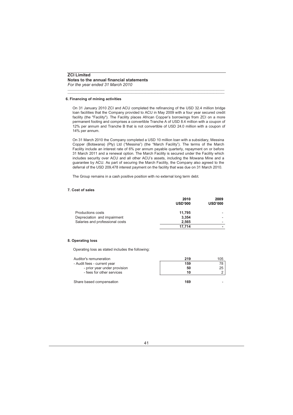*For the year ended 31 March 2010*

#### **6. Financing of mining activities**

On 31 January 2010 ZCI and ACU completed the refinancing of the USD 32.4 million bridge loan facilities that the Company provided to ACU in May 2009 with a four year secured credit facility (the "Facility"). The Facility places African Copper's borrowings from ZCI on a more permanent footing and comprises a convertible Tranche A of USD 8.4 million with a coupon of 12% per annum and Tranche B that is not convertible of USD 24.0 million with a coupon of 14% per annum.

\_\_\_\_\_\_\_\_\_\_\_\_\_\_\_\_\_\_\_\_\_\_\_\_\_\_\_\_\_\_\_\_\_\_\_\_\_\_\_\_\_\_\_\_\_\_\_\_\_\_\_\_\_\_\_\_\_\_\_\_\_\_\_\_\_\_\_\_\_\_\_\_\_\_\_\_\_\_\_\_\_\_\_\_\_\_\_\_\_\_\_\_\_\_\_\_\_\_\_\_\_ \_\_\_\_\_\_\_\_\_\_\_\_\_\_\_\_\_\_\_\_\_\_\_\_\_\_\_\_\_\_\_\_\_\_\_\_\_\_\_\_\_\_\_\_\_\_\_\_\_\_\_\_\_\_\_\_\_\_\_\_\_\_\_\_\_\_\_\_\_\_\_\_\_\_\_\_\_\_\_\_\_\_\_\_\_\_\_\_\_\_\_\_\_\_\_\_\_\_\_\_\_

On 31 March 2010 the Company completed a USD 10 million loan with a subsidiary, Messina Copper (Botswana) (Pty) Ltd ("Messina") (the "March Facility"). The terms of the March Facility include an interest rate of 6% per annum payable quarterly, repayment on or before 31 March 2011 and a renewal option. The March Facility is secured under the Facility which includes security over ACU and all other ACU's assets, including the Mowana Mine and a guarantee by ACU. As part of securing the March Facility, the Company also agreed to the deferral of the USD 209,478 interest payment on the facility that was due on 31 March 2010.

The Group remains in a cash positive position with no external long term debt.

#### **7. Cost of sales**

|                                 | 2010<br><b>USD'000</b> | 2009<br><b>USD'000</b> |
|---------------------------------|------------------------|------------------------|
| <b>Productions costs</b>        | 11.795                 |                        |
| Depreciation and impairment     | 3.354                  |                        |
| Salaries and professional costs | 2.565                  |                        |
|                                 | 17.714                 |                        |

#### **8. Operating loss**

Operating loss as stated includes the following:

| Auditor's remuneration       | 219 | 105 |
|------------------------------|-----|-----|
| - Audit fees - current year  | 159 | 78  |
| - prior year under provision | 50  | 25  |
| - fees for other services    | 10  |     |
| Share based compensation     | 169 |     |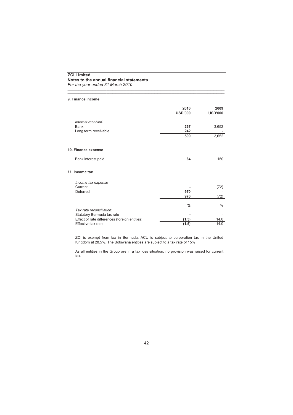*For the year ended 31 March 2010*

#### **9. Finance income**

|                                               | 2010<br><b>USD'000</b> | 2009<br><b>USD'000</b> |
|-----------------------------------------------|------------------------|------------------------|
| Interest received:                            |                        |                        |
| <b>Bank</b>                                   | 267                    | 3,652                  |
| Long term receivable                          | 242                    |                        |
|                                               | 509                    | 3,652                  |
|                                               |                        |                        |
| 10. Finance expense                           |                        |                        |
| Bank interest paid                            | 64                     | 150                    |
| 11. Income tax                                |                        |                        |
| Income tax expense                            |                        |                        |
| Current                                       |                        | (72)                   |
| Deferred                                      | 970                    |                        |
|                                               | 970                    | (72)                   |
|                                               | $\%$                   | $\%$                   |
| Tax rate reconciliation:                      |                        |                        |
| Statutory Bermuda tax rate                    |                        |                        |
| Effect of rate differences (foreign entities) | (1.5)                  | 14.0                   |
| Effective tax rate                            | (1.5)                  | 14.0                   |

\_\_\_\_\_\_\_\_\_\_\_\_\_\_\_\_\_\_\_\_\_\_\_\_\_\_\_\_\_\_\_\_\_\_\_\_\_\_\_\_\_\_\_\_\_\_\_\_\_\_\_\_\_\_\_\_\_\_\_\_\_\_\_\_\_\_\_\_\_\_\_\_\_\_\_\_\_\_\_\_\_\_\_\_\_\_\_\_\_\_\_\_\_\_\_\_\_\_\_\_\_ \_\_\_\_\_\_\_\_\_\_\_\_\_\_\_\_\_\_\_\_\_\_\_\_\_\_\_\_\_\_\_\_\_\_\_\_\_\_\_\_\_\_\_\_\_\_\_\_\_\_\_\_\_\_\_\_\_\_\_\_\_\_\_\_\_\_\_\_\_\_\_\_\_\_\_\_\_\_\_\_\_\_\_\_\_\_\_\_\_\_\_\_\_\_\_\_\_\_\_\_\_

ZCI is exempt from tax in Bermuda. ACU is subject to corporation tax in the United Kingdom at 28.5%. The Botswana entities are subject to a tax rate of 15%

As all entities in the Group are in a tax loss situation, no provision was raised for current tax.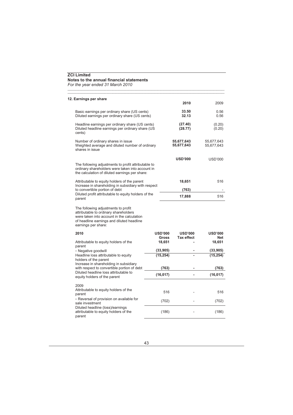*For the year ended 31 March 2010*

# **12. Earnings per share**

|                                                                                                                                                                                                |                 | 2010                     | 2009                     |
|------------------------------------------------------------------------------------------------------------------------------------------------------------------------------------------------|-----------------|--------------------------|--------------------------|
| Basic earnings per ordinary share (US cents)<br>Diluted earnings per ordinary share (US cents)                                                                                                 |                 | 33.50<br>32.13           | 0.56<br>0.56             |
| Headline earnings per ordinary share (US cents)<br>Diluted headline earnings per ordinary share (US<br>cents)                                                                                  |                 | (27.40)<br>(28.77)       | (0.20)<br>(0.20)         |
| Number of ordinary shares in issue<br>Weighted average and diluted number of ordinary<br>shares in issue                                                                                       |                 | 55,677,643<br>55,677,643 | 55,677,643<br>55,677,643 |
|                                                                                                                                                                                                |                 | <b>USD'000</b>           | USD'000                  |
| The following adjustments to profit attributable to<br>ordinary shareholders were taken into account in<br>the calculation of diluted earnings per share:                                      |                 |                          |                          |
| Attributable to equity holders of the parent                                                                                                                                                   |                 | 18,651                   | 516                      |
| Increase in shareholding in subsidiary with respect<br>to convertible portion of debt                                                                                                          |                 | (763)                    |                          |
| Diluted profit attributable to equity holders of the<br>parent                                                                                                                                 |                 | 17,888                   | 516                      |
| The following adjustments to profit<br>attributable to ordinary shareholders<br>were taken into account in the calculation<br>of headline earnings and diluted headline<br>earnings per share: |                 |                          |                          |
| 2010                                                                                                                                                                                           | <b>USD'000</b>  | <b>USD'000</b>           | <b>USD'000</b>           |
| Attributable to equity holders of the                                                                                                                                                          | Gross<br>18,651 | <b>Tax effect</b>        | <b>Net</b><br>18,651     |
| parent                                                                                                                                                                                         | (33,905)        |                          | (33,905)                 |
| - Negative goodwill<br>Headline loss attributable to equity                                                                                                                                    | (15, 254)       |                          | (15, 254)                |
| holders of the parent                                                                                                                                                                          |                 |                          |                          |
| Increase in shareholding in subsidiary<br>with respect to convertible portion of debt                                                                                                          | (763)           |                          | (763)                    |
| Diluted headline loss attributable to<br>equity holders of the parent                                                                                                                          | (16, 017)       | ä,                       | (16, 017)                |
|                                                                                                                                                                                                |                 |                          |                          |
| 2009<br>Attributable to equity holders of the<br>parent                                                                                                                                        | 516             |                          | 516                      |
| - Reversal of provision on available for<br>sale investment                                                                                                                                    | (702)           |                          | (702)                    |
| Diluted headline (loss)/earnings<br>attributable to equity holders of the<br>parent                                                                                                            | (186)           |                          | (186)                    |

\_\_\_\_\_\_\_\_\_\_\_\_\_\_\_\_\_\_\_\_\_\_\_\_\_\_\_\_\_\_\_\_\_\_\_\_\_\_\_\_\_\_\_\_\_\_\_\_\_\_\_\_\_\_\_\_\_\_\_\_\_\_\_\_\_\_\_\_\_\_\_\_\_\_\_\_\_\_\_\_\_\_\_\_\_\_\_\_\_\_\_\_\_\_\_\_\_\_\_\_\_ \_\_\_\_\_\_\_\_\_\_\_\_\_\_\_\_\_\_\_\_\_\_\_\_\_\_\_\_\_\_\_\_\_\_\_\_\_\_\_\_\_\_\_\_\_\_\_\_\_\_\_\_\_\_\_\_\_\_\_\_\_\_\_\_\_\_\_\_\_\_\_\_\_\_\_\_\_\_\_\_\_\_\_\_\_\_\_\_\_\_\_\_\_\_\_\_\_\_\_\_\_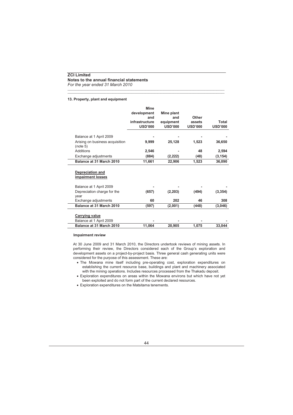*For the year ended 31 March 2010*

#### **13. Property, plant and equipment**

|                                              | <b>Mine</b>    |                |                |                |
|----------------------------------------------|----------------|----------------|----------------|----------------|
|                                              | development    | Mine plant     |                |                |
|                                              | and            | and            | Other          |                |
|                                              | infrastructure | equipment      | assets         | Total          |
|                                              | <b>USD'000</b> | <b>USD'000</b> | <b>USD'000</b> | <b>USD'000</b> |
| Balance at 1 April 2009                      |                |                |                |                |
|                                              |                |                |                |                |
| Arising on business acquisition<br>(note 5)  | 9,999          | 25,128         | 1,523          | 36,650         |
| Additions                                    | 2,546          |                | 48             | 2,594          |
| Exchange adjustments                         | (884)          | (2,222)        | (48)           | (3, 154)       |
| Balance at 31 March 2010                     | 11,661         | 22,906         | 1,523          | 36,090         |
| <b>Depreciation and</b><br>impairment losses |                |                |                |                |
| Balance at 1 April 2009                      |                |                |                |                |
| Depreciation charge for the                  | (657)          | (2,203)        | (494)          | (3, 354)       |
| year                                         |                |                |                |                |
| Exchange adjustments                         | 60             | 202            | 46             | 308            |
| Balance at 31 March 2010                     | (597)          | (2,001)        | (448)          | (3,046)        |
|                                              |                |                |                |                |
| <b>Carrying value</b>                        |                |                |                |                |
| Balance at 1 April 2009                      |                |                |                |                |
| Balance at 31 March 2010                     | 11,064         | 20,905         | 1,075          | 33,044         |

\_\_\_\_\_\_\_\_\_\_\_\_\_\_\_\_\_\_\_\_\_\_\_\_\_\_\_\_\_\_\_\_\_\_\_\_\_\_\_\_\_\_\_\_\_\_\_\_\_\_\_\_\_\_\_\_\_\_\_\_\_\_\_\_\_\_\_\_\_\_\_\_\_\_\_\_\_\_\_\_\_\_\_\_\_\_\_\_\_\_\_\_\_\_\_\_\_\_\_\_\_ \_\_\_\_\_\_\_\_\_\_\_\_\_\_\_\_\_\_\_\_\_\_\_\_\_\_\_\_\_\_\_\_\_\_\_\_\_\_\_\_\_\_\_\_\_\_\_\_\_\_\_\_\_\_\_\_\_\_\_\_\_\_\_\_\_\_\_\_\_\_\_\_\_\_\_\_\_\_\_\_\_\_\_\_\_\_\_\_\_\_\_\_\_\_\_\_\_\_\_\_\_

#### **Impairment review**

At 30 June 2009 and 31 March 2010, the Directors undertook reviews of mining assets. In performing their review, the Directors considered each of the Group's exploration and development assets on a project-by-project basis. Three general cash generating units were considered for the purpose of this assessment. These are:

- The Mowana mine itself including pre-operating cost, exploration expenditures on establishing the current resource base, buildings and plant and machinery associated with the mining operations. Includes resources processed from the Thakadu deposit.
- Exploration expenditures on areas within the Mowana environs but which have not yet been exploited and do not form part of the current declared resources.
- Exploration expenditures on the Matsitama tenements.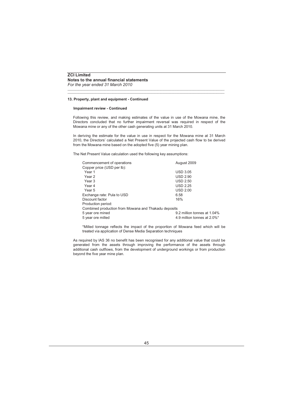#### **13. Property, plant and equipment - Continued**

#### **Impairment review - Continued**

Following this review, and making estimates of the value in use of the Mowana mine, the Directors concluded that no further impairment reversal was required in respect of the Mowana mine or any of the other cash generating units at 31 March 2010.

\_\_\_\_\_\_\_\_\_\_\_\_\_\_\_\_\_\_\_\_\_\_\_\_\_\_\_\_\_\_\_\_\_\_\_\_\_\_\_\_\_\_\_\_\_\_\_\_\_\_\_\_\_\_\_\_\_\_\_\_\_\_\_\_\_\_\_\_\_\_\_\_\_\_\_\_\_\_\_\_\_\_\_\_\_\_\_\_\_\_\_\_\_\_\_\_\_\_\_\_\_ \_\_\_\_\_\_\_\_\_\_\_\_\_\_\_\_\_\_\_\_\_\_\_\_\_\_\_\_\_\_\_\_\_\_\_\_\_\_\_\_\_\_\_\_\_\_\_\_\_\_\_\_\_\_\_\_\_\_\_\_\_\_\_\_\_\_\_\_\_\_\_\_\_\_\_\_\_\_\_\_\_\_\_\_\_\_\_\_\_\_\_\_\_\_\_\_\_\_\_\_\_

In deriving the estimate for the value in use in respect for the Mowana mine at 31 March 2010, the Directors' calculated a Net Present Value of the projected cash flow to be derived from the Mowana mine based on the adopted five (5) year mining plan.

The Net Present Value calculation used the following key assumptions:

| August 2009                                          |
|------------------------------------------------------|
|                                                      |
| <b>USD 3.05</b>                                      |
| <b>USD 2.90</b>                                      |
| <b>USD 2.50</b>                                      |
| <b>USD 2.25</b>                                      |
| <b>USD 2.00</b>                                      |
| 6.58                                                 |
| 16%                                                  |
|                                                      |
| Combined production from Mowana and Thakadu deposits |
| 9.2 million tonnes at 1.04%                          |
| 4.9 million tonnes at 2.0%*                          |
|                                                      |

\*Milled tonnage reflects the impact of the proportion of Mowana feed which will be treated via application of Dense Media Separation techniques

As required by IAS 36 no benefit has been recognised for any additional value that could be generated from the assets through improving the performance of the assets through additional cash outflows, from the development of underground workings or from production beyond the five year mine plan.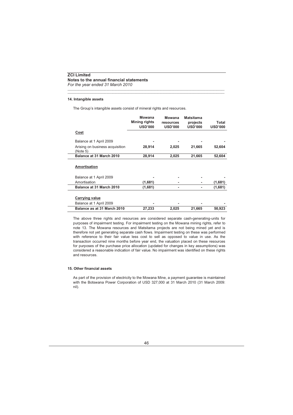## **14. Intangible assets**

The Group's intangible assets consist of mineral rights and resources.

|                                                  | <b>Mowana</b><br>Mining rights<br><b>USD'000</b> | Mowana<br>resources<br><b>USD'000</b> | Matsitama<br>projects<br><b>USD'000</b> | Total<br><b>USD'000</b> |
|--------------------------------------------------|--------------------------------------------------|---------------------------------------|-----------------------------------------|-------------------------|
| Cost                                             |                                                  |                                       |                                         |                         |
| Balance at 1 April 2009                          |                                                  |                                       |                                         |                         |
| Arising on business acquisition<br>(Note 5)      | 28,914                                           | 2,025                                 | 21,665                                  | 52,604                  |
| Balance at 31 March 2010                         | 28,914                                           | 2,025                                 | 21,665                                  | 52.604                  |
| Amortisation                                     |                                                  |                                       |                                         |                         |
| Balance at 1 April 2009                          |                                                  |                                       |                                         |                         |
| Amortisation                                     | (1,681)                                          |                                       |                                         | (1,681)                 |
| Balance at 31 March 2010                         | (1,681)                                          | ۰                                     |                                         | (1,681)                 |
| <b>Carrying value</b><br>Balance at 1 April 2009 |                                                  |                                       |                                         |                         |
| Balance as at 31 March 2010                      | 27,233                                           | 2,025                                 | 21,665                                  | 50,923                  |

\_\_\_\_\_\_\_\_\_\_\_\_\_\_\_\_\_\_\_\_\_\_\_\_\_\_\_\_\_\_\_\_\_\_\_\_\_\_\_\_\_\_\_\_\_\_\_\_\_\_\_\_\_\_\_\_\_\_\_\_\_\_\_\_\_\_\_\_\_\_\_\_\_\_\_\_\_\_\_\_\_\_\_\_\_\_\_\_\_\_\_\_\_\_\_\_\_\_\_\_\_ \_\_\_\_\_\_\_\_\_\_\_\_\_\_\_\_\_\_\_\_\_\_\_\_\_\_\_\_\_\_\_\_\_\_\_\_\_\_\_\_\_\_\_\_\_\_\_\_\_\_\_\_\_\_\_\_\_\_\_\_\_\_\_\_\_\_\_\_\_\_\_\_\_\_\_\_\_\_\_\_\_\_\_\_\_\_\_\_\_\_\_\_\_\_\_\_\_\_\_\_\_

The above three rights and resources are considered separate cash-generating-units for purposes of impairment testing. For impairment testing on the Mowana mining rights, refer to note 13. The Mowana resources and Matsitama projects are not being mined yet and is therefore not yet generating separate cash flows. Impairment testing on these was performed with reference to their fair value less cost to sell as opposed to value in use. As the transaction occurred nine months before year end, the valuation placed on these resources for purposes of the purchase price allocation (updated for changes in key assumptions) was considered a reasonable indication of fair value. No impairment was identified on these rights and resources.

## **15. Other financial assets**

As part of the provision of electricity to the Mowana Mine, a payment guarantee is maintained with the Botswana Power Corporation of USD 327,000 at 31 March 2010 (31 March 2009: nil).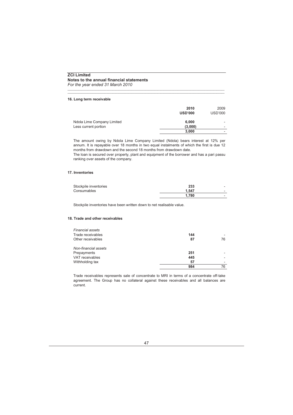*For the year ended 31 March 2010*

#### **16. Long term receivable**

|                            | 2010<br><b>USD'000</b> | 2009<br><b>USD'000</b> |
|----------------------------|------------------------|------------------------|
| Ndola Lime Company Limited | 6.000                  |                        |
| Less current portion       | (3,000)                | -                      |
|                            | 3,000                  |                        |
|                            |                        |                        |

\_\_\_\_\_\_\_\_\_\_\_\_\_\_\_\_\_\_\_\_\_\_\_\_\_\_\_\_\_\_\_\_\_\_\_\_\_\_\_\_\_\_\_\_\_\_\_\_\_\_\_\_\_\_\_\_\_\_\_\_\_\_\_\_\_\_\_\_\_\_\_\_\_\_\_\_\_\_\_\_\_\_\_\_\_\_\_\_\_\_\_\_\_\_\_\_\_\_\_\_\_ \_\_\_\_\_\_\_\_\_\_\_\_\_\_\_\_\_\_\_\_\_\_\_\_\_\_\_\_\_\_\_\_\_\_\_\_\_\_\_\_\_\_\_\_\_\_\_\_\_\_\_\_\_\_\_\_\_\_\_\_\_\_\_\_\_\_\_\_\_\_\_\_\_\_\_\_\_\_\_\_\_\_\_\_\_\_\_\_\_\_\_\_\_\_\_\_\_\_\_\_\_

The amount owing by Ndola Lime Company Limited (Ndola) bears interest at 12% per annum. It is repayable over 18 months in two equal instalments of which the first is due 12 months from drawdown and the second 18 months from drawdown date.

The loan is secured over property, plant and equipment of the borrower and has a pari passu ranking over assets of the company.

#### **17. Inventories**

| Stockpile inventories | 233   | - |
|-----------------------|-------|---|
| Consumables           | 1.547 | - |
|                       | 1.780 | - |

Stockpile inventories have been written down to net realisable value.

#### **18. Trade and other receivables**

| <b>Financial assets</b> |     |    |
|-------------------------|-----|----|
| Trade receivables       | 144 |    |
| Other receivables       | 87  | 76 |
| Non-financial assets    |     |    |
| Prepayments             | 251 |    |
| <b>VAT</b> receivables  | 445 |    |
| Withholding tax         | 57  |    |
|                         | 984 | 76 |

Trade receivables represents sale of concentrate to MRI in terms of a concentrate off-take agreement. The Group has no collateral against these receivables and all balances are current.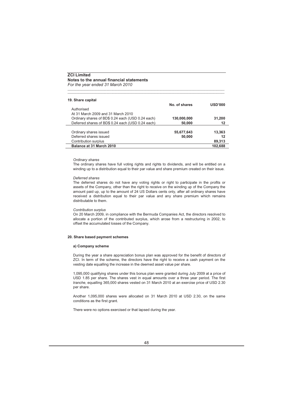#### **19. Share capital**

|                                                   | No. of shares | USD'000 |
|---------------------------------------------------|---------------|---------|
| Authorised                                        |               |         |
| At 31 March 2009 and 31 March 2010                |               |         |
| Ordinary shares of BD\$ 0.24 each (USD 0.24 each) | 130,000,000   | 31.200  |
| Deferred shares of BD\$ 0.24 each (USD 0.24 each) | 50,000        | 12      |
|                                                   |               |         |
| Ordinary shares issued                            | 55,677,643    | 13.363  |
| Deferred shares issued                            | 50,000        | 12      |
| Contribution surplus                              |               | 89.313  |
| Balance at 31 March 2010                          |               | 102.688 |
|                                                   |               |         |

\_\_\_\_\_\_\_\_\_\_\_\_\_\_\_\_\_\_\_\_\_\_\_\_\_\_\_\_\_\_\_\_\_\_\_\_\_\_\_\_\_\_\_\_\_\_\_\_\_\_\_\_\_\_\_\_\_\_\_\_\_\_\_\_\_\_\_\_\_\_\_\_\_\_\_\_\_\_\_\_\_\_\_\_\_\_\_\_\_\_\_\_\_\_\_\_\_\_\_\_\_ \_\_\_\_\_\_\_\_\_\_\_\_\_\_\_\_\_\_\_\_\_\_\_\_\_\_\_\_\_\_\_\_\_\_\_\_\_\_\_\_\_\_\_\_\_\_\_\_\_\_\_\_\_\_\_\_\_\_\_\_\_\_\_\_\_\_\_\_\_\_\_\_\_\_\_\_\_\_\_\_\_\_\_\_\_\_\_\_\_\_\_\_\_\_\_\_\_\_\_\_\_

#### *Ordinary shares*

The ordinary shares have full voting rights and rights to dividends, and will be entitled on a winding up to a distribution equal to their par value and share premium created on their issue.

#### *Deferred shares*

The deferred shares do not have any voting rights or right to participate in the profits or assets of the Company, other than the right to receive on the winding up of the Company the amount paid up, up to the amount of 24 US Dollars cents only, after all ordinary shares have received a distribution equal to their par value and any share premium which remains distributable to them.

#### *Contribution surplus*

On 20 March 2009, in compliance with the Bermuda Companies Act, the directors resolved to allocate a portion of the contributed surplus, which arose from a restructuring in 2002, to offset the accumulated losses of the Company.

#### **20. Share based payment schemes**

#### **a) Company scheme**

During the year a share appreciation bonus plan was approved for the benefit of directors of ZCI. In term of the scheme, the directors have the right to receive a cash payment on the vesting date equalling the increase in the deemed asset value per share.

1,095,000 qualifying shares under this bonus plan were granted during July 2009 at a price of USD 1.85 per share. The shares vest in equal amounts over a three year period. The first *tranche*, equalling 365,000 shares vested on 31 March 2010 at an exercise price of USD 2.30 per share.

Another 1,095,000 shares were allocated on 31 March 2010 at USD 2.30, on the same conditions as the first grant.

There were no options exercised or that lapsed during the year.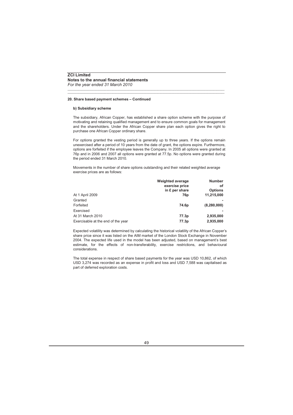#### **20. Share based payment schemes – Continued**

#### **b) Subsidiary scheme**

The subsidiary, African Copper, has established a share option scheme with the purpose of motivating and retaining qualified management and to ensure common goals for management and the shareholders. Under the African Copper share plan each option gives the right to purchase one African Copper ordinary share.

\_\_\_\_\_\_\_\_\_\_\_\_\_\_\_\_\_\_\_\_\_\_\_\_\_\_\_\_\_\_\_\_\_\_\_\_\_\_\_\_\_\_\_\_\_\_\_\_\_\_\_\_\_\_\_\_\_\_\_\_\_\_\_\_\_\_\_\_\_\_\_\_\_\_\_\_\_\_\_\_\_\_\_\_\_\_\_\_\_\_\_\_\_\_\_\_\_\_\_\_\_ \_\_\_\_\_\_\_\_\_\_\_\_\_\_\_\_\_\_\_\_\_\_\_\_\_\_\_\_\_\_\_\_\_\_\_\_\_\_\_\_\_\_\_\_\_\_\_\_\_\_\_\_\_\_\_\_\_\_\_\_\_\_\_\_\_\_\_\_\_\_\_\_\_\_\_\_\_\_\_\_\_\_\_\_\_\_\_\_\_\_\_\_\_\_\_\_\_\_\_\_\_

For options granted the vesting period is generally up to three years. If the options remain unexercised after a period of 10 years from the date of grant, the options expire. Furthermore, options are forfeited if the employee leaves the Company. In 2005 all options were granted at 76p and in 2006 and 2007 all options were granted at 77.5p. No options were granted during the period ended 31 March 2010.

Movements in the number of share options outstanding and their related weighted average exercise prices are as follows:

|                                    | <b>Weighted average</b> | <b>Number</b>  |
|------------------------------------|-------------------------|----------------|
|                                    | exercise price          | οf             |
|                                    | in £ per share          | <b>Options</b> |
| At 1 April 2009                    | 76p                     | 11,215,000     |
| Granted                            |                         |                |
| Forfeited                          | 74.6 <sub>p</sub>       | (8, 280, 000)  |
| Exercised                          |                         |                |
| At 31 March 2010                   | 77.3p                   | 2,935,000      |
| Exercisable at the end of the year | 77.3p                   | 2.935.000      |

Expected volatility was determined by calculating the historical volatility of the African Copper's share price since it was listed on the AIM market of the London Stock Exchange in November 2004. The expected life used in the model has been adjusted, based on management's best estimate, for the effects of non-transferability, exercise restrictions, and behavioural considerations.

The total expense in respect of share based payments for the year was USD 10,862, of which USD 3,274 was recorded as an expense in profit and loss and USD 7,588 was capitalised as part of deferred exploration costs.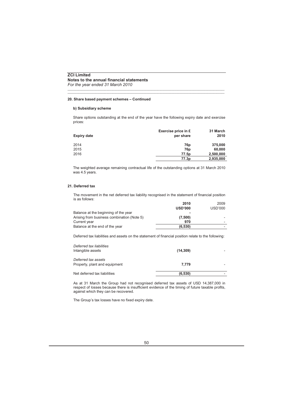*For the year ended 31 March 2010*

#### **20. Share based payment schemes – Continued**

#### **b) Subsidiary scheme**

Share options outstanding at the end of the year have the following expiry date and exercise prices:

\_\_\_\_\_\_\_\_\_\_\_\_\_\_\_\_\_\_\_\_\_\_\_\_\_\_\_\_\_\_\_\_\_\_\_\_\_\_\_\_\_\_\_\_\_\_\_\_\_\_\_\_\_\_\_\_\_\_\_\_\_\_\_\_\_\_\_\_\_\_\_\_\_\_\_\_\_\_\_\_\_\_\_\_\_\_\_\_\_\_\_\_\_\_\_\_\_\_\_\_\_ \_\_\_\_\_\_\_\_\_\_\_\_\_\_\_\_\_\_\_\_\_\_\_\_\_\_\_\_\_\_\_\_\_\_\_\_\_\_\_\_\_\_\_\_\_\_\_\_\_\_\_\_\_\_\_\_\_\_\_\_\_\_\_\_\_\_\_\_\_\_\_\_\_\_\_\_\_\_\_\_\_\_\_\_\_\_\_\_\_\_\_\_\_\_\_\_\_\_\_\_\_

| Expiry date | Exercise price in £<br>per share | 31 March<br>2010 |
|-------------|----------------------------------|------------------|
| 2014        | 76p                              | 375,000          |
| 2015        | 76p                              | 60,000           |
| 2016        | 77.5 <sub>p</sub>                | 2,500,000        |
|             | 77.3 <sub>p</sub>                | 2,935,000        |

The weighted average remaining contractual life of the outstanding options at 31 March 2010 was 4.5 years.

## **21. Deferred tax**

The movement in the net deferred tax liability recognised in the statement of financial position is as follows:

|                                            | 2010           | 2009    |
|--------------------------------------------|----------------|---------|
|                                            | <b>USD'000</b> | USD'000 |
| Balance at the beginning of the year       |                |         |
| Arising from business combination (Note 5) | (7,500)        |         |
| Current year                               | 970            |         |
| Balance at the end of the year             | (6.530)        |         |
|                                            |                |         |

Deferred tax liabilities and assets on the statement of financial position relate to the following:

| Deferred tax liabilities<br>Intangible assets        | (14, 309) |  |
|------------------------------------------------------|-----------|--|
| Deferred tax assets<br>Property, plant and equipment | 7.779     |  |
| Net deferred tax liabilities                         | (6.530)   |  |

As at 31 March the Group had not recognised deferred tax assets of USD 14,387,000 in respect of losses because there is insufficient evidence of the timing of future taxable profits, against which they can be recovered.

The Group's tax losses have no fixed expiry date.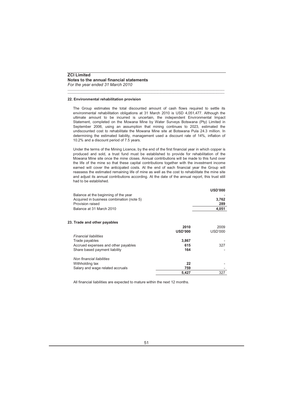#### **22. Environmental rehabilitation provision**

The Group estimates the total discounted amount of cash flows required to settle its environmental rehabilitation obligations at 31 March 2010 is USD 4,051,477. Although the ultimate amount to be incurred is uncertain, the independent Environmental Impact Statement, completed on the Mowana Mine by Water Surveys Botswana (Pty) Limited in September 2006, using an assumption that mining continues to 2023, estimated the undiscounted cost to rehabilitate the Mowana Mine site at Botswana Pula 24.3 million. In determining the estimated liability, management used a discount rate of 14%, inflation of 10.2% and a discount period of 7.5 years.

\_\_\_\_\_\_\_\_\_\_\_\_\_\_\_\_\_\_\_\_\_\_\_\_\_\_\_\_\_\_\_\_\_\_\_\_\_\_\_\_\_\_\_\_\_\_\_\_\_\_\_\_\_\_\_\_\_\_\_\_\_\_\_\_\_\_\_\_\_\_\_\_\_\_\_\_\_\_\_\_\_\_\_\_\_\_\_\_\_\_\_\_\_\_\_\_\_\_\_\_\_ \_\_\_\_\_\_\_\_\_\_\_\_\_\_\_\_\_\_\_\_\_\_\_\_\_\_\_\_\_\_\_\_\_\_\_\_\_\_\_\_\_\_\_\_\_\_\_\_\_\_\_\_\_\_\_\_\_\_\_\_\_\_\_\_\_\_\_\_\_\_\_\_\_\_\_\_\_\_\_\_\_\_\_\_\_\_\_\_\_\_\_\_\_\_\_\_\_\_\_\_\_

Under the terms of the Mining Licence, by the end of the first financial year in which copper is produced and sold, a trust fund must be established to provide for rehabilitation of the Mowana Mine site once the mine closes. Annual contributions will be made to this fund over the life of the mine so that these capital contributions together with the investment income earned will cover the anticipated costs. At the end of each financial year the Group will reassess the estimated remaining life of mine as well as the cost to rehabilitate the mine site and adjust its annual contributions according. At the date of the annual report, this trust still had to be established.

|                                           |                | <b>USD'000</b> |
|-------------------------------------------|----------------|----------------|
| Balance at the beginning of the year      |                |                |
| Acquired in business combination (note 5) |                | 3,762          |
| Provision raised                          |                | 289            |
| Balance at 31 March 2010                  |                | 4,051          |
|                                           |                |                |
| 23. Trade and other payables              |                |                |
|                                           | 2010           | 2009           |
|                                           | <b>USD'000</b> | USD'000        |
| <b>Financial liabilities</b>              |                |                |
| Trade payables                            | 3.867          |                |
| Accrued expenses and other payables       | 615            | 327            |
| Share based payment liability             | 164            |                |
| Non financial liabilities                 |                |                |
| Withholding tax                           | 22             |                |
| Salary and wage related accruals          | 759            |                |
|                                           | 5,427          | 327            |

All financial liabilities are expected to mature within the next 12 months.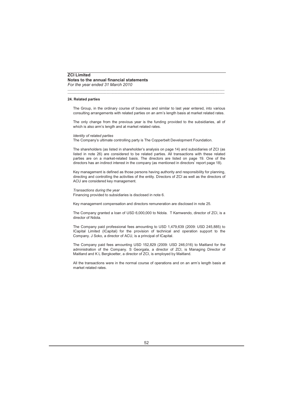#### **24. Related parties**

The Group, in the ordinary course of business and similar to last year entered, into various consulting arrangements with related parties on an arm's length basis at market related rates.

\_\_\_\_\_\_\_\_\_\_\_\_\_\_\_\_\_\_\_\_\_\_\_\_\_\_\_\_\_\_\_\_\_\_\_\_\_\_\_\_\_\_\_\_\_\_\_\_\_\_\_\_\_\_\_\_\_\_\_\_\_\_\_\_\_\_\_\_\_\_\_\_\_\_\_\_\_\_\_\_\_\_\_\_\_\_\_\_\_\_\_\_\_\_\_\_\_\_\_\_\_ \_\_\_\_\_\_\_\_\_\_\_\_\_\_\_\_\_\_\_\_\_\_\_\_\_\_\_\_\_\_\_\_\_\_\_\_\_\_\_\_\_\_\_\_\_\_\_\_\_\_\_\_\_\_\_\_\_\_\_\_\_\_\_\_\_\_\_\_\_\_\_\_\_\_\_\_\_\_\_\_\_\_\_\_\_\_\_\_\_\_\_\_\_\_\_\_\_\_\_\_\_

The only change from the previous year is the funding provided to the subsidiaries, all of which is also arm's length and at market related rates.

#### *Identity of related parties*

The Company's ultimate controlling party is The Copperbelt Development Foundation.

The shareholders (as listed in shareholder's analysis on page 14) and subsidiaries of ZCI (as listed in note 26) are considered to be related parties. All transactions with these related parties are on a market-related basis. The directors are listed on page 19. One of the directors has an indirect interest in the company (as mentioned in directors' report page 18).

Key management is defined as those persons having authority and responsibility for planning, directing and controlling the activities of the entity. Directors of ZCI as well as the directors of ACU are considered key management.

#### *Transactions during the year*

Financing provided to subsidiaries is disclosed in note 6.

Key management compensation and directors remuneration are disclosed in note 25.

The Company granted a loan of USD 6,000,000 to Ndola. T Kamwendo, director of ZCI, is a director of Ndola.

The Company paid professional fees amounting to USD 1,479,639 (2009: USD 245,885) to ICapital Limited (ICapital) for the provision of technical and operation support to the Company. J Soko, a director of ACU, is a principal of ICapital.

The Company paid fees amounting USD 152,829 (2009: USD 246,016) to Maitland for the administration of the Company. S Georgala, a director of ZCI, is Managing Director of Maitland and K L Bergkoetter, a director of ZCI, is employed by Maitland.

All the transactions were in the normal course of operations and on an arm's length basis at market related rates.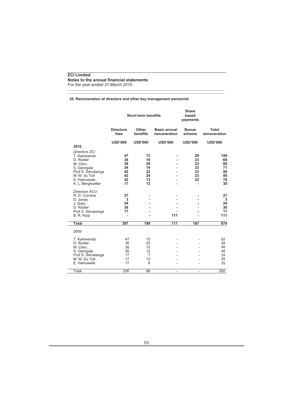# **25. Remuneration of directors and other key management personnel**

\_\_\_\_\_\_\_\_\_\_\_\_\_\_\_\_\_\_\_\_\_\_\_\_\_\_\_\_\_\_\_\_\_\_\_\_\_\_\_\_\_\_\_\_\_\_\_\_\_\_\_\_\_\_\_\_\_\_\_\_\_\_\_\_\_\_\_\_\_\_\_\_\_\_\_\_\_\_\_\_\_\_\_\_\_\_\_\_\_\_\_\_\_\_\_\_\_\_\_\_\_ \_\_\_\_\_\_\_\_\_\_\_\_\_\_\_\_\_\_\_\_\_\_\_\_\_\_\_\_\_\_\_\_\_\_\_\_\_\_\_\_\_\_\_\_\_\_\_\_\_\_\_\_\_\_\_\_\_\_\_\_\_\_\_\_\_\_\_\_\_\_\_\_\_\_\_\_\_\_\_\_\_\_\_\_\_\_\_\_\_\_\_\_\_\_\_\_\_\_\_\_\_

|                                                                                                                                                | <b>Short term benefits</b>                   |                                                   |                                     | <b>Share</b><br>based<br>payments      |                                               |
|------------------------------------------------------------------------------------------------------------------------------------------------|----------------------------------------------|---------------------------------------------------|-------------------------------------|----------------------------------------|-----------------------------------------------|
|                                                                                                                                                | <b>Directors</b><br>fees                     | Other<br>benefits                                 | <b>Basic annual</b><br>remuneration | <b>Bonus</b><br>scheme                 | Total<br>remuneration                         |
|                                                                                                                                                | <b>USD'000</b>                               | <b>USD'000</b>                                    | <b>USD'000</b>                      | <b>USD'000</b>                         | <b>USD'000</b>                                |
| 2010                                                                                                                                           |                                              |                                                   |                                     |                                        |                                               |
| Directors ZCI<br>T. Kamwendo<br>D. Rodier<br>M. Clerc<br>S. Georgala<br>Prof S. Simukanga<br>M. M. du Toit<br>E. Hamuwele<br>K. L. Bergkoetter | 47<br>36<br>36<br>34<br>42<br>42<br>42<br>17 | 73<br>10<br>29<br>14<br>23<br>24<br>13<br>13      |                                     | 29<br>23<br>23<br>23<br>23<br>23<br>23 | 149<br>69<br>88<br>71<br>88<br>89<br>78<br>30 |
| <b>Directors ACU</b><br>R. D. Corrans<br>D. Jones<br>J. Soko<br>D. Rodier<br>Prof S. Simukanga<br>B. R. Kipp                                   | 27<br>3<br>24<br>30<br>17<br>$\blacksquare$  |                                                   | 111                                 |                                        | 27<br>3<br>24<br>30<br>17<br>111              |
| <b>Total</b>                                                                                                                                   | 397                                          | 199                                               | 111                                 | 167                                    | 874                                           |
| 2009                                                                                                                                           |                                              |                                                   |                                     |                                        |                                               |
| T. Kamwendo<br>D. Rodier<br>M. Clerc<br>S. Georgala<br>Prof S. Simukanga<br>M. M. Du Toit<br>E. Hamuwele                                       | 47<br>36<br>36<br>36<br>17<br>17<br>17       | 15<br>22<br>10<br>12<br>$\overline{7}$<br>12<br>8 |                                     |                                        | 62<br>58<br>46<br>48<br>24<br>29<br>25        |
| Total                                                                                                                                          | 206                                          | 86                                                |                                     |                                        | 292                                           |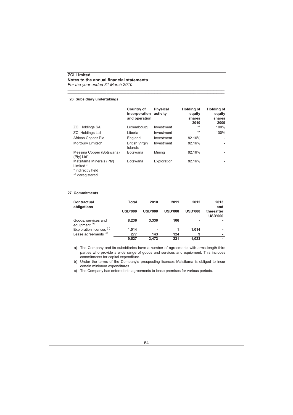*For the year ended 31 March 2010*

#### **26. Subsidiary undertakings**

|                                                                               | Country of<br>incorporation<br>and operation | <b>Physical</b><br>activity | Holding of<br>equity<br>shares<br>2010 | Holding of<br>equity<br>shares<br>2009 |
|-------------------------------------------------------------------------------|----------------------------------------------|-----------------------------|----------------------------------------|----------------------------------------|
| <b>ZCI Holdings SA</b>                                                        | Luxembourg                                   | Investment                  | $**$                                   | 100%                                   |
| <b>ZCI Holdings Ltd</b>                                                       | Liberia                                      | Investment                  | $**$                                   | 100%                                   |
| African Copper Plc                                                            | England                                      | Investment                  | 82.16%                                 | ٠                                      |
| Mortbury Limited*                                                             | <b>British Virgin</b><br>Islands             | Investment                  | 82.16%                                 |                                        |
| Messina Copper (Botswana)<br>(Pty) Ltd*                                       | <b>Botswana</b>                              | Mining                      | 82.16%                                 |                                        |
| Matsitama Minerals (Pty)<br>Limited *<br>* indirectly held<br>** deregistered | <b>Botswana</b>                              | Exploration                 | 82.16%                                 |                                        |

\_\_\_\_\_\_\_\_\_\_\_\_\_\_\_\_\_\_\_\_\_\_\_\_\_\_\_\_\_\_\_\_\_\_\_\_\_\_\_\_\_\_\_\_\_\_\_\_\_\_\_\_\_\_\_\_\_\_\_\_\_\_\_\_\_\_\_\_\_\_\_\_\_\_\_\_\_\_\_\_\_\_\_\_\_\_\_\_\_\_\_\_\_\_\_\_\_\_\_\_\_ \_\_\_\_\_\_\_\_\_\_\_\_\_\_\_\_\_\_\_\_\_\_\_\_\_\_\_\_\_\_\_\_\_\_\_\_\_\_\_\_\_\_\_\_\_\_\_\_\_\_\_\_\_\_\_\_\_\_\_\_\_\_\_\_\_\_\_\_\_\_\_\_\_\_\_\_\_\_\_\_\_\_\_\_\_\_\_\_\_\_\_\_\_\_\_\_\_\_\_\_\_

## **27. Commitments**

| Contractual<br>obligations                      | Total          | 2010           | 2011           | 2012           | 2013<br>and                  |
|-------------------------------------------------|----------------|----------------|----------------|----------------|------------------------------|
|                                                 | <b>USD'000</b> | <b>USD'000</b> | <b>USD'000</b> | <b>USD'000</b> | thereafter<br><b>USD'000</b> |
| Goods, services and<br>equipment <sup>(a)</sup> | 8.236          | 3.330          | 106            | ۰              |                              |
| Exploration licences <sup>(b)</sup>             | 1,014          | ۰              |                | 1.014          |                              |
| Lease agreements <sup>(c)</sup>                 | 277            | 143            | 124            | 9              |                              |
|                                                 | 9.527          | 3.473          | 231            | 1.023          |                              |

a) The Company and its subsidiaries have a number of agreements with arms-length third parties who provide a wide range of goods and services and equipment. This includes commitments for capital expenditure.

b) Under the terms of the Company's prospecting licences Matsitama is obliged to incur certain minimum expenditures.

c) The Company has entered into agreements to lease premises for various periods.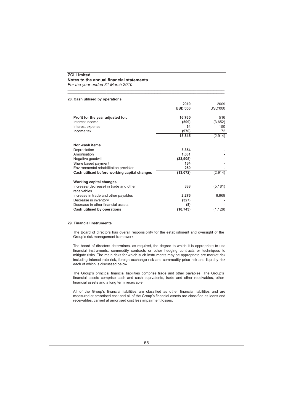*For the year ended 31 March 2010*

| 28. Cash utilised by operations                       |                |          |
|-------------------------------------------------------|----------------|----------|
|                                                       | 2010           | 2009     |
|                                                       | <b>USD'000</b> | USD'000  |
| Profit for the year adjusted for:                     | 16,760         | 516      |
| Interest income                                       | (509)          | (3,652)  |
| Interest expense                                      | 64             | 150      |
| Income tax                                            | (970)          | 72       |
|                                                       | 15,345         | (2, 914) |
| Non-cash items                                        |                |          |
| Depreciation                                          | 3,354          |          |
| Amortisation                                          | 1,681          |          |
| Negative goodwill                                     | (33,905)       |          |
| Share based payment                                   | 164            |          |
| Environmental rehabilitation provision                | 289            |          |
| Cash utilised before working capital changes          | (13, 072)      | (2, 914) |
| <b>Working capital changes</b>                        |                |          |
| Increase/(decrease) in trade and other<br>receivables | 388            | (5, 181) |
| Increase in trade and other payables                  | 2,276          | 6,969    |
| Decrease in inventory                                 | (327)          |          |
| Decrease in other financial assets                    | (8)            |          |
| Cash utilised by operations                           | (10, 743)      | (1,126)  |
|                                                       |                |          |

\_\_\_\_\_\_\_\_\_\_\_\_\_\_\_\_\_\_\_\_\_\_\_\_\_\_\_\_\_\_\_\_\_\_\_\_\_\_\_\_\_\_\_\_\_\_\_\_\_\_\_\_\_\_\_\_\_\_\_\_\_\_\_\_\_\_\_\_\_\_\_\_\_\_\_\_\_\_\_\_\_\_\_\_\_\_\_\_\_\_\_\_\_\_\_\_\_\_\_\_\_ \_\_\_\_\_\_\_\_\_\_\_\_\_\_\_\_\_\_\_\_\_\_\_\_\_\_\_\_\_\_\_\_\_\_\_\_\_\_\_\_\_\_\_\_\_\_\_\_\_\_\_\_\_\_\_\_\_\_\_\_\_\_\_\_\_\_\_\_\_\_\_\_\_\_\_\_\_\_\_\_\_\_\_\_\_\_\_\_\_\_\_\_\_\_\_\_\_\_\_\_\_

## **29. Financial instruments**

The Board of directors has overall responsibility for the establishment and oversight of the Group's risk management framework.

The board of directors determines, as required, the degree to which it is appropriate to use financial instruments, commodity contracts or other hedging contracts or techniques to mitigate risks. The main risks for which such instruments may be appropriate are market risk including interest rate risk, foreign exchange risk and commodity price risk and liquidity risk each of which is discussed below.

The Group's principal financial liabilities comprise trade and other payables. The Group's financial assets comprise cash and cash equivalents, trade and other receivables, other financial assets and a long term receivable.

All of the Group's financial liabilities are classified as other financial liabilities and are measured at amortised cost and all of the Group's financial assets are classified as loans and receivables, carried at amortised cost less impairment losses.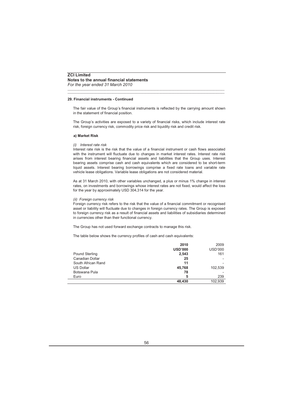#### **29. Financial instruments - Continued**

The fair value of the Group's financial instruments is reflected by the carrying amount shown in the statement of financial position.

\_\_\_\_\_\_\_\_\_\_\_\_\_\_\_\_\_\_\_\_\_\_\_\_\_\_\_\_\_\_\_\_\_\_\_\_\_\_\_\_\_\_\_\_\_\_\_\_\_\_\_\_\_\_\_\_\_\_\_\_\_\_\_\_\_\_\_\_\_\_\_\_\_\_\_\_\_\_\_\_\_\_\_\_\_\_\_\_\_\_\_\_\_\_\_\_\_\_\_\_\_ \_\_\_\_\_\_\_\_\_\_\_\_\_\_\_\_\_\_\_\_\_\_\_\_\_\_\_\_\_\_\_\_\_\_\_\_\_\_\_\_\_\_\_\_\_\_\_\_\_\_\_\_\_\_\_\_\_\_\_\_\_\_\_\_\_\_\_\_\_\_\_\_\_\_\_\_\_\_\_\_\_\_\_\_\_\_\_\_\_\_\_\_\_\_\_\_\_\_\_\_\_

The Group's activities are exposed to a variety of financial risks, which include interest rate risk, foreign currency risk, commodity price risk and liquidity risk and credit risk.

#### **a) Market Risk**

#### *(i) Interest rate risk*

Interest rate risk is the risk that the value of a financial instrument or cash flows associated with the instrument will fluctuate due to changes in market interest rates. Interest rate risk arises from interest bearing financial assets and liabilities that the Group uses. Interest bearing assets comprise cash and cash equivalents which are considered to be short-term liquid assets. Interest bearing borrowings comprise a fixed rate loans and variable rate vehicle lease obligations. Variable lease obligations are not considered material.

As at 31 March 2010, with other variables unchanged, a plus or minus 1% change in interest rates, on investments and borrowings whose interest rates are not fixed, would affect the loss for the year by approximately USD 304,314 for the year.

#### *(ii) Foreign currency risk*

Foreign currency risk refers to the risk that the value of a financial commitment or recognised asset or liability will fluctuate due to changes in foreign currency rates. The Group is exposed to foreign currency risk as a result of financial assets and liabilities of subsidiaries determined in currencies other than their functional currency.

The Group has not used forward exchange contracts to manage this risk.

The table below shows the currency profiles of cash and cash equivalents:

|                       | 2010           | 2009           |
|-----------------------|----------------|----------------|
|                       | <b>USD'000</b> | <b>USD'000</b> |
| <b>Pound Sterling</b> | 2,543          | 161            |
| Canadian Dollar       | 25             |                |
| South African Rand    | 11             |                |
| <b>US Dollar</b>      | 45.768         | 102,539        |
| Botswana Pula         | 78             |                |
| Euro                  | 5              | 239            |
|                       | 48.430         | 102,939        |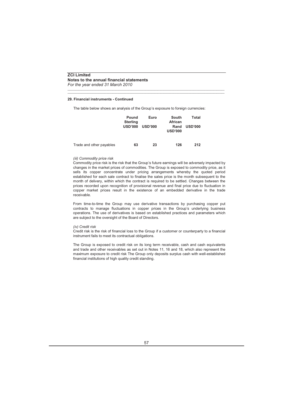#### **29. Financial instruments - Continued**

The table below shows an analysis of the Group's exposure to foreign currencies:

\_\_\_\_\_\_\_\_\_\_\_\_\_\_\_\_\_\_\_\_\_\_\_\_\_\_\_\_\_\_\_\_\_\_\_\_\_\_\_\_\_\_\_\_\_\_\_\_\_\_\_\_\_\_\_\_\_\_\_\_\_\_\_\_\_\_\_\_\_\_\_\_\_\_\_\_\_\_\_\_\_\_\_\_\_\_\_\_\_\_\_\_\_\_\_\_\_\_\_\_\_ \_\_\_\_\_\_\_\_\_\_\_\_\_\_\_\_\_\_\_\_\_\_\_\_\_\_\_\_\_\_\_\_\_\_\_\_\_\_\_\_\_\_\_\_\_\_\_\_\_\_\_\_\_\_\_\_\_\_\_\_\_\_\_\_\_\_\_\_\_\_\_\_\_\_\_\_\_\_\_\_\_\_\_\_\_\_\_\_\_\_\_\_\_\_\_\_\_\_\_\_\_

|                          | Pound<br><b>Sterling</b><br><b>USD'000</b> | Euro<br><b>USD'000</b> | South<br>African<br>Rand<br><b>USD'000</b> | Total<br><b>USD'000</b> |
|--------------------------|--------------------------------------------|------------------------|--------------------------------------------|-------------------------|
| Trade and other payables | 63                                         | 23                     | 126                                        | 212                     |

#### *(iii) Commodity price risk*

Commodity price risk is the risk that the Group's future earnings will be adversely impacted by changes in the market prices of commodities. The Group is exposed to commodity price, as it sells its copper concentrate under pricing arrangements whereby the quoted period established for each sale contract to finalise the sales price is the month subsequent to the month of delivery, within which the contract is required to be settled. Changes between the prices recorded upon recognition of provisional revenue and final price due to fluctuation in copper market prices result in the existence of an embedded derivative in the trade receivable.

From time-to-time the Group may use derivative transactions by purchasing copper put contracts to manage fluctuations in copper prices in the Group's underlying business operations. The use of derivatives is based on established practices and parameters which are subject to the oversight of the Board of Directors.

#### *(iv) Credit risk*

Credit risk is the risk of financial loss to the Group if a customer or counterparty to a financial instrument fails to meet its contractual obligations.

The Group is exposed to credit risk on its long term receivable, cash and cash equivalents and trade and other receivables as set out in Notes 11, 16 and 18, which also represent the maximum exposure to credit risk The Group only deposits surplus cash with well-established financial institutions of high quality credit standing.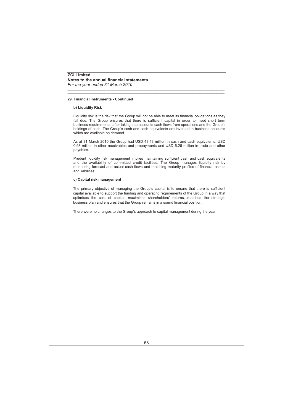#### **29. Financial instruments - Continued**

#### **b) Liquidity Risk**

Liquidity risk is the risk that the Group will not be able to meet its financial obligations as they fall due. The Group ensures that there is sufficient capital in order to meet short term business requirements, after taking into accounts cash flows from operations and the Group's holdings of cash. The Group's cash and cash equivalents are invested in business accounts which are available on demand.

\_\_\_\_\_\_\_\_\_\_\_\_\_\_\_\_\_\_\_\_\_\_\_\_\_\_\_\_\_\_\_\_\_\_\_\_\_\_\_\_\_\_\_\_\_\_\_\_\_\_\_\_\_\_\_\_\_\_\_\_\_\_\_\_\_\_\_\_\_\_\_\_\_\_\_\_\_\_\_\_\_\_\_\_\_\_\_\_\_\_\_\_\_\_\_\_\_\_\_\_\_ \_\_\_\_\_\_\_\_\_\_\_\_\_\_\_\_\_\_\_\_\_\_\_\_\_\_\_\_\_\_\_\_\_\_\_\_\_\_\_\_\_\_\_\_\_\_\_\_\_\_\_\_\_\_\_\_\_\_\_\_\_\_\_\_\_\_\_\_\_\_\_\_\_\_\_\_\_\_\_\_\_\_\_\_\_\_\_\_\_\_\_\_\_\_\_\_\_\_\_\_\_

As at 31 March 2010 the Group had USD 48.43 million in cash and cash equivalents, USD 0.98 million in other receivables and prepayments and USD 5.26 million in trade and other payables.

Prudent liquidity risk management implies maintaining sufficient cash and cash equivalents and the availability of committed credit facilities. The Group manages liquidity risk by monitoring forecast and actual cash flows and matching maturity profiles of financial assets and liabilities.

#### **c) Capital risk management**

The primary objective of managing the Group's capital is to ensure that there is sufficient capital available to support the funding and operating requirements of the Group in a way that optimises the cost of capital, maximizes shareholders' returns, matches the strategic business plan and ensures that the Group remains in a sound financial position.

There were no changes to the Group's approach to capital management during the year.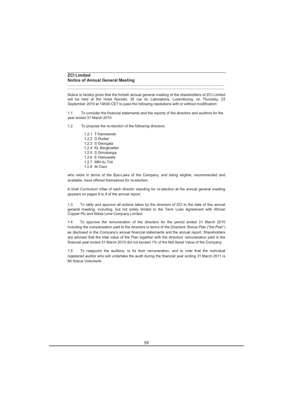## **ZCI Limited Notice of Annual General Meeting**

Notice is hereby given that the fortieth annual general meeting of the shareholders of ZCI Limited will be held at the Hotel Novotel, 35 rue du Laboratoire, Luxembourg, on Thursday, 23 September 2010 at 14h00 CET to pass the following resolutions with or without modification:

\_\_\_\_\_\_\_\_\_\_\_\_\_\_\_\_\_\_\_\_\_\_\_\_\_\_\_\_\_\_\_\_\_\_\_\_\_\_\_\_\_\_\_\_\_\_\_\_\_\_\_\_\_\_\_\_\_\_\_\_\_\_\_\_\_\_\_\_\_\_\_\_\_\_\_\_\_\_\_\_\_\_\_\_\_\_\_\_\_\_\_\_\_\_\_\_\_\_\_\_\_ \_\_\_\_\_\_\_\_\_\_\_\_\_\_\_\_\_\_\_\_\_\_\_\_\_\_\_\_\_\_\_\_\_\_\_\_\_\_\_\_\_\_\_\_\_\_\_\_\_\_\_\_\_\_\_\_\_\_\_\_\_\_\_\_\_\_\_\_\_\_\_\_\_\_\_\_\_\_\_\_\_\_\_\_\_\_\_\_\_\_\_\_\_\_\_\_\_\_\_\_\_

1.1 To consider the financial statements and the reports of the directors and auditors for the year ended 31 March 2010.

1.2 To propose the re-election of the following directors:

1.2.1 T Kamwendo 1.2.2 D Rodier 1.2.3 S Georgala 1.2.4 KL Bergkoetter 1.2.5 S Simukanga 1.2.6 E Hamuwele 1.2.7 MM du Toit 1.2.8 M Clerc

who retire in terms of the Bye-Laws of the Company, and being eligible, recommended and available, have offered themselves for re-election.

A brief *Curriculum Vitae* of each director standing for re-election at the annual general meeting appears on pages 6 to 9 of the annual report.

1.3 To ratify and approve all actions taken by the directors of ZCI to the date of this annual general meeting, including, but not solely limited to the Term Loan Agreement with African Copper Plc and Ndola Lime Company Limited.

1.4 To approve the remuneration of the directors for the period ended 31 March 2010 including the compensation paid to the directors in terms of the Directors' Bonus Plan ("the Plan") as disclosed in the Company's annual financial statements and the annual report. Shareholders are advised that the total value of the Plan together with the directors' remuneration paid in the financial year ended 31 March 2010 did not exceed 1% of the Net Asset Value of the Company.

1.5 To reappoint the auditors, to fix their remuneration, and to note that the individual registered auditor who will undertake the audit during the financial year ending 31 March 2011 is Mr Kobus Volschenk.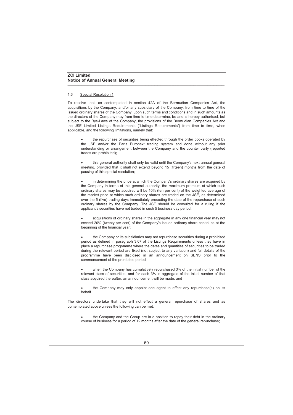#### 1.6 Special Resolution 1:

To resolve that, as contemplated in section 42A of the Bermudian Companies Act, the acquisitions by the Company, and/or any subsidiary of the Company, from time to time of the issued ordinary shares of the Company, upon such terms and conditions and in such amounts as the directors of the Company may from time to time determine, be and is hereby authorised, but subject to the Bye-Laws of the Company, the provisions of the Bermudian Companies Act and the JSE Limited Listings Requirements ("Listings Requirements") from time to time, when applicable, and the following limitations, namely that:

\_\_\_\_\_\_\_\_\_\_\_\_\_\_\_\_\_\_\_\_\_\_\_\_\_\_\_\_\_\_\_\_\_\_\_\_\_\_\_\_\_\_\_\_\_\_\_\_\_\_\_\_\_\_\_\_\_\_\_\_\_\_\_\_\_\_\_\_\_\_\_\_\_\_\_\_\_\_\_\_\_\_\_\_\_\_\_\_\_\_\_\_\_\_\_\_\_\_\_\_\_ \_\_\_\_\_\_\_\_\_\_\_\_\_\_\_\_\_\_\_\_\_\_\_\_\_\_\_\_\_\_\_\_\_\_\_\_\_\_\_\_\_\_\_\_\_\_\_\_\_\_\_\_\_\_\_\_\_\_\_\_\_\_\_\_\_\_\_\_\_\_\_\_\_\_\_\_\_\_\_\_\_\_\_\_\_\_\_\_\_\_\_\_\_\_\_\_\_\_\_\_\_

• the repurchase of securities being effected through the order books operated by the JSE and/or the Paris Euronext trading system and done without any prior understanding or arrangement between the Company and the counter party (reported trades are prohibited);

• this general authority shall only be valid until the Company's next annual general meeting, provided that it shall not extend beyond 15 (fifteen) months from the date of passing of this special resolution;

• in determining the price at which the Company's ordinary shares are acquired by the Company in terms of this general authority, the maximum premium at which such ordinary shares may be acquired will be 10% (ten per cent) of the weighted average of the market price at which such ordinary shares are traded on the JSE, as determined over the 5 (five) trading days immediately preceding the date of the repurchase of such ordinary shares by the Company. The JSE should be consulted for a ruling if the applicant's securities have not traded in such 5 business day period;

• acquisitions of ordinary shares in the aggregate in any one financial year may not exceed 20% (twenty per cent) of the Company's issued ordinary share capital as at the beginning of the financial year;

• the Company or its subsidiaries may not repurchase securities during a prohibited period as defined in paragraph 3.67 of the Listings Requirements unless they have in place a repurchase programme where the dates and quantities of securities to be traded during the relevant period are fixed (not subject to any variation) and full details of the programme have been disclosed in an announcement on SENS prior to the commencement of the prohibited period;

• when the Company has cumulatively repurchased 3% of the initial number of the relevant class of securities, and for each 3% in aggregate of the initial number of that class acquired thereafter, an announcement will be made; and

• the Company may only appoint one agent to effect any repurchase(s) on its behalf.

The directors undertake that they will not effect a general repurchase of shares and as contemplated above unless the following can be met;

• the Company and the Group are in a position to repay their debt in the ordinary course of business for a period of 12 months after the date of the general repurchase;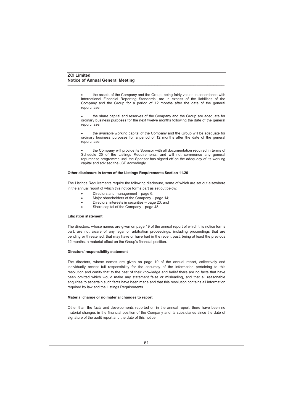• the assets of the Company and the Group, being fairly valued in accordance with International Financial Reporting Standards, are in excess of the liabilities of the Company and the Group for a period of 12 months after the date of the general repurchase;

\_\_\_\_\_\_\_\_\_\_\_\_\_\_\_\_\_\_\_\_\_\_\_\_\_\_\_\_\_\_\_\_\_\_\_\_\_\_\_\_\_\_\_\_\_\_\_\_\_\_\_\_\_\_\_\_\_\_\_\_\_\_\_\_\_\_\_\_\_\_\_\_\_\_\_\_\_\_\_\_\_\_\_\_\_\_\_\_\_\_\_\_\_\_\_\_\_\_\_\_\_ \_\_\_\_\_\_\_\_\_\_\_\_\_\_\_\_\_\_\_\_\_\_\_\_\_\_\_\_\_\_\_\_\_\_\_\_\_\_\_\_\_\_\_\_\_\_\_\_\_\_\_\_\_\_\_\_\_\_\_\_\_\_\_\_\_\_\_\_\_\_\_\_\_\_\_\_\_\_\_\_\_\_\_\_\_\_\_\_\_\_\_\_\_\_\_\_\_\_\_\_\_

• the share capital and reserves of the Company and the Group are adequate for ordinary business purposes for the next twelve months following the date of the general repurchase;

• the available working capital of the Company and the Group will be adequate for ordinary business purposes for a period of 12 months after the date of the general repurchase;

• the Company will provide its Sponsor with all documentation required in terms of Schedule 25 of the Listings Requirements, and will not commence any general repurchase programme until the Sponsor has signed off on the adequacy of its working capital and advised the JSE accordingly.

#### **Other disclosure in terms of the Listings Requirements Section 11.26**

The Listings Requirements require the following disclosure, some of which are set out elsewhere in the annual report of which this notice forms part as set out below:

- Directors and management page 6;
- Major shareholders of the Company page 14;
- Directors' interests in securities page 20; and
- Share capital of the Company page 48.

#### **Litigation statement**

The directors, whose names are given on page 19 of the annual report of which this notice forms part, are not aware of any legal or arbitration proceedings, including proceedings that are pending or threatened, that may have or have had in the recent past, being at least the previous 12 months, a material effect on the Group's financial position.

#### **Directors' responsibility statement**

The directors, whose names are given on page 19 of the annual report, collectively and individually accept full responsibility for the accuracy of the information pertaining to this resolution and certify that to the best of their knowledge and belief there are no facts that have been omitted which would make any statement false or misleading, and that all reasonable enquiries to ascertain such facts have been made and that this resolution contains all information required by law and the Listings Requirements.

#### **Material change or no material changes to report**

Other than the facts and developments reported on in the annual report, there have been no material changes in the financial position of the Company and its subsidiaries since the date of signature of the audit report and the date of this notice.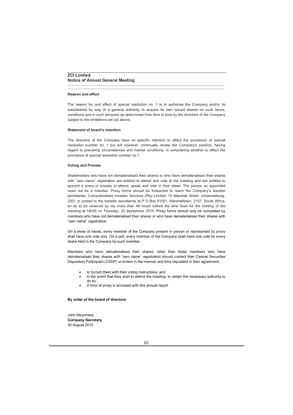#### **Reason and effect**

The reason for and effect of special resolution no. 1 is to authorise the Company and/or its subsidiaries by way of a general authority to acquire its own issued shares on such terms, conditions and in such amounts as determined from time to time by the directors of the Company subject to the limitations set out above.

\_\_\_\_\_\_\_\_\_\_\_\_\_\_\_\_\_\_\_\_\_\_\_\_\_\_\_\_\_\_\_\_\_\_\_\_\_\_\_\_\_\_\_\_\_\_\_\_\_\_\_\_\_\_\_\_\_\_\_\_\_\_\_\_\_\_\_\_\_\_\_\_\_\_\_\_\_\_\_\_\_\_\_\_\_\_\_\_\_\_\_\_\_\_\_\_\_\_\_\_\_ \_\_\_\_\_\_\_\_\_\_\_\_\_\_\_\_\_\_\_\_\_\_\_\_\_\_\_\_\_\_\_\_\_\_\_\_\_\_\_\_\_\_\_\_\_\_\_\_\_\_\_\_\_\_\_\_\_\_\_\_\_\_\_\_\_\_\_\_\_\_\_\_\_\_\_\_\_\_\_\_\_\_\_\_\_\_\_\_\_\_\_\_\_\_\_\_\_\_\_\_\_

#### **Statement of board's intention**

The directors of the Company have no specific intention to effect the provisions of special resolution number no. 1 but will however, continually review the Company's position, having regard to prevailing circumstances and market conditions, in considering whether to effect the provisions of special resolution number no.1.

#### **Voting and Proxies**

Shareholders who have not dematerialised their shares or who have dematerialised their shares with "own name" registration are entitled to attend and vote at the meeting and are entitled to appoint a proxy or proxies to attend, speak and vote in their stead. The person so appointed need not be a member. Proxy forms should be forwarded to reach the Company's transfer secretaries, Computershare Investor Services (Pty) Limited, 70 Marshall Street, Johannesburg, 2001 or posted to the transfer secretaries at P O Box 61051, Marshalltown, 2107, South Africa, so as to be received by not more than 48 hours before the time fixed for the holding of the meeting at 14h30 on Thursday, 23 September 2010. Proxy forms should only be completed by members who have not dematerialised their shares or who have dematerialised their shares with "own name" registration.

On a show of hands, every member of the Company present in person or represented by proxy shall have one vote only. On a poll, every member of the Company shall have one vote for every share held in the Company by such member.

Members who have dematerialised their shares, other than those members who have dematerialised their shares with "own name" registration should contact their Central Securities Depository Participant (CSDP) or broker in the manner and time stipulated in their agreement:

- to furnish them with their voting instructions; and
- in the event that they wish to attend the meeting, to obtain the necessary authority to do so.
- A form of proxy is enclosed with this annual report.

#### **By order of the board of directors**

John Kleynhans **Company Secretary** 30 August 2010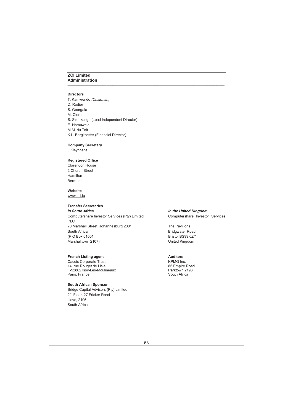# **ZCI Limited Administration**

#### **Directors**

T. Kamwendo *(Chairman)* D. Rodier S. Georgala M. Clerc S. Simukanga (Lead Independent Director) E. Hamuwele M.M. du Toit K.L. Bergkoetter (Financial Director)

\_\_\_\_\_\_\_\_\_\_\_\_\_\_\_\_\_\_\_\_\_\_\_\_\_\_\_\_\_\_\_\_\_\_\_\_\_\_\_\_\_\_\_\_\_\_\_\_\_\_\_\_\_\_\_\_\_\_\_\_\_\_\_\_\_\_\_\_\_\_\_\_\_\_\_\_\_\_\_\_\_\_\_\_\_\_\_\_\_\_\_\_\_\_\_\_\_\_\_\_\_ \_\_\_\_\_\_\_\_\_\_\_\_\_\_\_\_\_\_\_\_\_\_\_\_\_\_\_\_\_\_\_\_\_\_\_\_\_\_\_\_\_\_\_\_\_\_\_\_\_\_\_\_\_\_\_\_\_\_\_\_\_\_\_\_\_\_\_\_\_\_\_\_\_\_\_\_\_\_\_\_\_\_\_\_\_\_\_\_\_\_\_\_\_\_\_\_\_\_\_\_

### **Company Secretary**

J Kleynhans

## **Registered Office**

Clarendon House 2 Church Street Hamilton Bermuda

## **Website**

www.zci.lu

## **Transfer Secretaries**

**In South Africa** *In South Africa In the United Kingdom* Computershare Investor Services (Pty) Limited Computershare Investor Services PLC 70 Marshall Street, Johannesburg 2001 The Pavilions South Africa **Bridgwater Road** (P O Box 61051 Bristol BS99 6ZY Marshalltown 2107) **Marshalltown 2107** Marshalltown 2107

#### **French Listing agent Auditors** Auditors

Caceis Corporate Trust<br>14. rue Rouget de Lisle<br>14. rue Rouget de Lisle 14, rue Rouget de Lisle<br>F-92862 Issv-Les-Moulineaux Parktown 2193 F-92862 Issy-Les-Moulineaux **Parktown 21**<br>Paris. France Parktown 21 Paris, France

#### **South African Sponsor**

Bridge Capital Advisors (Pty) Limited 2<sup>nd</sup> Floor, 27 Fricker Road Illovo, 2196 South Africa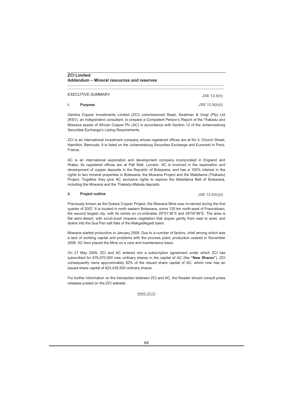EXECUTIVE SUMMARY

#### **i. Purpose**

Zambia Copper Investments Limited (ZCI) commissioned Read, Swatman & Voigt (Pty) Ltd (RSV), an independent consultant, to prepare a Competent Person's Report of the Thakadu and Mowana assets of African Copper Plc (AC) in accordance with Section 12 of the Johannesburg Securities Exchange's Listing Requirements.

\_\_\_\_\_\_\_\_\_\_\_\_\_\_\_\_\_\_\_\_\_\_\_\_\_\_\_\_\_\_\_\_\_\_\_\_\_\_\_\_\_\_\_\_\_\_\_\_\_\_\_\_\_\_\_\_\_\_\_\_\_\_\_\_\_\_\_\_\_\_\_\_\_\_\_\_\_\_\_\_\_\_\_\_\_\_\_\_\_\_\_\_\_\_\_\_\_\_\_\_\_ \_\_\_\_\_\_\_\_\_\_\_\_\_\_\_\_\_\_\_\_\_\_\_\_\_\_\_\_\_\_\_\_\_\_\_\_\_\_\_\_\_\_\_\_\_\_\_\_\_\_\_\_\_\_\_\_\_\_\_\_\_\_\_\_\_\_\_\_\_\_\_\_\_\_\_\_\_\_\_\_\_\_\_\_\_\_\_\_\_\_\_\_\_\_\_\_\_\_\_\_\_

ZCI is an international investment company whose registered offices are at No 3, Church Street, Hamilton, Bermuda. It is listed on the Johannesburg Securities Exchange and Euronext in Paris, France.

AC is an international exploration and development company incorporated in England and Wales. Its registered offices are at Pall Mall, London. AC is involved in the exploration and development of copper deposits in the Republic of Botswana, and has a 100% interest in the rights to two mineral properties in Botswana, the Mowana Project and the Matsitama (Thakadu) Project. Together they give AC exclusive rights to explore the Matsitama Belt of Botswana, including the Mowana and the Thakadu-Makala deposits.

#### **ii. Project outline**

Previously known as the Dukwe Copper Project, the Mowana Mine was re-named during the first quarter of 2007. It is located in north eastern Botswana, some 120 km north-west of Francistown, the second largest city, with its centre on co-ordinates 20º31'38"S and 26º35"46"E. The area is flat semi-desert, with scrub-bush mopane vegetation that slopes gently from east to west, and drains into the Sua Pan salt flats of the Makgadikgadi basin.

Mowana started production in January 2008. Due to a number of factors, chief among which was a lack of working capital and problems with the process plant, production ceased in November 2008. AC then placed the Mine on a care and maintenance basis.

On 21 May 2009, ZCI and AC entered into a subscription agreement under which ZCI has subscribed for 676,570,500 new ordinary shares in the capital of AC (the **"New Shares"**). ZCI consequently owns approximately 82% of the issued share capital of AC, which now has an issued share capital of 823,429,500 ordinary shares.

For further information on the transaction between ZCI and AC, the Reader should consult press releases posted on the ZCI website:

#### www.zci.lu

**JSE 12.9(h)**

**JSE 12.9(h)(i)**

**JSE 12.9(h)(ii)**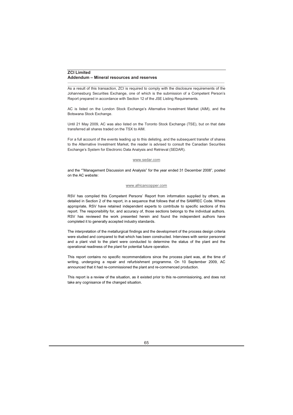As a result of this transaction, ZCI is required to comply with the disclosure requirements of the Johannesburg Securities Exchange, one of which is the submission of a Competent Person's Report prepared in accordance with Section 12 of the JSE Listing Requirements.

\_\_\_\_\_\_\_\_\_\_\_\_\_\_\_\_\_\_\_\_\_\_\_\_\_\_\_\_\_\_\_\_\_\_\_\_\_\_\_\_\_\_\_\_\_\_\_\_\_\_\_\_\_\_\_\_\_\_\_\_\_\_\_\_\_\_\_\_\_\_\_\_\_\_\_\_\_\_\_\_\_\_\_\_\_\_\_\_\_\_\_\_\_\_\_\_\_\_\_\_\_

AC is listed on the London Stock Exchange's Alternative Investment Market (AIM), and the Botswana Stock Exchange.

Until 21 May 2009, AC was also listed on the Toronto Stock Exchange (TSE), but on that date transferred all shares traded on the TSX to AIM.

For a full account of the events leading up to this delisting, and the subsequent transfer of shares to the Alternative Investment Market, the reader is advised to consult the Canadian Securities Exchange's System for Electronic Data Analysis and Retrieval (SEDAR).

#### www.sedar.com

and the ""Management Discussion and Analysis" for the year ended 31 December 2008", posted on the AC website:

## www.africancopper.com

RSV has compiled this Competent Persons' Report from information supplied by others, as detailed in Section 2 of the report, in a sequence that follows that of the SAMREC Code. Where appropriate, RSV have retained independent experts to contribute to specific sections of this report. The responsibility for, and accuracy of, those sections belongs to the individual authors. RSV has reviewed the work presented herein and found the independent authors have completed it to generally accepted industry standards.

The interpretation of the metallurgical findings and the development of the process design criteria were studied and compared to that which has been constructed. Interviews with senior personnel and a plant visit to the plant were conducted to determine the status of the plant and the operational readiness of the plant for potential future operation.

This report contains no specific recommendations since the process plant was, at the time of writing, undergoing a repair and refurbishment programme. On 10 September 2009, AC announced that it had re-commissioned the plant and re-commenced production.

This report is a review of the situation, as it existed prior to this re-commissioning, and does not take any cognisance of the changed situation.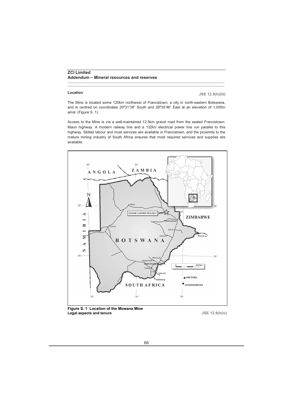#### **Location**

**JSE 12.9(h)(iii)**

The Mine is located some 120km northwest of Francistown, a city in north-eastern Botswana, and is centred on coordinates 20º31'38" South and 26º35'46" East at an elevation of 1,005m amsl. (Figure S. 1).

\_\_\_\_\_\_\_\_\_\_\_\_\_\_\_\_\_\_\_\_\_\_\_\_\_\_\_\_\_\_\_\_\_\_\_\_\_\_\_\_\_\_\_\_\_\_\_\_\_\_\_\_\_\_\_\_\_\_\_\_\_\_\_\_\_\_\_\_\_\_\_\_\_\_\_\_\_\_\_\_\_\_\_\_\_\_\_\_\_\_\_\_\_\_\_\_\_\_\_\_\_ \_\_\_\_\_\_\_\_\_\_\_\_\_\_\_\_\_\_\_\_\_\_\_\_\_\_\_\_\_\_\_\_\_\_\_\_\_\_\_\_\_\_\_\_\_\_\_\_\_\_\_\_\_\_\_\_\_\_\_\_\_\_\_\_\_\_\_\_\_\_\_\_\_\_\_\_\_\_\_\_\_\_\_\_\_\_\_\_\_\_\_\_\_\_\_\_\_\_\_\_\_

Access to the Mine is via a well-maintained 12.5km gravel road from the sealed Francistown-Maun highway. A modern railway line and a 132kV electrical power line run parallel to this highway. Skilled labour and most services are available in Francistown, and the proximity to the mature mining industry of South Africa ensures that most required services and supplies are available.



**Figure S. 1 Location of the Mowana Mine Legal aspects and tenure**

**JSE 12.9(h(iv)**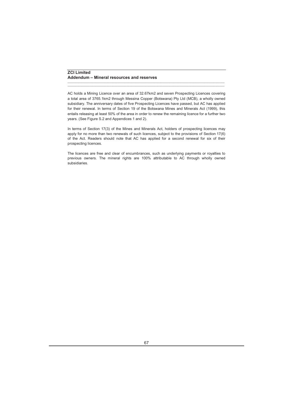AC holds a Mining Licence over an area of 32.67km2 and seven Prospecting Licences covering a total area of 3765.1km2 through Messina Copper (Botswana) Pty Ltd (MCB), a wholly owned subsidiary. The anniversary dates of five Prospecting Licences have passed, but AC has applied for their renewal. In terms of Section 19 of the Botswana Mines and Minerals Act (1999), this entails releasing at least 50% of the area in order to renew the remaining licence for a further two years. (See Figure S.2 and Appendices 1 and 2).

\_\_\_\_\_\_\_\_\_\_\_\_\_\_\_\_\_\_\_\_\_\_\_\_\_\_\_\_\_\_\_\_\_\_\_\_\_\_\_\_\_\_\_\_\_\_\_\_\_\_\_\_\_\_\_\_\_\_\_\_\_\_\_\_\_\_\_\_\_\_\_\_\_\_\_\_\_\_\_\_\_\_\_\_\_\_\_\_\_\_\_\_\_\_\_\_\_\_\_\_\_ \_\_\_\_\_\_\_\_\_\_\_\_\_\_\_\_\_\_\_\_\_\_\_\_\_\_\_\_\_\_\_\_\_\_\_\_\_\_\_\_\_\_\_\_\_\_\_\_\_\_\_\_\_\_\_\_\_\_\_\_\_\_\_\_\_\_\_\_\_\_\_\_\_\_\_\_\_\_\_\_\_\_\_\_\_\_\_\_\_\_\_\_\_\_\_\_\_\_\_\_\_

In terms of Section 17(3) of the Mines and Minerals Act, holders of prospecting licences may apply for no more than two renewals of such licences, subject to the provisions of Section 17(6) of the Act. Readers should note that AC has applied for a second renewal for six of their prospecting licences.

The licences are free and clear of encumbrances, such as underlying payments or royalties to previous owners. The mineral rights are 100% attributable to AC through wholly owned subsidiaries.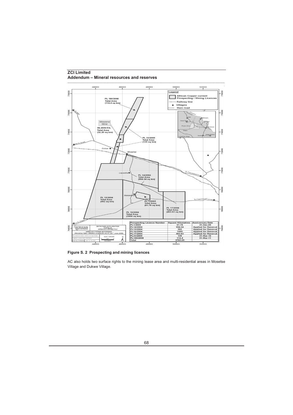

**Figure S. 2 Prospecting and mining licences**

AC also holds two surface rights to the mining lease area and multi-residential areas in Mosetse Village and Dukwe Village.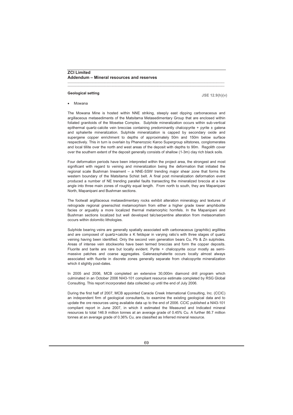#### **Geological setting**

**JSE 12.9(h)(v)**

• Mowana

The Mowana Mine is hosted within NNE striking, steeply east dipping carbonaceous and argillaceous metasediments of the Matsitama Metasedimentary Group that are enclosed within foliated granitoids of the Mosetse Complex. Sulphide mineralization occurs within sub-vertical epithermal quartz-calcite vein breccias containing predominantly chalcopyrite + pyrite ± galena and sphalerite mineralization. Sulphide mineralization is capped by secondary oxide and supergene copper enrichment to depths of approximately 50m and 150m below surface respectively. This in turn is overlain by Phanerozoic Karoo Supergroup siltstones, conglomerates and local tillite over the north and west areas of the deposit with depths to 90m. Regolith cover over the southern extent of the deposit generally consists of shallow (1-3m) clay rich black soils.

\_\_\_\_\_\_\_\_\_\_\_\_\_\_\_\_\_\_\_\_\_\_\_\_\_\_\_\_\_\_\_\_\_\_\_\_\_\_\_\_\_\_\_\_\_\_\_\_\_\_\_\_\_\_\_\_\_\_\_\_\_\_\_\_\_\_\_\_\_\_\_\_\_\_\_\_\_\_\_\_\_\_\_\_\_\_\_\_\_\_\_\_\_\_\_\_\_\_\_\_\_ \_\_\_\_\_\_\_\_\_\_\_\_\_\_\_\_\_\_\_\_\_\_\_\_\_\_\_\_\_\_\_\_\_\_\_\_\_\_\_\_\_\_\_\_\_\_\_\_\_\_\_\_\_\_\_\_\_\_\_\_\_\_\_\_\_\_\_\_\_\_\_\_\_\_\_\_\_\_\_\_\_\_\_\_\_\_\_\_\_\_\_\_\_\_\_\_\_\_\_\_\_

Four deformation periods have been interpreted within the project area, the strongest and most significant with regard to veining and mineralization being the deformation that initiated the regional scale Bushman lineament – a NNE-SSW trending major shear zone that forms the western boundary of the Matsitama Schist belt. A final post mineralization deformation event produced a number of NE trending parallel faults transecting the mineralized breccia at a low angle into three main zones of roughly equal length. From north to south, they are Mapanipani North, Mapanipani and Bushman sections.

The footwall argillaceous metasedimentary rocks exhibit alteration mineralogy and textures of retrograde regional greenschist metamorphism from either a higher grade lower amphibolite facies or arguably a more localized thermal metamorphic hornfels. In the Mapanipani and Bushman sections localized but well developed talc/serpentine alteration from metasomatism occurs within dolomitic lithologies.

Sulphide bearing veins are generally spatially associated with carbonaceous (graphitic) argillites and are composed of quartz+calcite  $\pm K$  feldspar in varying ratio's with three stages of quartz veining having been identified. Only the second vein generation bears Cu, Pb & Zn sulphides. Areas of intense vein stockworks have been termed breccias and form the copper deposits. Fluorite and barite are rare but locally evident. Pyrite + chalcopyrite occur mostly as semimassive patches and coarse aggregates. Galena±sphalerite occurs locally almost always associated with fluorite in discrete zones generally separate from chalcopyrite mineralization which it slightly post-dates.

In 2005 and 2006, MCB completed an extensive 30,000m diamond drill program which culminated in an October 2006 NI43-101 compliant resource estimate completed by RSG Global Consulting. This report incorporated data collected up until the end of July 2006.

During the first half of 2007, MCB appointed Caracle Creek International Consulting, Inc. (CCIC) an independent firm of geological consultants, to examine the existing geological data and to update the ore resources using available data up to the end of 2006. CCIC published a NI43-101 compliant report in June 2007, in which it estimated the Measured and Indicated mineral resources to total 146.9 million tonnes at an average grade of 0.45% Cu. A further 86.7 million tonnes at an average grade of 0.36% Cu, are classified as Inferred mineral resource.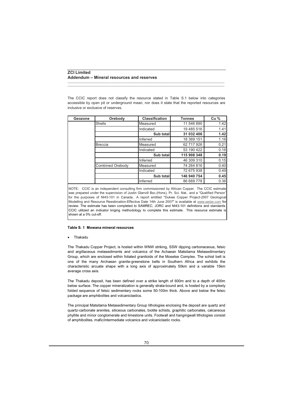The CCIC report does not classify the resource stated in Table S.1 below into categories accessible by open pit or underground mean, nor does it state that the reported resources are inclusive or exclusive of reserves.

\_\_\_\_\_\_\_\_\_\_\_\_\_\_\_\_\_\_\_\_\_\_\_\_\_\_\_\_\_\_\_\_\_\_\_\_\_\_\_\_\_\_\_\_\_\_\_\_\_\_\_\_\_\_\_\_\_\_\_\_\_\_\_\_\_\_\_\_\_\_\_\_\_\_\_\_\_\_\_\_\_\_\_\_\_\_\_\_\_\_\_\_\_\_\_\_\_\_\_\_\_ \_\_\_\_\_\_\_\_\_\_\_\_\_\_\_\_\_\_\_\_\_\_\_\_\_\_\_\_\_\_\_\_\_\_\_\_\_\_\_\_\_\_\_\_\_\_\_\_\_\_\_\_\_\_\_\_\_\_\_\_\_\_\_\_\_\_\_\_\_\_\_\_\_\_\_\_\_\_\_\_\_\_\_\_\_\_\_\_\_\_\_\_\_\_\_\_\_\_\_\_\_

| Geozone | Orebody                 | <b>Classification</b> | <b>Tonnes</b> | Cu <sub>%</sub> |
|---------|-------------------------|-----------------------|---------------|-----------------|
|         | Shells                  | Measured              | 11 546 890    | 1.42            |
|         |                         | Indicated             | 19 485 516    | 1.41            |
|         |                         | Sub total             | 31 032 406    | 1.42            |
|         |                         | Inferred              | 18 369 151    | 1.16            |
|         | <b>Breccia</b>          | Measured              | 62 717 926    | 0.21            |
|         |                         | Indicated             | 53 190 422    | 0.16            |
|         |                         | Sub total             | 115 908 348   | 0.19            |
|         |                         | Inferred              | 46 309 310    | 0.15            |
|         | <b>Combined Orebody</b> | Measured              | 74 264 816    | 0.40            |
|         |                         | Indicated             | 72 675 938    | 0.49            |
|         |                         | Sub total             | 146 940 754   | 0.45            |
|         |                         | Inferred              | 86 669 778    | 0.36            |

NOTE: CCIC is an independent consulting firm commissioned by African Copper. The CCIC estimate was prepared under the supervision of Justin Glanvill Bsc.(Hons), Pr. Sci. Nat.. and a "Qualified Person" for the purposes of NI43-101 in Canada. A report entitled "Dukwe Copper Project-2007 Geological Modelling and Resource Reestimation-Effective Date 14th June 2007" is available at www.sedar.com for review. The estimate has been completed to SAMREC, JORC and NI43-101 definitions and standards. CCIC utilized an indicator kriging methodology to complete this estimate. This resource estimate is shown at a 0% cut-off.

#### **Table S. 1 Mowana mineral resources**

• Thakadu

The Thakadu Copper Project, is hosted within WNW striking, SSW dipping carbonaceous, felsic and argillaceous metasediments and volcanics of the Achaean Matsitama Metasedimentary Group, which are enclosed within foliated granitoids of the Mosetse Complex. The schist belt is one of the many Archaean granite-greenstone belts in Southern Africa and exhibits the characteristic arcuate shape with a long axis of approximately 50km and a variable 15km average cross axis.

The Thakadu deposit, has been defined over a strike length of 600m and to a depth of 400m below surface. The copper mineralization is generally strata-bound and, is hosted by a complexly folded sequence of felsic sedimentary rocks some 50-100m thick. Above and below the felsic package are amphibolites and volcaniclastics.

The principal Matsitama Metasedimentary Group lithologies enclosing the deposit are quartz and quartz-carbonate arenites, siliceous carbonates, biotite schists, graphitic carbonates, calcareous phyllite and minor conglomerate and limestone units. Footwall and hangingwall lithologies consist of amphibolites, mafic/intermediate volcanics and volcaniclastic rocks.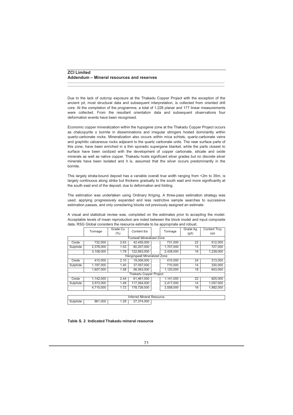Due to the lack of outcrop exposure at the Thakadu Copper Project with the exception of the ancient pit, most structural data and subsequent interpretation, is collected from oriented drill core. At the completion of the programme, a total of 1,228 planar and 177 linear measurements were collected. From the resultant orientation data and subsequent observations four deformation events have been recognised.

\_\_\_\_\_\_\_\_\_\_\_\_\_\_\_\_\_\_\_\_\_\_\_\_\_\_\_\_\_\_\_\_\_\_\_\_\_\_\_\_\_\_\_\_\_\_\_\_\_\_\_\_\_\_\_\_\_\_\_\_\_\_\_\_\_\_\_\_\_\_\_\_\_\_\_\_\_\_\_\_\_\_\_\_\_\_\_\_\_\_\_\_\_\_\_\_\_\_\_\_\_ \_\_\_\_\_\_\_\_\_\_\_\_\_\_\_\_\_\_\_\_\_\_\_\_\_\_\_\_\_\_\_\_\_\_\_\_\_\_\_\_\_\_\_\_\_\_\_\_\_\_\_\_\_\_\_\_\_\_\_\_\_\_\_\_\_\_\_\_\_\_\_\_\_\_\_\_\_\_\_\_\_\_\_\_\_\_\_\_\_\_\_\_\_\_\_\_\_\_\_\_\_

Economic copper mineralization within the hypogene zone at the Thakadu Copper Project occurs as chalcopyrite ± bornite in disseminations and irregular stringers hosted dominantly within quartz-carbonate rocks. Mineralization also occurs within mica schists, quartz-carbonate veins and graphitic calcareous rocks adjacent to the quartz carbonate units. The near surface parts of this zone, have been enriched in a thin sporadic supergene blanket, while the parts closest to surface have been oxidized with the development of copper carbonate, silicate and oxide minerals as well as native copper. Thakadu hosts significant silver grades but no discrete silver minerals have been isolated and it is, assumed that the silver occurs predominantly in the bornite.

This largely strata-bound deposit has a variable overall true width ranging from <2m to 35m, is largely continuous along strike but thickens gradually to the south east and more significantly at the south east end of the deposit, due to deformation and folding.

The estimation was undertaken using Ordinary Kriging. A three-pass estimation strategy was used, applying progressively expanded and less restrictive sample searches to successive estimation passes, and only considering blocks not previously assigned an estimate.

A visual and statistical review was, completed on the estimates prior to accepting the model. Acceptable levels of mean reproduction are noted between the block model and input composite data. RSG Global considers the resource estimate to be appropriate and robust.

|                              |                           | Grade Cu | Content lbs                   | Tonnage | Grade Ag  | <b>Content Troy</b> |            |  |
|------------------------------|---------------------------|----------|-------------------------------|---------|-----------|---------------------|------------|--|
|                              | Tonnage                   | $(\% )$  |                               |         |           | (g/t)               | <b>OZS</b> |  |
|                              | Footwall Mineralized Zone |          |                               |         |           |                     |            |  |
| Oxide                        | 732.000                   | 2.63     | 42.455.000                    |         | 731.000   | 22                  | 512,000    |  |
| Sulphide                     | 2.376.000                 | 1.53     | 80.207.000                    |         | 1.707.000 | 13                  | 727.000    |  |
|                              | 3,108,000                 | 1.79     | 122.663.000                   |         | 2,438,000 | 16                  | 1.239.000  |  |
| Hangingwall Mineralized Zone |                           |          |                               |         |           |                     |            |  |
| Oxide                        | 410.000                   | 2.10     | 19.006.000                    |         | 410.000   | 24                  | 313.000    |  |
| Sulphide                     | 1,197,000                 | 1.40     | 37.057.000                    |         | 710.000   | 14                  | 330.000    |  |
|                              | 1.607.000                 | 1.58     | 56.063.000                    |         | 1.120.000 | 18                  | 643.000    |  |
|                              |                           |          | <b>Thakadu Copper Project</b> |         |           |                     |            |  |
| Oxide                        | 1.142.000                 | 2.44     | 61.461.000                    |         | 1.141.000 | 22                  | 825.000    |  |
| Sulphide                     | 3.573.000                 | 1.49     | 117.264.000                   |         | 2.417.000 | 14                  | 1.057.000  |  |
|                              | 4,715,000                 | 1.72     | 178.726.000                   |         | 3.558.000 | 16                  | 1.882.000  |  |
|                              |                           |          |                               |         |           |                     |            |  |

| ⊀esource<br>Mineral<br>errea |             |           |                        |  |  |  |  |
|------------------------------|-------------|-----------|------------------------|--|--|--|--|
|                              | .000<br>961 | 29،،<br>. | .000<br>$\overline{A}$ |  |  |  |  |

## **Table S. 2 Indicated Thakadu mineral resource**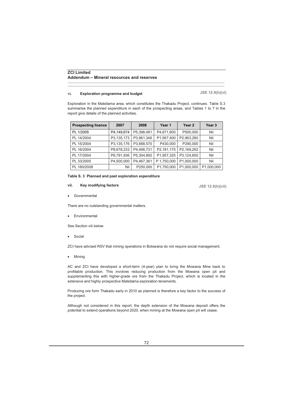#### **vi. Exploration programme and budget**

**JSE 12.9(h)(vi)**

Exploration in the Matsitama area, which constitutes the Thakadu Project, continues. Table S.3 summarise the planned expenditure in each of the prospecting areas, and Tables 1 to 7 in the report give details of the planned activities.

\_\_\_\_\_\_\_\_\_\_\_\_\_\_\_\_\_\_\_\_\_\_\_\_\_\_\_\_\_\_\_\_\_\_\_\_\_\_\_\_\_\_\_\_\_\_\_\_\_\_\_\_\_\_\_\_\_\_\_\_\_\_\_\_\_\_\_\_\_\_\_\_\_\_\_\_\_\_\_\_\_\_\_\_\_\_\_\_\_\_\_\_\_\_\_\_\_\_\_\_\_ \_\_\_\_\_\_\_\_\_\_\_\_\_\_\_\_\_\_\_\_\_\_\_\_\_\_\_\_\_\_\_\_\_\_\_\_\_\_\_\_\_\_\_\_\_\_\_\_\_\_\_\_\_\_\_\_\_\_\_\_\_\_\_\_\_\_\_\_\_\_\_\_\_\_\_\_\_\_\_\_\_\_\_\_\_\_\_\_\_\_\_\_\_\_\_\_\_\_\_\_\_

| <b>Prospecting licence</b> | 2007       | 2008       | Year 1      | Year 2     | Year 3     |
|----------------------------|------------|------------|-------------|------------|------------|
| PL 1/2005                  | P4,149,674 | P5,398,481 | P4,671,600  | P500,000   | Nil        |
| PL 14/2004                 | P3,135,173 | P3,961,346 | P1,567,400  | P2,963,280 | Nil        |
| PL 15/2004                 | P3,135,176 | P3,688,570 | P430,000    | P290,000   | Nil        |
| PL 16/2004                 | P8,678,233 | P4.496.731 | P2,181,175  | P2,169,292 | Nil        |
| PL 17/2004                 | P6,791,936 | P5,304,892 | P1,957,325  | P3,124,650 | Nil        |
| PL 33/2005                 | P4,500,000 | P4.467.361 | P 1,750,000 | P1.000.000 | Nil        |
| PL 180/2008                | Nil        | P250,000   | P1,750,000  | P1,000,000 | P1,000,000 |

#### **Table S. 3 Planned and past exploration expenditure**

#### **vii. Key modifying factors**

**JSE 12.9(h)(vii)**

• Governmental

There are no outstanding governmental matters.

**Environmental** 

See Section viii below.

**Social** 

ZCI have advised RSV that mining operations in Botswana do not require social management.

• Mining

AC and ZCI have developed a short-term (4-year) plan to bring the Mowana Mine back to profitable production. This involves reducing production from the Mowana open pit and supplementing this with higher-grade ore from the Thakadu Project, which is located in the extensive and highly prospective Matsitama exploration tenements.

Producing ore form Thakadu early in 2010 as planned is therefore a key factor to the success of the project.

Although not considered in this report, the depth extension of the Mowana deposit offers the potential to extend operations beyond 2020, when mining at the Mowana open pit will cease.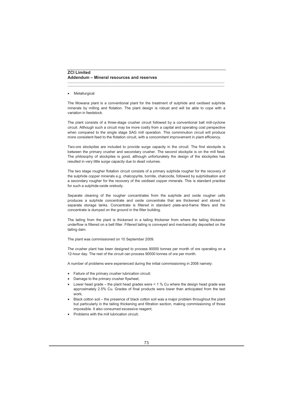#### **Metallurgical**

The Mowana plant is a conventional plant for the treatment of sulphide and oxidised sulphide minerals by milling and flotation. The plant design is robust and will be able to cope with a variation in feedstock.

\_\_\_\_\_\_\_\_\_\_\_\_\_\_\_\_\_\_\_\_\_\_\_\_\_\_\_\_\_\_\_\_\_\_\_\_\_\_\_\_\_\_\_\_\_\_\_\_\_\_\_\_\_\_\_\_\_\_\_\_\_\_\_\_\_\_\_\_\_\_\_\_\_\_\_\_\_\_\_\_\_\_\_\_\_\_\_\_\_\_\_\_\_\_\_\_\_\_\_\_\_ \_\_\_\_\_\_\_\_\_\_\_\_\_\_\_\_\_\_\_\_\_\_\_\_\_\_\_\_\_\_\_\_\_\_\_\_\_\_\_\_\_\_\_\_\_\_\_\_\_\_\_\_\_\_\_\_\_\_\_\_\_\_\_\_\_\_\_\_\_\_\_\_\_\_\_\_\_\_\_\_\_\_\_\_\_\_\_\_\_\_\_\_\_\_\_\_\_\_\_\_\_

The plant consists of a three-stage crusher circuit followed by a conventional ball mill-cyclone circuit. Although such a circuit may be more costly from a capital and operating cost perspective when compared to the single stage SAG mill operation. This comminution circuit will produce more consistent feed to the flotation circuit, with a concomitant improvement in plant efficiency.

Two-ore stockpiles are included to provide surge capacity in the circuit. The first stockpile is between the primary crusher and secondary crusher. The second stockpile is on the mill feed. The philosophy of stockpiles is good, although unfortunately the design of the stockpiles has resulted in very little surge capacity due to dead volumes.

The two stage rougher flotation circuit consists of a primary sulphide rougher for the recovery of the sulphide copper minerals e.g. chalcopyrite, bornite, chalcocite, followed by sulphidisation and a secondary rougher for the recovery of the oxidised copper minerals. This is standard practise for such a sulphide-oxide orebody.

Separate cleaning of the rougher concentrates from the sulphide and oxide rougher cells produces a sulphide concentrate and oxide concentrate that are thickened and stored in separate storage tanks. Concentrate is filtered in standard plate-and-frame filters and the concentrate is dumped on the ground in the filter building.

The tailing from the plant is thickened in a tailing thickener from where the tailing thickener underflow is filtered on a belt filter. Filtered tailing is conveyed and mechanically deposited on the tailing dam.

The plant was commissioned on 10 September 2009.

The crusher plant has been designed to process 90000 tonnes per month of ore operating on a 12-hour day. The rest of the circuit can process 90000 tonnes of ore per month.

A number of problems were experienced during the initial commissioning in 2008 namely:

- Failure of the primary crusher lubrication circuit;
- Damage to the primary crusher flywheel;
- Lower head grade the plant head grades were  $< 1$  % Cu where the design head grade was approximately 2.5% Cu. Grades of final products were lower than anticipated from the test work;
- Black cotton soil the presence of black cotton soil was a major problem throughout the plant but particularly in the tailing thickening and filtration section, making commissioning of those impossible. It also consumed excessive reagent;
- Problems with the mill lubrication circuit;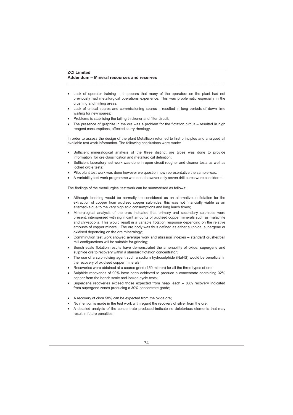• Lack of operator training – it appears that many of the operators on the plant had not previously had metallurgical operations experience. This was problematic especially in the crushing and milling areas;

\_\_\_\_\_\_\_\_\_\_\_\_\_\_\_\_\_\_\_\_\_\_\_\_\_\_\_\_\_\_\_\_\_\_\_\_\_\_\_\_\_\_\_\_\_\_\_\_\_\_\_\_\_\_\_\_\_\_\_\_\_\_\_\_\_\_\_\_\_\_\_\_\_\_\_\_\_\_\_\_\_\_\_\_\_\_\_\_\_\_\_\_\_\_\_\_\_\_\_\_\_ \_\_\_\_\_\_\_\_\_\_\_\_\_\_\_\_\_\_\_\_\_\_\_\_\_\_\_\_\_\_\_\_\_\_\_\_\_\_\_\_\_\_\_\_\_\_\_\_\_\_\_\_\_\_\_\_\_\_\_\_\_\_\_\_\_\_\_\_\_\_\_\_\_\_\_\_\_\_\_\_\_\_\_\_\_\_\_\_\_\_\_\_\_\_\_\_\_\_\_\_\_

- Lack of critical spares and commissioning spares resulted in long periods of down time waiting for new spares;
- Problems is stabilising the tailing thickener and filter circuit;
- The presence of graphite in the ore was a problem for the flotation circuit resulted in high reagent consumptions, affected slurry rheology.

In order to assess the design of the plant Metallicon returned to first principles and analysed all available test work information. The following conclusions were made:

- Sufficient mineralogical analysis of the three distinct ore types was done to provide information for ore classification and metallurgical definition;
- Sufficient laboratory test work was done in open circuit rougher and cleaner tests as well as locked cycle tests;
- Pilot plant test work was done however we question how representative the sample was;
- A variability test work programme was done however only seven drill cores were considered.

The findings of the metallurgical test work can be summarised as follows:

- Although leaching would be normally be considered as an alternative to flotation for the extraction of copper from oxidised copper sulphides, this was not financially viable as an alternative due to the very high acid consumptions and long leach times;
- Mineralogical analysis of the ores indicated that primary and secondary sulphides were present, interspersed with significant amounts of oxidised copper minerals such as malachite and chrysocolla. This would result in a variable flotation response depending on the relative amounts of copper mineral. The ore body was thus defined as either sulphide, supergene or oxidised depending on the ore mineralogy;
- Comminution test work showed average work and abrasion indexes standard crusher/ball mill configurations will be suitable for grinding;
- Bench scale flotation results have demonstrated the amenability of oxide, supergene and sulphide ore to recovery within a standard flotation concentrator;
- The use of a sulphidising agent such a sodium hydrosulphide (NaHS) would be beneficial in the recovery of oxidised copper minerals;
- Recoveries were obtained at a coarse grind (150 micron) for all the three types of ore;
- Sulphide recoveries of 90% have been achieved to produce a concentrate containing 32% copper from the bench scale and locked cycle tests;
- Supergene recoveries exceed those expected from heap leach 83% recovery indicated from supergene zones producing a 30% concentrate grade;
- A recovery of circa 58% can be expected from the oxide ore;
- No mention is made in the test work with regard the recovery of silver from the ore;
- A detailed analysis of the concentrate produced indicate no deleterious elements that may result in future penalties;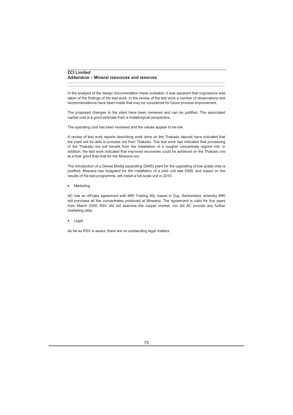In the analysis of the design documentation made available, it was apparent that cognisance was taken of the findings of the test work. In the review of the test work a number of observations and recommendations have been made that may be considered for future process improvement.

\_\_\_\_\_\_\_\_\_\_\_\_\_\_\_\_\_\_\_\_\_\_\_\_\_\_\_\_\_\_\_\_\_\_\_\_\_\_\_\_\_\_\_\_\_\_\_\_\_\_\_\_\_\_\_\_\_\_\_\_\_\_\_\_\_\_\_\_\_\_\_\_\_\_\_\_\_\_\_\_\_\_\_\_\_\_\_\_\_\_\_\_\_\_\_\_\_\_\_\_\_ \_\_\_\_\_\_\_\_\_\_\_\_\_\_\_\_\_\_\_\_\_\_\_\_\_\_\_\_\_\_\_\_\_\_\_\_\_\_\_\_\_\_\_\_\_\_\_\_\_\_\_\_\_\_\_\_\_\_\_\_\_\_\_\_\_\_\_\_\_\_\_\_\_\_\_\_\_\_\_\_\_\_\_\_\_\_\_\_\_\_\_\_\_\_\_\_\_\_\_\_\_

The proposed changes to the plant have been reviewed and can be justified. The associated capital cost is a good estimate from a metallurgical perspective.

The operating cost has been reviewed and the values appear to be low.

A review of test work reports describing work done on the Thakadu deposit have indicated that the plant will be able to process ore from Thakadu. The test work has indicated that processing of the Thakadu ore will benefit from the installation of a rougher concentrate regrind mill. In addition, the test work indicated that improved recoveries could be achieved on the Thakadu ore at a finer grind than that for the Mowana ore.

The introduction of a Dense Media separating (DMS) plant for the upgrading of low-grade ores is justified. Mowana has budgeted for the installation of a pilot unit late 2009, and based on the results of the test programme, will install a full-scale unit in 2010.

**Marketing** 

AC has an off-take agreement with MRI Trading AG, based in Zug, Switzerland, whereby MRI will purchase all the concentrates produced at Mowana. The agreement is valid for five years from March 2009. RSV did not examine the copper market, nor did AC provide any further marketing data.

**Legal** 

As far as RSV is aware, there are no outstanding legal matters.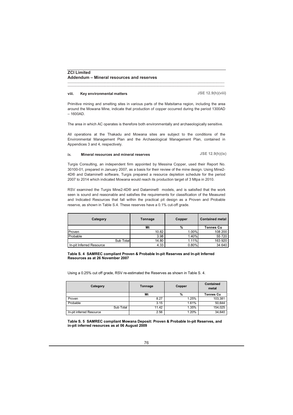#### **viii. Key environmental matters**

**JSE 12.9(h)(viii)**

Primitive mining and smelting sites in various parts of the Matsitama region, including the area around the Mowana Mine, indicate that production of copper occurred during the period 1300AD  $-1600AD$ 

\_\_\_\_\_\_\_\_\_\_\_\_\_\_\_\_\_\_\_\_\_\_\_\_\_\_\_\_\_\_\_\_\_\_\_\_\_\_\_\_\_\_\_\_\_\_\_\_\_\_\_\_\_\_\_\_\_\_\_\_\_\_\_\_\_\_\_\_\_\_\_\_\_\_\_\_\_\_\_\_\_\_\_\_\_\_\_\_\_\_\_\_\_\_\_\_\_\_\_\_\_ \_\_\_\_\_\_\_\_\_\_\_\_\_\_\_\_\_\_\_\_\_\_\_\_\_\_\_\_\_\_\_\_\_\_\_\_\_\_\_\_\_\_\_\_\_\_\_\_\_\_\_\_\_\_\_\_\_\_\_\_\_\_\_\_\_\_\_\_\_\_\_\_\_\_\_\_\_\_\_\_\_\_\_\_\_\_\_\_\_\_\_\_\_\_\_\_\_\_\_\_\_

The area in which AC operates is therefore both environmentally and archaeologically sensitive.

All operations at the Thakadu and Mowana sites are subject to the conditions of the Environmental Management Plan and the Archaeological Management Plan, contained in Appendices 3 and 4, respectively.

#### **ix**. **Mineral resources and mineral reserves JSE 12.9(h)(ix)**

Turgis Consulting, an independent firm appointed by Messina Copper, used their Report No. 30100-01, prepared in January 2007, as a basis for their review of the mine design. Using Mine2- 4D® and Datamine® software, Turgis prepared a resource depletion schedule for the period 2007 to 2014 which indicated Mowana would reach its production target of 3 Mtpa in 2010.

RSV examined the Turgis Mine2-4D® and Datamine® models, and is satisfied that the work seen is sound and reasonable and satisfies the requirements for classification of the Measured and Indicated Resources that fall within the practical pit design as a Proven and Probable reserve, as shown in Table S.4. These reserves have a 0.1% cut-off grade.

| Category                 | Tonnage | Copper | <b>Contained metal</b> |
|--------------------------|---------|--------|------------------------|
|                          | Mt      | %      | <b>Tonnes Cu</b>       |
| Proven                   | 10.82   | 1.00%  | 108 200                |
| Probable                 | 3.98    | 1.40%  | 55 720                 |
| Sub Total                | 14.80   | 1.11%  | 163 920                |
| In-pit Inferred Resource | 4.33    | 0.80%  | 34 640                 |

#### **Table S. 4 SAMREC compliant Proven & Probable In-pit Reserves and In-pit Inferred Resources as at 26 November 2007**

Using a 0.25% cut off grade, RSV re-estimated the Reserves as shown in Table S. 4.

| Category                 | Tonnage | Copper | <b>Contained</b><br>metal |  |
|--------------------------|---------|--------|---------------------------|--|
|                          | Mt      | %      | <b>Tonnes Cu</b>          |  |
| Proven                   | 8.27    | 1.25%  | 103,381                   |  |
| Probable                 | 3.15    | 1.61%  | 50,644                    |  |
| Sub Total                | 11.42   | 1.35%  | 154,025                   |  |
| In-pit inferred Resource | 2.56    | 1.20%  | 34,640                    |  |

**Table S. 5 SAMREC compliant Mowana Deposit: Proven & Probable In-pit Reserves, and in-pit inferred resources as at 06 August 2009**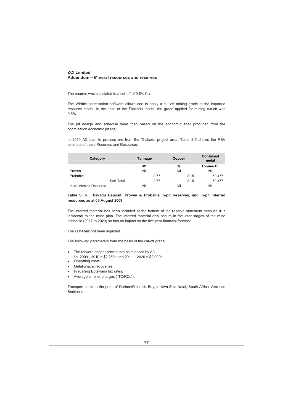The reserve was calculated to a cut-off of 0.5% Cu.

The Whittle optimisation software allows one to apply a cut off mining grade to the imported resource model. In the case of the Thakadu model, the grade applied for mining cut-off was 0.5%.

\_\_\_\_\_\_\_\_\_\_\_\_\_\_\_\_\_\_\_\_\_\_\_\_\_\_\_\_\_\_\_\_\_\_\_\_\_\_\_\_\_\_\_\_\_\_\_\_\_\_\_\_\_\_\_\_\_\_\_\_\_\_\_\_\_\_\_\_\_\_\_\_\_\_\_\_\_\_\_\_\_\_\_\_\_\_\_\_\_\_\_\_\_\_\_\_\_\_\_\_\_ \_\_\_\_\_\_\_\_\_\_\_\_\_\_\_\_\_\_\_\_\_\_\_\_\_\_\_\_\_\_\_\_\_\_\_\_\_\_\_\_\_\_\_\_\_\_\_\_\_\_\_\_\_\_\_\_\_\_\_\_\_\_\_\_\_\_\_\_\_\_\_\_\_\_\_\_\_\_\_\_\_\_\_\_\_\_\_\_\_\_\_\_\_\_\_\_\_\_\_\_\_

The pit design and schedule were then based on the economic shell produced from the optimisation economic pit shell.

In 2010 AC plan to process ore from the Thakadu project area. Table S.5 shows the RSV estimate of these Reserves and Resources.

| Category                 | Tonnage | Copper        | <b>Contained</b><br>metal |  |
|--------------------------|---------|---------------|---------------------------|--|
|                          | Mt      | $\frac{0}{0}$ | <b>Tonnes Cu</b>          |  |
| Proven                   | Nil     | Nil           | Nil                       |  |
| Probable                 | 2.77    | 2.15          | 59,477                    |  |
| Sub Total                | 2.77    | 2.15          | 59.477                    |  |
| In-pit inferred Resource | Nil     | Nil           | Nil                       |  |

## **Table S. 6 Thakadu Deposit: Proven & Probable In-pit Reserves, and in-pit inferred resources as at 06 August 2009**

The inferred material has been included at the bottom of the reserve statement because it is incidental to the mine plan. The inferred material only occurs in the later stages of the mine schedule (2017 to 2020) so has no impact on the five-year financial forecast.

The LOM has not been adjusted.

The following parameters form the basis of the cut-off grade:

- The forward copper price curve as supplied by  $AC$ i.e. 2009 - 2010 = \$2,25/lb and 2011 – 2020 = \$2,00/lb;
- Operating costs;
- Metallurgical recoveries;
- Prevailing Botswana tax rates;
- Average smelter charges ("TC/RCs").

Transport costs to the ports of Durban/Richards Bay, in Kwa-Zulu Natal, South Africa. Also see Section v.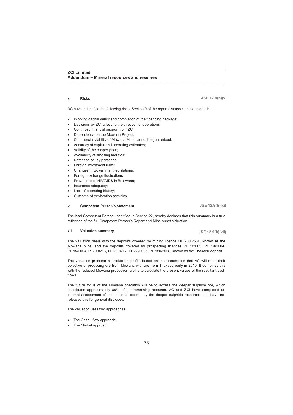### **x. Risks**

**JSE 12.9(h)(x)**

AC have indentified the following risks. Section 9 of the report discusses these in detail:

\_\_\_\_\_\_\_\_\_\_\_\_\_\_\_\_\_\_\_\_\_\_\_\_\_\_\_\_\_\_\_\_\_\_\_\_\_\_\_\_\_\_\_\_\_\_\_\_\_\_\_\_\_\_\_\_\_\_\_\_\_\_\_\_\_\_\_\_\_\_\_\_\_\_\_\_\_\_\_\_\_\_\_\_\_\_\_\_\_\_\_\_\_\_\_\_\_\_\_\_\_ \_\_\_\_\_\_\_\_\_\_\_\_\_\_\_\_\_\_\_\_\_\_\_\_\_\_\_\_\_\_\_\_\_\_\_\_\_\_\_\_\_\_\_\_\_\_\_\_\_\_\_\_\_\_\_\_\_\_\_\_\_\_\_\_\_\_\_\_\_\_\_\_\_\_\_\_\_\_\_\_\_\_\_\_\_\_\_\_\_\_\_\_\_\_\_\_\_\_\_\_\_

- Working capital deficit and completion of the financing package;
- Decisions by ZCI affecting the direction of operations;
- Continued financial support from ZCI;
- Dependence on the Mowana Project;
- Commercial viability of Mowana Mine cannot be guaranteed;
- Accuracy of capital and operating estimates;
- Validity of the copper price;
- Availability of smelting facilities;
- Retention of key personnel;
- Foreign investment risks:
- Changes in Government legislations;
- Foreign exchange fluctuations;
- Prevalence of HIV/AIDS in Botswana;
- Insurance adequacy;
- Lack of operating history:
- Outcome of exploration activities.

### **xi. Competent Person's statement**

The lead Competent Person, identified in Section 22, hereby declares that this summary is a true reflection of the full Competent Person's Report and Mine Asset Valuation.

#### **xii. Valuation summary**

The valuation deals with the deposits covered by mining licence ML 2006/53L, known as the Mowana Mine, and the deposits covered by prospecting licences PL 1/2005, PL 14/2004, PL 15/2004, Pl 2004/16, PL 2004/17, PL 33/2005, PL 180/2008, known as the Thakadu deposit.

The valuation presents a production profile based on the assumption that AC will meet their objective of producing ore from Mowana with ore from Thakadu early in 2010. It combines this with the reduced Mowana production profile to calculate the present values of the resultant cash flows.

The future focus of the Mowana operation will be to access the deeper sulphide ore, which constitutes approximately 80% of the remaining resource. AC and ZCI have completed an internal assessment of the potential offered by the deeper sulphide resources, but have not released this for general disclosed.

The valuation uses two approaches:

- The Cash –flow approach;
- The Market approach.

**JSE 12.9(h)(xi)**

**JSE 12.9(h)(xii)**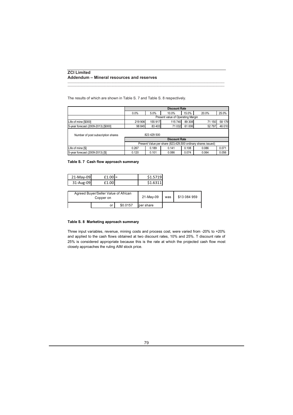The results of which are shown in Table S. 7 and Table S. 8 respectively.

|                                                   | <b>Discount Rate</b>                                         |         |                                   |         |        |        |  |
|---------------------------------------------------|--------------------------------------------------------------|---------|-----------------------------------|---------|--------|--------|--|
|                                                   | 0.0%                                                         | 5.0%    | 10.0%                             | 15.0%   | 20.0%  | 25.0%  |  |
|                                                   |                                                              |         | Present value of Operating Margin |         |        |        |  |
| Life of mine [\$000]                              | 219 906                                                      | 155 917 | 115 740                           | 89 30 8 | 71 150 | 58 179 |  |
| 5-year forecast (2009-2013) [\$000]               | 98 845                                                       | 83 403  | 71 032                            | 61 006  | 52 797 | 46 010 |  |
| 823 429 500<br>Number of post subscription shares |                                                              |         |                                   |         |        |        |  |
|                                                   |                                                              |         | <b>Discount Rate</b>              |         |        |        |  |
|                                                   | Present Value per share (823,429,500 ordinary shares issued) |         |                                   |         |        |        |  |
| Life of mine [\$]                                 | 0.267                                                        | 0.189   | 0.141                             | 0.108   | 0.086  | 0.071  |  |
| 5-year forecast (2009-2013) [\$]                  | 0.120                                                        | 0.101   | 0.086                             | 0.074   | 0.064  | 0.056  |  |

\_\_\_\_\_\_\_\_\_\_\_\_\_\_\_\_\_\_\_\_\_\_\_\_\_\_\_\_\_\_\_\_\_\_\_\_\_\_\_\_\_\_\_\_\_\_\_\_\_\_\_\_\_\_\_\_\_\_\_\_\_\_\_\_\_\_\_\_\_\_\_\_\_\_\_\_\_\_\_\_\_\_\_\_\_\_\_\_\_\_\_\_\_\_\_\_\_\_\_\_\_ \_\_\_\_\_\_\_\_\_\_\_\_\_\_\_\_\_\_\_\_\_\_\_\_\_\_\_\_\_\_\_\_\_\_\_\_\_\_\_\_\_\_\_\_\_\_\_\_\_\_\_\_\_\_\_\_\_\_\_\_\_\_\_\_\_\_\_\_\_\_\_\_\_\_\_\_\_\_\_\_\_\_\_\_\_\_\_\_\_\_\_\_\_\_\_\_\_\_\_\_\_

**Table S. 7 Cash flow approach summary**

| 21-May-09 | $f1.0^\circ$ | S1 5719 |
|-----------|--------------|---------|
| 31-Aug-09 |              | C1 621  |

| Agreed Buyer/Seller Value of African<br>Copper on |    | 21-May-09 | was        | \$13 084 959 |  |
|---------------------------------------------------|----|-----------|------------|--------------|--|
|                                                   | or | \$0.0157  | lper share |              |  |

## **Table S. 8 Marketing approach summary**

Three input variables, revenue, mining costs and process cost, were varied from -20% to +20% and applied to the cash flows obtained at two discount rates, 10% and 25%. T discount rate of 25% is considered appropriate because this is the rate at which the projected cash flow most closely approaches the ruling AIM stock price.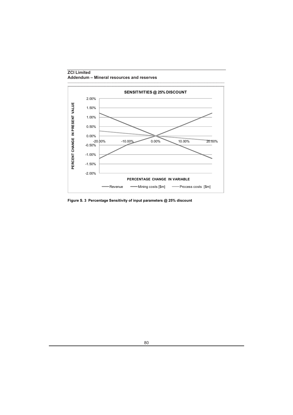

**Figure S. 3 Percentage Sensitivity of input parameters @ 25% discount**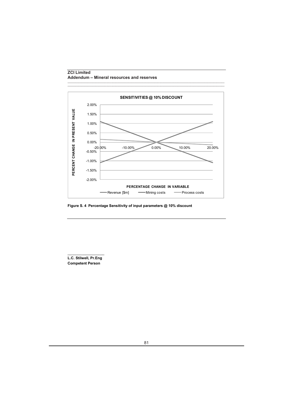

\_\_\_\_\_\_\_\_\_\_\_\_\_\_\_\_\_\_\_\_\_\_\_\_\_\_\_\_\_\_\_\_\_\_\_\_\_\_\_\_\_\_\_\_\_\_\_\_\_\_\_\_\_\_\_\_\_\_\_\_\_\_\_\_\_\_\_\_\_\_\_\_\_\_\_\_\_\_\_\_\_\_\_\_\_\_\_\_\_\_\_\_\_\_\_\_\_\_\_\_\_

**Figure S. 4 Percentage Sensitivity of input parameters @ 10% discount**

 $\_$ **L.C. Stilwell, Pr.Eng Competent Person**